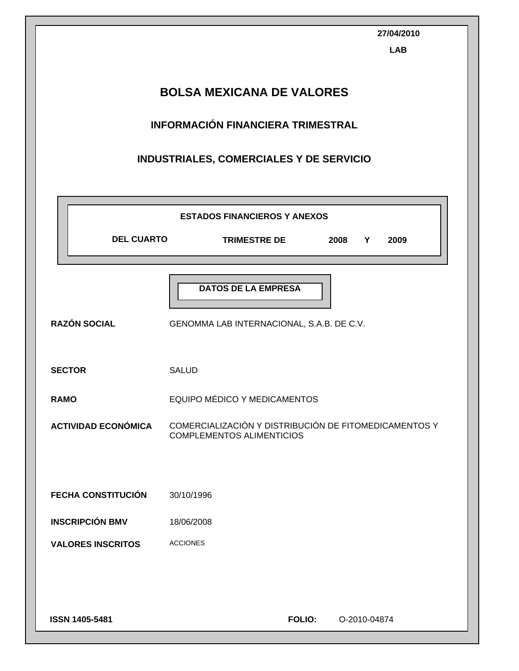|                                  | 27/04/2010<br><b>LAB</b>                                                                  |  |  |  |  |  |
|----------------------------------|-------------------------------------------------------------------------------------------|--|--|--|--|--|
| <b>BOLSA MEXICANA DE VALORES</b> |                                                                                           |  |  |  |  |  |
|                                  | <b>INFORMACIÓN FINANCIERA TRIMESTRAL</b>                                                  |  |  |  |  |  |
|                                  | INDUSTRIALES, COMERCIALES Y DE SERVICIO                                                   |  |  |  |  |  |
|                                  | <b>ESTADOS FINANCIEROS Y ANEXOS</b>                                                       |  |  |  |  |  |
| <b>DEL CUARTO</b>                | <b>TRIMESTRE DE</b><br>2008<br>2009<br>Y                                                  |  |  |  |  |  |
| <b>RAZÓN SOCIAL</b>              | <b>DATOS DE LA EMPRESA</b><br>GENOMMA LAB INTERNACIONAL, S.A.B. DE C.V.                   |  |  |  |  |  |
| <b>SECTOR</b>                    | <b>SALUD</b>                                                                              |  |  |  |  |  |
| <b>RAMO</b>                      | EQUIPO MÉDICO Y MEDICAMENTOS                                                              |  |  |  |  |  |
| <b>ACTIVIDAD ECONÓMICA</b>       | COMERCIALIZACIÓN Y DISTRIBUCIÓN DE FITOMEDICAMENTOS Y<br><b>COMPLEMENTOS ALIMENTICIOS</b> |  |  |  |  |  |
| <b>FECHA CONSTITUCIÓN</b>        | 30/10/1996                                                                                |  |  |  |  |  |
| <b>INSCRIPCIÓN BMV</b>           | 18/06/2008                                                                                |  |  |  |  |  |
| <b>VALORES INSCRITOS</b>         | <b>ACCIONES</b>                                                                           |  |  |  |  |  |
| ISSN 1405-5481                   | <b>FOLIO:</b><br>O-2010-04874                                                             |  |  |  |  |  |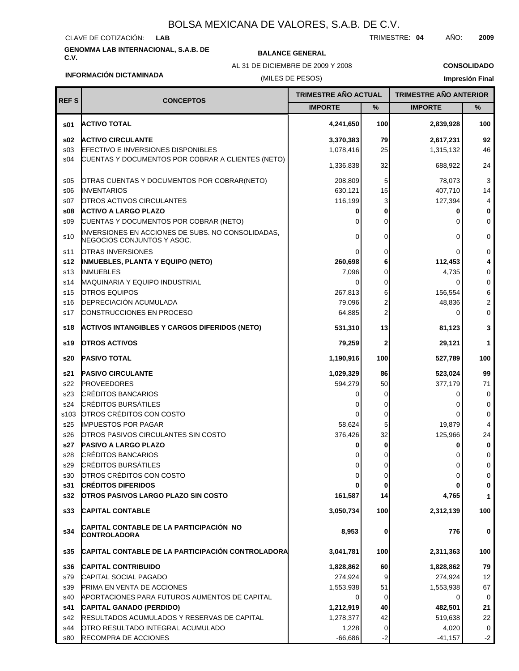#### CLAVE DE COTIZACIÓN: **LAB**

# **GENOMMA LAB INTERNACIONAL, S.A.B. DE C.V. BALANCE GENERAL**

AL 31 DE DICIEMBRE DE 2009 Y 2008

TRIMESTRE: **04** AÑO: **2009**

**CONSOLIDADO Impresión Final**

## **INFORMACIÓN DICTAMINADA**

## (MILES DE PESOS)

| <b>REFS</b> | <b>CONCEPTOS</b>                                                                | <b>TRIMESTRE AÑO ACTUAL</b> |           | <b>TRIMESTRE AÑO ANTERIOR</b> |          |
|-------------|---------------------------------------------------------------------------------|-----------------------------|-----------|-------------------------------|----------|
|             |                                                                                 | <b>IMPORTE</b>              | $\%$      | <b>IMPORTE</b>                | %        |
| s01         | <b>ACTIVO TOTAL</b>                                                             | 4,241,650                   | 100       | 2,839,928                     | 100      |
| s02         | <b>ACTIVO CIRCULANTE</b>                                                        | 3,370,383                   | 79        | 2,617,231                     | 92       |
| s03         | <b>EFECTIVO E INVERSIONES DISPONIBLES</b>                                       | 1,078,416                   | 25        | 1,315,132                     | 46       |
| s04         | CUENTAS Y DOCUMENTOS POR COBRAR A CLIENTES (NETO)                               | 1,336,838                   | 32        | 688,922                       | 24       |
| \$05        | OTRAS CUENTAS Y DOCUMENTOS POR COBRAR(NETO)                                     | 208,809                     | 5         | 78,073                        | 3        |
| \$06        | <b>INVENTARIOS</b>                                                              | 630,121                     | 15        | 407,710                       | 14       |
| s07         | <b>OTROS ACTIVOS CIRCULANTES</b>                                                | 116,199                     | 3         | 127,394                       | 4        |
| s08         | <b>ACTIVO A LARGO PLAZO</b>                                                     |                             | 0         | 0                             | 0        |
| \$09        | CUENTAS Y DOCUMENTOS POR COBRAR (NETO)                                          |                             | 0         | O                             | 0        |
| s10         | INVERSIONES EN ACCIONES DE SUBS. NO CONSOLIDADAS,<br>NEGOCIOS CONJUNTOS Y ASOC. |                             | 0         | 0                             | 0        |
| s11         | OTRAS INVERSIONES                                                               |                             | 0         | 0                             | 0        |
| s12         | <b>INMUEBLES, PLANTA Y EQUIPO (NETO)</b>                                        | 260,698                     | 6         | 112,453                       | 4        |
| s13         | <b>I</b> NMUEBLES                                                               | 7,096                       | 0         | 4,735                         | 0        |
| s14         | <b>MAQUINARIA Y EQUIPO INDUSTRIAL</b>                                           | $\Omega$                    | 0         | 0                             | 0        |
| s15         | <b>OTROS EQUIPOS</b>                                                            | 267,813                     | 6         | 156,554                       | 6        |
| s16         | <b>DEPRECIACIÓN ACUMULADA</b>                                                   | 79,096                      | 2         | 48,836                        | 2        |
| s17         | CONSTRUCCIONES EN PROCESO                                                       | 64,885                      | 2         | 0                             | 0        |
| s18         | <b>ACTIVOS INTANGIBLES Y CARGOS DIFERIDOS (NETO)</b>                            | 531,310                     | 13        | 81,123                        | 3        |
| s19         | <b>OTROS ACTIVOS</b>                                                            | 79,259                      | 2         | 29,121                        | 1        |
| s20         | <b>PASIVO TOTAL</b>                                                             | 1,190,916                   | 100       | 527,789                       | 100      |
| s21         | <b>PASIVO CIRCULANTE</b>                                                        | 1,029,329                   | 86        | 523,024                       | 99       |
| s22         | <b>PROVEEDORES</b>                                                              | 594,279                     | 50        | 377,179                       | 71       |
| s23         | <b>CRÉDITOS BANCARIOS</b>                                                       |                             | 0         | 0                             | 0        |
| s24         | <b>CRÉDITOS BURSÁTILES</b>                                                      |                             | 0         | 0                             | 0        |
| s103        | OTROS CRÉDITOS CON COSTO                                                        |                             | 0         | 0                             | 0        |
| s25         | <b>IMPUESTOS POR PAGAR</b>                                                      | 58,624                      | 5         | 19,879                        | 4        |
| s26         | <b>OTROS PASIVOS CIRCULANTES SIN COSTO</b>                                      | 376,426                     | 32        | 125,966                       | 24       |
| s27         | <b>PASIVO A LARGO PLAZO</b>                                                     |                             | 0         | 0                             | 0        |
| s28         | <b>CRÉDITOS BANCARIOS</b>                                                       |                             |           |                               | 0        |
| s29         | CRÉDITOS BURSÁTILES                                                             | U                           | 0         | 0                             | 0        |
| s30         | OTROS CRÉDITOS CON COSTO                                                        | 0                           | 0         | 0                             | 0        |
| s31         | <b>CRÉDITOS DIFERIDOS</b>                                                       |                             | 0         | 0                             | 0        |
| s32<br>s33  | <b>OTROS PASIVOS LARGO PLAZO SIN COSTO</b><br><b>CAPITAL CONTABLE</b>           | 161,587<br>3,050,734        | 14<br>100 | 4,765<br>2,312,139            | 1<br>100 |
|             |                                                                                 |                             |           |                               |          |
| s34         | CAPITAL CONTABLE DE LA PARTICIPACION NO<br><b>CONTROLADORA</b>                  | 8,953                       | 0         | 776                           | 0        |
| s35         | CAPITAL CONTABLE DE LA PARTICIPACIÓN CONTROLADORA                               | 3,041,781                   | 100       | 2,311,363                     | 100      |
| s36         | <b>CAPITAL CONTRIBUIDO</b>                                                      | 1,828,862                   | 60        | 1,828,862                     | 79       |
| s79         | CAPITAL SOCIAL PAGADO                                                           | 274,924                     | 9         | 274,924                       | 12       |
| s39         | <b>PRIMA EN VENTA DE ACCIONES</b>                                               | 1,553,938                   | 51        | 1,553,938                     | 67       |
| s40         | APORTACIONES PARA FUTUROS AUMENTOS DE CAPITAL                                   |                             | 0         | 0                             | 0        |
| s41         | CAPITAL GANADO (PERDIDO)                                                        | 1,212,919                   | 40        | 482,501                       | 21       |
| s42         | <b>RESULTADOS ACUMULADOS Y RESERVAS DE CAPITAL</b>                              | 1,278,377                   | 42        | 519,638                       | 22       |
| s44         | OTRO RESULTADO INTEGRAL ACUMULADO                                               | 1,228                       | 0         | 4,020                         | 0        |
| s80         | RECOMPRA DE ACCIONES                                                            | $-66,686$                   | $-2$      | $-41,157$                     | $-2$     |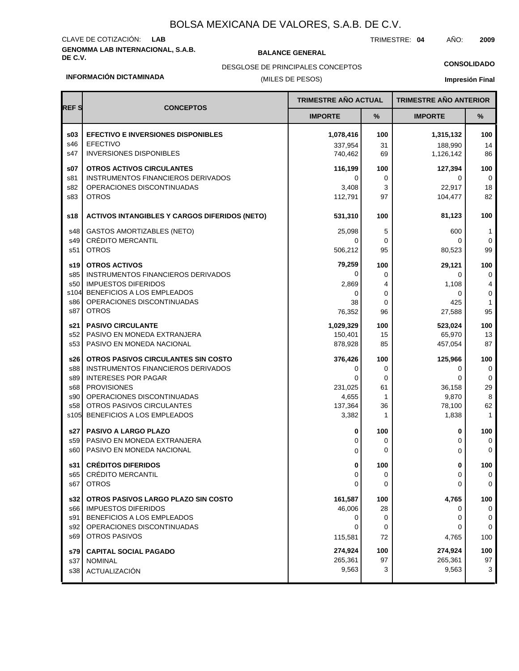## **GENOMMA LAB INTERNACIONAL, S.A.B. DE C.V. BALANCE GENERAL** CLAVE DE COTIZACIÓN: **LAB**

TRIMESTRE: **04** AÑO: **2009**

**CONSOLIDADO**

#### **INFORMACIÓN DICTAMINADA**

## (MILES DE PESOS) DESGLOSE DE PRINCIPALES CONCEPTOS

**Impresión Final**

| <b>REFS</b> |                                                      | <b>TRIMESTRE AÑO ACTUAL</b> |     | <b>TRIMESTRE AÑO ANTERIOR</b> |                |
|-------------|------------------------------------------------------|-----------------------------|-----|-------------------------------|----------------|
|             | <b>CONCEPTOS</b>                                     | <b>IMPORTE</b>              | %   | <b>IMPORTE</b>                | %              |
| \$03        | <b>EFECTIVO E INVERSIONES DISPONIBLES</b>            | 1,078,416                   | 100 | 1,315,132                     | 100            |
| s46         | <b>EFECTIVO</b>                                      | 337,954                     | 31  | 188.990                       | 14             |
| s47         | <b>INVERSIONES DISPONIBLES</b>                       | 740,462                     | 69  | 1,126,142                     | 86             |
| s07         | <b>OTROS ACTIVOS CIRCULANTES</b>                     | 116,199                     | 100 | 127,394                       | 100            |
| s81         | <b>INSTRUMENTOS FINANCIEROS DERIVADOS</b>            | 0                           | 0   | 0                             | 0              |
| s82         | OPERACIONES DISCONTINUADAS                           | 3,408                       | 3   | 22,917                        | 18             |
| s83         | <b>OTROS</b>                                         | 112,791                     | 97  | 104,477                       | 82             |
| s18         | <b>ACTIVOS INTANGIBLES Y CARGOS DIFERIDOS (NETO)</b> | 531,310                     | 100 | 81,123                        | 100            |
| s48         | GASTOS AMORTIZABLES (NETO)                           | 25,098                      | 5   | 600                           | 1              |
| s49         | <b>CRÉDITO MERCANTIL</b>                             | 0                           | 0   | 0                             | 0              |
| s51         | <b>OTROS</b>                                         | 506,212                     | 95  | 80,523                        | 99             |
| s19         | <b>OTROS ACTIVOS</b>                                 | 79,259                      | 100 | 29,121                        | 100            |
| s85         | <b>INSTRUMENTOS FINANCIEROS DERIVADOS</b>            | 0                           | 0   | 0                             | 0              |
| s50         | <b>IMPUESTOS DIFERIDOS</b>                           | 2,869                       | 4   | 1,108                         | $\overline{4}$ |
| s104        | BENEFICIOS A LOS EMPLEADOS                           | 0                           | 0   | 0                             | 0              |
| s86         | OPERACIONES DISCONTINUADAS                           | 38                          | 0   | 425                           | $\mathbf{1}$   |
| s87         | <b>OTROS</b>                                         | 76,352                      | 96  | 27,588                        | 95             |
| s21 l       | <b>PASIVO CIRCULANTE</b>                             | 1,029,329                   | 100 | 523,024                       | 100            |
| s52         | PASIVO EN MONEDA EXTRANJERA                          | 150,401                     | 15  | 65,970                        | 13             |
| s53         | PASIVO EN MONEDA NACIONAL                            | 878,928                     | 85  | 457,054                       | 87             |
| s26         | OTROS PASIVOS CIRCULANTES SIN COSTO                  | 376,426                     | 100 | 125,966                       | 100            |
| s88         | INSTRUMENTOS FINANCIEROS DERIVADOS                   | 0                           | 0   | 0                             | 0              |
| s89         | <b>INTERESES POR PAGAR</b>                           | 0                           | 0   | 0                             | 0              |
| s68         | <b>PROVISIONES</b>                                   | 231,025                     | 61  | 36,158                        | 29             |
| s90         | OPERACIONES DISCONTINUADAS                           | 4,655                       | 1   | 9,870                         | 8              |
| s58         | OTROS PASIVOS CIRCULANTES                            | 137,364                     | 36  | 78,100                        | 62             |
| s105        | BENEFICIOS A LOS EMPLEADOS                           | 3,382                       | 1   | 1,838                         | 1              |
| s27         | <b>PASIVO A LARGO PLAZO</b>                          | 0                           | 100 | 0                             | 100            |
| s59         | PASIVO EN MONEDA EXTRANJERA                          | 0                           | 0   | 0                             | 0              |
| s60         | PASIVO EN MONEDA NACIONAL                            | 0                           | 0   | 0                             | 0              |
| s31 l       | <b>CRÉDITOS DIFERIDOS</b>                            | 0                           | 100 | 0                             | 100            |
| s65         | CRÉDITO MERCANTIL                                    | 0                           | 0   | 0                             | 0              |
| s67         | <b>OTROS</b>                                         | 0                           | 0   | 0                             | 0              |
| s32         | OTROS PASIVOS LARGO PLAZO SIN COSTO                  | 161,587                     | 100 | 4,765                         | 100            |
| s66         | <b>IMPUESTOS DIFERIDOS</b>                           | 46,006                      | 28  | 0                             | 0              |
| s91         | BENEFICIOS A LOS EMPLEADOS                           | 0                           | 0   | 0                             | 0              |
| s92         | OPERACIONES DISCONTINUADAS                           | 0                           | 0   | 0                             | 0              |
| s69         | OTROS PASIVOS                                        | 115,581                     | 72  | 4,765                         | 100            |
| s79         | <b>CAPITAL SOCIAL PAGADO</b>                         | 274,924                     | 100 | 274,924                       | 100            |
| s37         | <b>NOMINAL</b>                                       | 265,361                     | 97  | 265,361                       | 97             |
| s38         | ACTUALIZACIÓN                                        | 9,563                       | 3   | 9,563                         | 3              |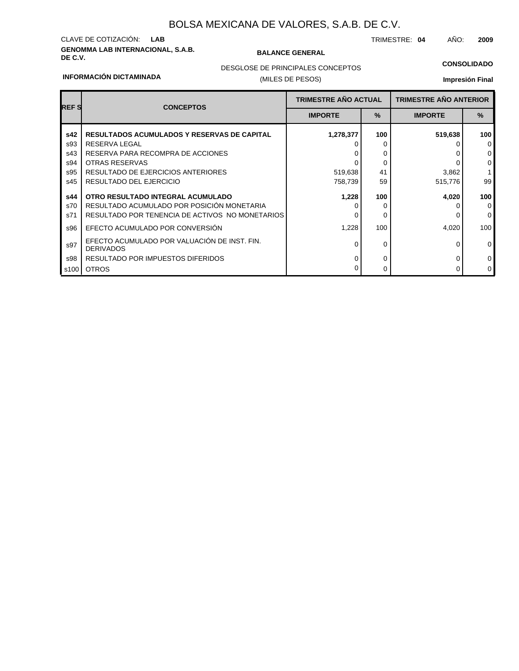## **GENOMMA LAB INTERNACIONAL, S.A.B. DE C.V. BALANCE GENERAL** CLAVE DE COTIZACIÓN: **LAB**

TRIMESTRE: **04** AÑO: **2009**

## **CONSOLIDADO**

#### **INFORMACIÓN DICTAMINADA**

## (MILES DE PESOS) DESGLOSE DE PRINCIPALES CONCEPTOS

## **Impresión Final**

| <b>REF S</b> | <b>CONCEPTOS</b>                                                 | <b>TRIMESTRE AÑO ACTUAL</b>     |     | <b>TRIMESTRE AÑO ANTERIOR</b> |               |  |
|--------------|------------------------------------------------------------------|---------------------------------|-----|-------------------------------|---------------|--|
|              |                                                                  | $\frac{9}{6}$<br><b>IMPORTE</b> |     | <b>IMPORTE</b>                | $\frac{9}{6}$ |  |
| s42          | <b>RESULTADOS ACUMULADOS Y RESERVAS DE CAPITAL</b>               | 1,278,377                       | 100 | 519,638                       | 100           |  |
| s93          | RESERVA LEGAL                                                    |                                 | 0   |                               | $\Omega$      |  |
| s43          | RESERVA PARA RECOMPRA DE ACCIONES                                |                                 | 0   |                               | $\mathbf 0$   |  |
| s94          | <b>OTRAS RESERVAS</b>                                            |                                 | 0   |                               | $\mathbf 0$   |  |
| s95          | RESULTADO DE EJERCICIOS ANTERIORES                               | 519,638                         | 41  | 3,862                         |               |  |
| s45          | RESULTADO DEL EJERCICIO                                          | 758,739                         | 59  | 515,776                       | 99            |  |
| s44          | OTRO RESULTADO INTEGRAL ACUMULADO                                | 1,228                           | 100 | 4,020                         | 100           |  |
| s70          | RESULTADO ACUMULADO POR POSICIÓN MONETARIA                       |                                 | 0   |                               | $\mathbf 0$   |  |
| s71          | RESULTADO POR TENENCIA DE ACTIVOS NO MONETARIOS                  | O                               | 0   |                               | $\Omega$      |  |
| s96          | EFECTO ACUMULADO POR CONVERSIÓN                                  | 1,228                           | 100 | 4,020                         | 100           |  |
| s97          | EFECTO ACUMULADO POR VALUACIÓN DE INST. FIN.<br><b>DERIVADOS</b> | $\Omega$                        | 0   | 0                             | $\mathbf 0$   |  |
| s98          | RESULTADO POR IMPUESTOS DIFERIDOS                                | 0                               | 0   |                               | $\mathbf 0$   |  |
| s100         | <b>OTROS</b>                                                     |                                 | 0   |                               | $\mathbf 0$   |  |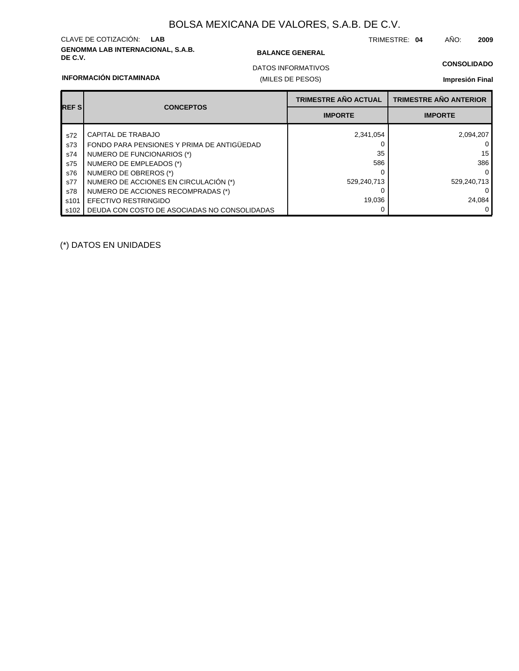## **GENOMMA LAB INTERNACIONAL, S.A.B. DE C.V. BALANCE GENERAL** CLAVE DE COTIZACIÓN: **LAB**

TRIMESTRE: **04** AÑO: **2009**

## **CONSOLIDADO**

### **INFORMACIÓN DICTAMINADA**

## (MILES DE PESOS) DATOS INFORMATIVOS

## **Impresión Final**

|             | <b>CONCEPTOS</b>                             | <b>TRIMESTRE AÑO ACTUAL</b> | <b>TRIMESTRE AÑO ANTERIOR</b> |
|-------------|----------------------------------------------|-----------------------------|-------------------------------|
| <b>REFS</b> |                                              | <b>IMPORTE</b>              | <b>IMPORTE</b>                |
| s72         | CAPITAL DE TRABAJO                           | 2,341,054                   | 2,094,207                     |
| s73         | FONDO PARA PENSIONES Y PRIMA DE ANTIGÜEDAD   |                             | 0                             |
| s74         | NUMERO DE FUNCIONARIOS (*)                   | 35                          | 15                            |
| s75         | NUMERO DE EMPLEADOS (*)                      | 586                         | 386                           |
| s76         | NUMERO DE OBREROS (*)                        |                             | $\overline{0}$                |
| s77         | NUMERO DE ACCIONES EN CIRCULACIÓN (*)        | 529,240,713                 | 529,240,713                   |
| s78         | NUMERO DE ACCIONES RECOMPRADAS (*)           |                             | $\Omega$                      |
| s101        | EFECTIVO RESTRINGIDO                         | 19,036                      | 24,084                        |
| s102        | DEUDA CON COSTO DE ASOCIADAS NO CONSOLIDADAS |                             | 0 I                           |

(\*) DATOS EN UNIDADES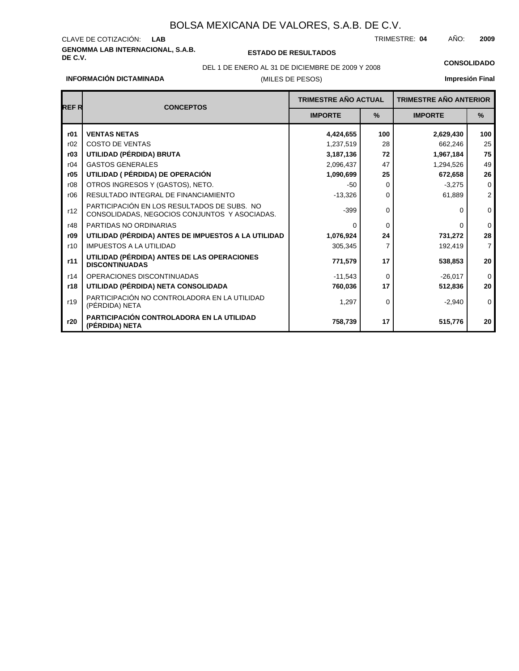# **GENOMMA LAB INTERNACIONAL, S.A.B.** CLAVE DE COTIZACIÓN:

**DE C.V. ESTADO DE RESULTADOS**

(MILES DE PESOS)

TRIMESTRE: AÑO: **LAB 04 2009**

DEL 1 DE ENERO AL 31 DE DICIEMBRE DE 2009 Y 2008 **CONSOLIDADO**

## **Impresión Final**

| <b>REFR</b> | <b>CONCEPTOS</b>                                                                             | <b>TRIMESTRE AÑO ACTUAL</b> |             | <b>TRIMESTRE AÑO ANTERIOR</b> |                |  |
|-------------|----------------------------------------------------------------------------------------------|-----------------------------|-------------|-------------------------------|----------------|--|
|             |                                                                                              | <b>IMPORTE</b>              | $\%$        | <b>IMPORTE</b>                | $\%$           |  |
| r01         | <b>VENTAS NETAS</b>                                                                          | 4,424,655                   | 100         | 2,629,430                     | 100            |  |
| r02         | COSTO DE VENTAS                                                                              | 1,237,519                   | 28          | 662,246                       | 25             |  |
| r03         | UTILIDAD (PÉRDIDA) BRUTA                                                                     | 3,187,136                   | 72          | 1,967,184                     | 75             |  |
| r04         | <b>GASTOS GENERALES</b>                                                                      | 2,096,437                   | 47          | 1,294,526                     | 49             |  |
| r05         | UTILIDAD ( PÉRDIDA) DE OPERACIÓN                                                             | 1,090,699                   | 25          | 672,658                       | 26             |  |
| r08         | OTROS INGRESOS Y (GASTOS), NETO.                                                             | $-50$                       | $\Omega$    | $-3,275$                      | $\mathbf 0$    |  |
| r06         | RESULTADO INTEGRAL DE FINANCIAMIENTO                                                         | $-13,326$                   | $\Omega$    | 61,889                        | $\overline{2}$ |  |
| r12         | PARTICIPACIÓN EN LOS RESULTADOS DE SUBS. NO<br>CONSOLIDADAS, NEGOCIOS CONJUNTOS Y ASOCIADAS. | $-399$                      | $\mathbf 0$ | 0                             | $\mathbf 0$    |  |
| r48         | PARTIDAS NO ORDINARIAS                                                                       | $\Omega$                    | $\Omega$    | 0                             | $\Omega$       |  |
| r09         | UTILIDAD (PÉRDIDA) ANTES DE IMPUESTOS A LA UTILIDAD                                          | 1,076,924                   | 24          | 731,272                       | 28             |  |
| r10         | <b>IMPUESTOS A LA UTILIDAD</b>                                                               | 305,345                     | 7           | 192,419                       | $\overline{7}$ |  |
| r11         | UTILIDAD (PÉRDIDA) ANTES DE LAS OPERACIONES<br><b>DISCONTINUADAS</b>                         | 771,579                     | 17          | 538,853                       | 20             |  |
| r14         | OPERACIONES DISCONTINUADAS                                                                   | $-11,543$                   | 0           | $-26,017$                     | $\mathbf 0$    |  |
| r18         | UTILIDAD (PÉRDIDA) NETA CONSOLIDADA                                                          | 760,036                     | 17          | 512,836                       | 20             |  |
| r19         | PARTICIPACIÓN NO CONTROLADORA EN LA UTILIDAD<br>(PÉRDIDA) NETA                               | 1,297                       | $\mathbf 0$ | $-2,940$                      | $\mathbf 0$    |  |
| r20         | PARTICIPACIÓN CONTROLADORA EN LA UTILIDAD<br>(PÉRDIDA) NETA                                  | 758,739                     | 17          | 515,776                       | 20             |  |

## **INFORMACIÓN DICTAMINADA**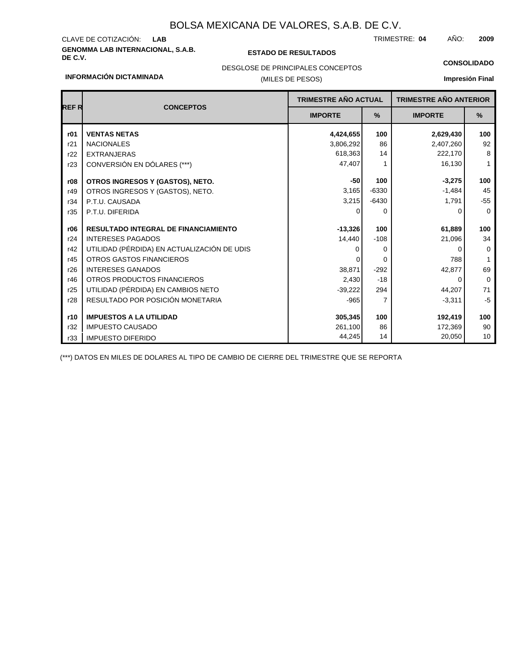# **GENOMMA LAB INTERNACIONAL, S.A.B. DE C.V. ESTADO DE RESULTADOS** CLAVE DE COTIZACIÓN:

**INFORMACIÓN DICTAMINADA**

TRIMESTRE: AÑO: **LAB 04 2009**

**CONSOLIDADO**

## DESGLOSE DE PRINCIPALES CONCEPTOS

### (MILES DE PESOS)

**Impresión Final**

| <b>REFR</b> | <b>TRIMESTRE AÑO ACTUAL</b><br><b>CONCEPTOS</b> |                |         | <b>TRIMESTRE AÑO ANTERIOR</b> |              |
|-------------|-------------------------------------------------|----------------|---------|-------------------------------|--------------|
|             |                                                 | <b>IMPORTE</b> | $\%$    | <b>IMPORTE</b>                | %            |
| r01         | <b>VENTAS NETAS</b>                             | 4,424,655      | 100     | 2,629,430                     | 100          |
| r21         | <b>NACIONALES</b>                               | 3,806,292      | 86      | 2,407,260                     | 92           |
| r22         | <b>EXTRANJERAS</b>                              | 618,363        | 14      | 222,170                       | 8            |
| r23         | CONVERSIÓN EN DÓLARES (***)                     | 47,407         |         | 16,130                        | $\mathbf{1}$ |
| r08         | OTROS INGRESOS Y (GASTOS), NETO.                | $-50$          | 100     | $-3,275$                      | 100          |
| r49         | OTROS INGRESOS Y (GASTOS), NETO.                | 3,165          | $-6330$ | $-1,484$                      | 45           |
| r34         | P.T.U. CAUSADA                                  | 3,215          | $-6430$ | 1,791                         | $-55$        |
| r35         | P.T.U. DIFERIDA                                 | 0              | 0       | 0                             | $\mathbf 0$  |
| r06         | <b>RESULTADO INTEGRAL DE FINANCIAMIENTO</b>     | $-13,326$      | 100     | 61,889                        | 100          |
| r24         | <b>INTERESES PAGADOS</b>                        | 14,440         | $-108$  | 21,096                        | 34           |
| r42         | UTILIDAD (PÉRDIDA) EN ACTUALIZACIÓN DE UDIS     |                | 0       | 0                             | $\mathbf 0$  |
| r45         | OTROS GASTOS FINANCIEROS                        |                | 0       | 788                           | $\mathbf{1}$ |
| r26         | <b>INTERESES GANADOS</b>                        | 38,871         | $-292$  | 42,877                        | 69           |
| r46         | OTROS PRODUCTOS FINANCIEROS                     | 2,430          | $-18$   | 0                             | $\mathbf 0$  |
| r25         | UTILIDAD (PÉRDIDA) EN CAMBIOS NETO              | $-39,222$      | 294     | 44,207                        | 71           |
| r28         | RESULTADO POR POSICIÓN MONETARIA                | $-965$         | 7       | $-3,311$                      | $-5$         |
| r10         | <b>IMPUESTOS A LA UTILIDAD</b>                  | 305,345        | 100     | 192,419                       | 100          |
| r32         | <b>IMPUESTO CAUSADO</b>                         | 261,100        | 86      | 172,369                       | 90           |
|             |                                                 | 44,245         | 14      | 20,050                        | 10           |
| r33         | <b>IMPUESTO DIFERIDO</b>                        |                |         |                               |              |

(\*\*\*) DATOS EN MILES DE DOLARES AL TIPO DE CAMBIO DE CIERRE DEL TRIMESTRE QUE SE REPORTA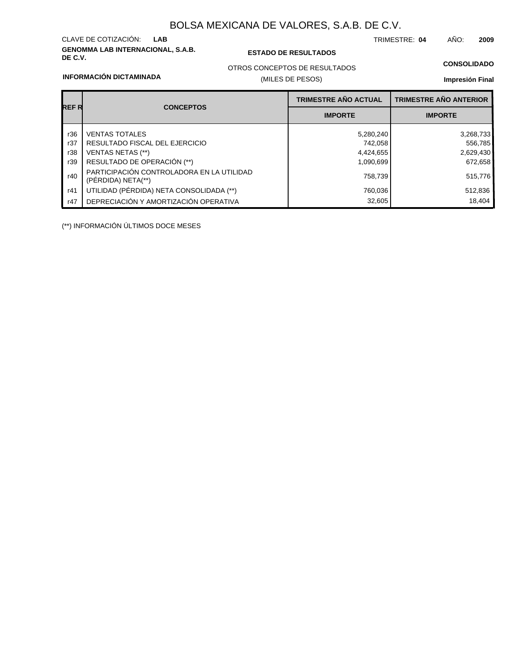# **GENOMMA LAB INTERNACIONAL, S.A.B.** CLAVE DE COTIZACIÓN:

## **DE C.V. ESTADO DE RESULTADOS**

TRIMESTRE: AÑO: **LAB 04 2009**

#### **INFORMACIÓN DICTAMINADA**

## OTROS CONCEPTOS DE RESULTADOS

## (MILES DE PESOS)

## **Impresión Final**

|       |                                                                 | <b>TRIMESTRE AÑO ACTUAL</b> | <b>TRIMESTRE AÑO ANTERIOR</b> |
|-------|-----------------------------------------------------------------|-----------------------------|-------------------------------|
| REF R | <b>CONCEPTOS</b>                                                | <b>IMPORTE</b>              | <b>IMPORTE</b>                |
| r36   | <b>VENTAS TOTALES</b>                                           | 5,280,240                   | 3,268,733                     |
| r37   | RESULTADO FISCAL DEL EJERCICIO                                  | 742,058                     | 556,785                       |
| r38   | VENTAS NETAS (**)                                               | 4,424,655                   | 2,629,430                     |
| r39   | RESULTADO DE OPERACIÓN (**)                                     | 1,090,699                   | 672,658                       |
| r40   | PARTICIPACIÓN CONTROLADORA EN LA UTILIDAD<br>(PÉRDIDA) NETA(**) | 758,739                     | 515,776                       |
| r41   | UTILIDAD (PÉRDIDA) NETA CONSOLIDADA (**)                        | 760,036                     | 512,836                       |
| r47   | DEPRECIACIÓN Y AMORTIZACIÓN OPERATIVA                           | 32,605                      | 18.404                        |

(\*\*) INFORMACIÓN ÚLTIMOS DOCE MESES

**CONSOLIDADO**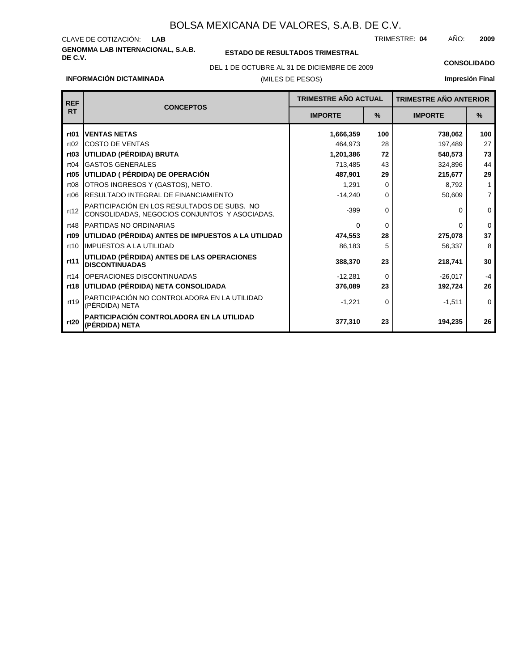### **GENOMMA LAB INTERNACIONAL, S.A.B.** CLAVE DE COTIZACIÓN: TRIMESTRE: AÑO: **LAB 04 2009**

**rt20**

**(PÉRDIDA) NETA**

### **ESTADO DE RESULTADOS TRIMESTRAL**

DEL 1 DE OCTUBRE AL 31 DE DICIEMBRE DE 2009 **CONSOLIDADO**

#### **INFORMACIÓN DICTAMINADA**

**PARTICIPACIÓN CONTROLADORA EN LA UTILIDAD**

# **Impresión Final**

**194,235**

**26**

(MILES DE PESOS) **TRIMESTRE AÑO ANTERIOR IMPORTE % IMPORTE % TRIMESTRE AÑO ACTUAL CONCEPTOS REF RT rt01** rt02 **rt03** rt04 rt06 **rt05** rt08 **rt09** rt10 **rt11** rt12 rt14 rt19 **rt18 UTILIDAD (PÉRDIDA) NETA CONSOLIDADA** rt48 **UTILIDAD (PÉRDIDA) BRUTA** GASTOS GENERALES COSTO DE VENTAS RESULTADO INTEGRAL DE FINANCIAMIENTO **UTILIDAD ( PÉRDIDA) DE OPERACIÓN** OTROS INGRESOS Y (GASTOS), NETO. **UTILIDAD (PÉRDIDA) ANTES DE IMPUESTOS A LA UTILIDAD** IMPUESTOS A LA UTILIDAD **UTILIDAD (PÉRDIDA) ANTES DE LAS OPERACIONES DISCONTINUADAS** PARTICIPACIÓN EN LOS RESULTADOS DE SUBS. NO CONSOLIDADAS, NEGOCIOS CONJUNTOS Y ASOCIADAS. OPERACIONES DISCONTINUADAS PARTICIPACIÓN NO CONTROLADORA EN LA UTILIDAD (PÉRDIDA) NETA PARTIDAS NO ORDINARIAS **VENTAS NETAS 1,666,359** 464,973 **1,201,386** 713,485 **487,901** 1,291 -14,240 -399 0 **474,553** 86,183 **388,370** -12,281 **376,089** -1,221 **738,062** 197,489 **540,573** 324,896 **215,677** 8,792 50,609 0 0 **275,078** 56,337 **218,741** -26,017 **192,724** -1,511 **100** 28 **72** 43 **29** 0 0 0 0 **28** 5 **23** 0 **23** 0 **100** 27 **73** 44 **29** 1 7 0 0 **37** 8 **30** -4 **26** 0

**377,310**

**23**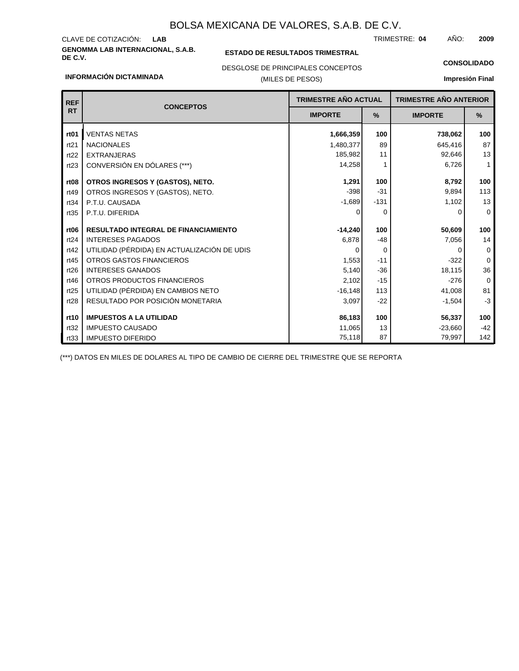# **GENOMMA LAB INTERNACIONAL, S.A.B.** CLAVE DE COTIZACIÓN:

**INFORMACIÓN DICTAMINADA**

## **ESTADO DE RESULTADOS TRIMESTRAL**

TRIMESTRE: AÑO: **LAB 04 2009**

**CONSOLIDADO**

## DESGLOSE DE PRINCIPALES CONCEPTOS

## (MILES DE PESOS)

## **Impresión Final**

| <b>REF</b>       | <b>CONCEPTOS</b>                            | TRIMESTRE AÑO ACTUAL |          | <b>TRIMESTRE AÑO ANTERIOR</b> |             |
|------------------|---------------------------------------------|----------------------|----------|-------------------------------|-------------|
| <b>RT</b>        |                                             | <b>IMPORTE</b>       | %        | <b>IMPORTE</b>                | %           |
| rt <sub>01</sub> | <b>VENTAS NETAS</b>                         | 1,666,359            | 100      | 738,062                       | 100         |
| rt21             | <b>NACIONALES</b>                           | 1,480,377            | 89       | 645,416                       | 87          |
| rt22             | <b>EXTRANJERAS</b>                          | 185,982              | 11       | 92,646                        | 13          |
| rt23             | CONVERSIÓN EN DÓLARES (***)                 | 14,258               | 1        | 6,726                         | 1           |
| rt <sub>08</sub> | OTROS INGRESOS Y (GASTOS), NETO.            | 1,291                | 100      | 8,792                         | 100         |
| rt49             | OTROS INGRESOS Y (GASTOS), NETO.            | $-398$               | $-31$    | 9,894                         | 113         |
| rt34             | P.T.U. CAUSADA                              | $-1,689$             | $-131$   | 1,102                         | 13          |
| rt35             | P.T.U. DIFERIDA                             | $\Omega$             | 0        | 0                             | $\mathbf 0$ |
| rt <sub>06</sub> | <b>RESULTADO INTEGRAL DE FINANCIAMIENTO</b> | $-14,240$            | 100      | 50,609                        | 100         |
| rt24             | <b>INTERESES PAGADOS</b>                    | 6,878                | $-48$    | 7,056                         | 14          |
| rt42             | UTILIDAD (PÉRDIDA) EN ACTUALIZACIÓN DE UDIS | $\Omega$             | $\Omega$ | 0                             | 0           |
| rt45             | OTROS GASTOS FINANCIEROS                    | 1,553                | $-11$    | $-322$                        | $\mathbf 0$ |
| rt26             | <b>INTERESES GANADOS</b>                    | 5,140                | $-36$    | 18,115                        | 36          |
| rt46             | OTROS PRODUCTOS FINANCIEROS                 | 2,102                | $-15$    | $-276$                        | 0           |
| rt25             | UTILIDAD (PÉRDIDA) EN CAMBIOS NETO          | $-16,148$            | 113      | 41,008                        | 81          |
| rt28             | RESULTADO POR POSICIÓN MONETARIA            | 3,097                | $-22$    | $-1,504$                      | $-3$        |
| rt10             | <b>IMPUESTOS A LA UTILIDAD</b>              | 86,183               | 100      | 56,337                        | 100         |
| rt32             | <b>IMPUESTO CAUSADO</b>                     | 11,065               | 13       | $-23,660$                     | $-42$       |
| rt33             | <b>IMPUESTO DIFERIDO</b>                    | 75,118               | 87       | 79,997                        | 142         |

(\*\*\*) DATOS EN MILES DE DOLARES AL TIPO DE CAMBIO DE CIERRE DEL TRIMESTRE QUE SE REPORTA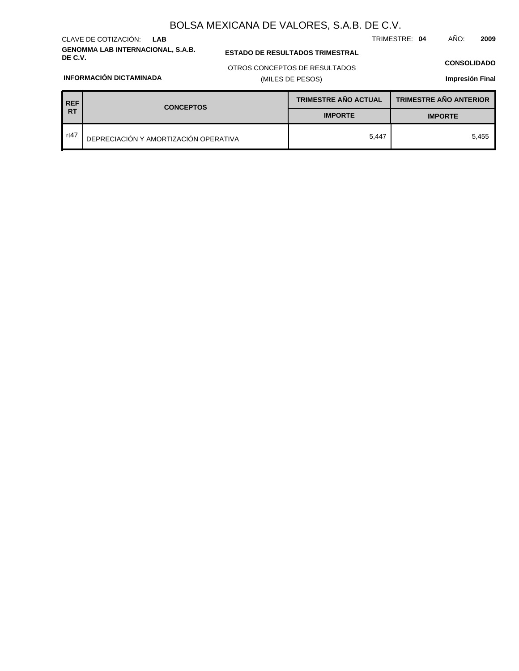### **GENOMMA LAB INTERNACIONAL, S.A.B.** CLAVE DE COTIZACIÓN: **LAB**

**INFORMACIÓN DICTAMINADA**

## **ESTADO DE RESULTADOS TRIMESTRAL**

TRIMESTRE: **04** AÑO: **2009**

## **CONSOLIDADO**

OTROS CONCEPTOS DE RESULTADOS

## (MILES DE PESOS)

## **Impresión Final**

| <b>REF</b> | <b>CONCEPTOS</b>                      | <b>TRIMESTRE AÑO ACTUAL</b> | <b>TRIMESTRE AÑO ANTERIOR</b> |  |
|------------|---------------------------------------|-----------------------------|-------------------------------|--|
| <b>RT</b>  |                                       | <b>IMPORTE</b>              | <b>IMPORTE</b>                |  |
| rt $47$    | DEPRECIACIÓN Y AMORTIZACIÓN OPERATIVA | 5.447                       | 5.455                         |  |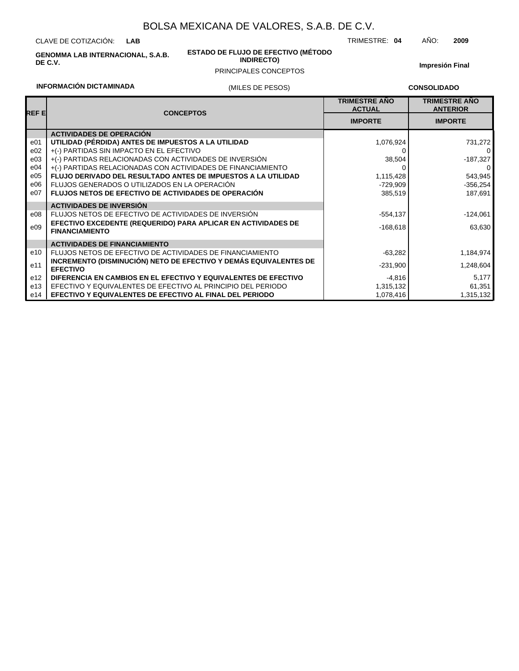CLAVE DE COTIZACIÓN: **LAB**

**GENOMMA LAB INTERNACIONAL, S.A.B. DE C.V.**

#### **ESTADO DE FLUJO DE EFECTIVO (MÉTODO INDIRECTO)**

PRINCIPALES CONCEPTOS

**Impresión Final**

TRIMESTRE: **04** AÑO: **2009**

## **INFORMACIÓN DICTAMINADA**

## (MILES DE PESOS)

**CONSOLIDADO**

| REF EI | <b>CONCEPTOS</b>                                                                       | <b>TRIMESTRE AÑO</b><br><b>ACTUAL</b> | <b>TRIMESTRE AÑO</b><br><b>ANTERIOR</b> |
|--------|----------------------------------------------------------------------------------------|---------------------------------------|-----------------------------------------|
|        |                                                                                        | <b>IMPORTE</b>                        | <b>IMPORTE</b>                          |
|        | <b>ACTIVIDADES DE OPERACIÓN</b>                                                        |                                       |                                         |
| e01    | UTILIDAD (PÉRDIDA) ANTES DE IMPUESTOS A LA UTILIDAD                                    | 1,076,924                             | 731,272                                 |
| e02    | +(-) PARTIDAS SIN IMPACTO EN EL EFECTIVO                                               |                                       | $\Omega$                                |
| e03    | +(-) PARTIDAS RELACIONADAS CON ACTIVIDADES DE INVERSIÓN                                | 38,504                                | -187,327                                |
| e04    | +(-) PARTIDAS RELACIONADAS CON ACTIVIDADES DE FINANCIAMIENTO                           |                                       | 0                                       |
| e05    | FLUJO DERIVADO DEL RESULTADO ANTES DE IMPUESTOS A LA UTILIDAD                          | 1,115,428                             | 543,945                                 |
| e06    | FLUJOS GENERADOS O UTILIZADOS EN LA OPERACIÓN                                          | $-729,909$                            | $-356,254$                              |
| e07    | <b>FLUJOS NETOS DE EFECTIVO DE ACTIVIDADES DE OPERACIÓN</b>                            | 385,519                               | 187,691                                 |
|        | <b>ACTIVIDADES DE INVERSIÓN</b>                                                        |                                       |                                         |
| e08    | FLUJOS NETOS DE EFECTIVO DE ACTIVIDADES DE INVERSIÓN                                   | $-554.137$                            | $-124,061$                              |
| e09    | EFECTIVO EXCEDENTE (REQUERIDO) PARA APLICAR EN ACTIVIDADES DE<br><b>FINANCIAMIENTO</b> | $-168,618$                            | 63,630                                  |
|        | <b>ACTIVIDADES DE FINANCIAMIENTO</b>                                                   |                                       |                                         |
| e10    | FLUJOS NETOS DE EFECTIVO DE ACTIVIDADES DE FINANCIAMIENTO                              | $-63,282$                             | 1,184,974                               |
| e11    | INCREMENTO (DISMINUCIÓN) NETO DE EFECTIVO Y DEMÁS EQUIVALENTES DE<br><b>EFECTIVO</b>   | $-231,900$                            | 1,248,604                               |
| e12    | DIFERENCIA EN CAMBIOS EN EL EFECTIVO Y EQUIVALENTES DE EFECTIVO                        | $-4,816$                              | 5,177                                   |
| e13    | EFECTIVO Y EQUIVALENTES DE EFECTIVO AL PRINCIPIO DEL PERIODO                           | 1,315,132                             | 61,351                                  |
| e14    | <b>EFECTIVO Y EQUIVALENTES DE EFECTIVO AL FINAL DEL PERIODO</b>                        | 1,078,416                             | 1,315,132                               |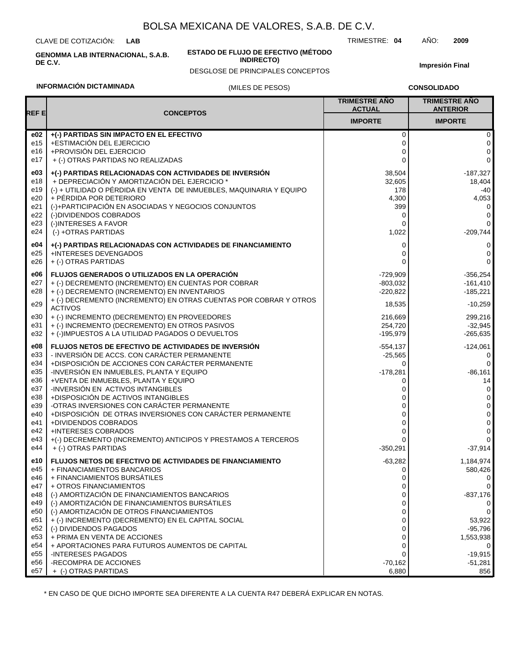CLAVE DE COTIZACIÓN: **LAB**

**INFORMACIÓN DICTAMINADA**

**GENOMMA LAB INTERNACIONAL, S.A.B. DE C.V.**

#### **ESTADO DE FLUJO DE EFECTIVO (MÉTODO INDIRECTO)**

(MILES DE PESOS) DESGLOSE DE PRINCIPALES CONCEPTOS **Impresión Final**

**CONSOLIDADO**

#### **REF E TRIMESTRE AÑO ACTUAL IMPORTE CONCEPTOS TRIMESTRE AÑO ANTERIOR IMPORTE e02**  $+(-)$  PARTIDAS SIN IMPACTO EN EL EFECTIVO e15 +ESTIMACIÓN DEL EJERCICIO 0 0 e16 +PROVISIÓN DEL EJERCICIO e17 + (-) OTRAS PARTIDAS NO REALIZADAS 0 0 0 0 **e03 +(-) PARTIDAS RELACIONADAS CON ACTIVIDADES DE INVERSIÓN** e18 + DEPRECIACIÓN Y AMORTIZACIÓN DEL EJERCICIO \* e19 (-) + UTILIDAD O PÉRDIDA EN VENTA DE INMUEBLES, MAQUINARIA Y EQUIPO 38,504 32,605  $178$  -40 18,404 -187,327 e20 + PÉRDIDA POR DETERIORO 4,300 4,053  $\Omega$ 0 0 0  $\Omega$ (-)+PARTICIPACIÓN EN ASOCIADAS Y NEGOCIOS CONJUNTOS 399 (-)DIVIDENDOS COBRADOS e23 (-)INTERESES A FAVOR e22 e21 e24 (-) +OTRAS PARTIDAS 1,022 -209,744 **e04 +(-) PARTIDAS RELACIONADAS CON ACTIVIDADES DE FINANCIAMIENTO** 0 0 e25 e26 +INTERESES DEVENGADOS + (-) OTRAS PARTIDAS  $\Omega$  $\Omega$ 0 0 **e06 FLUJOS GENERADOS O UTILIZADOS EN LA OPERACIÓN** -729,909 -356,254 e32 e31 e30 e29 e28 e27 + (-)IMPUESTOS A LA UTILIDAD PAGADOS O DEVUELTOS + (-) INCREMENTO (DECREMENTO) EN OTROS PASIVOS + (-) INCREMENTO (DECREMENTO) EN PROVEEDORES + (-) DECREMENTO (INCREMENTO) EN OTRAS CUENTAS POR COBRAR Y OTROS ACTIVOS + (-) DECREMENTO (INCREMENTO) EN INVENTARIOS + (-) DECREMENTO (INCREMENTO) EN CUENTAS POR COBRAR -195,979 254,720 216,669 18,535 -220,822 -803,032 -265,635 -32,945 299,216 -10,259 -185,221  $-161,410$ **e08 FLUJOS NETOS DE EFECTIVO DE ACTIVIDADES DE INVERSIÓN** -554,137 -124,061 e38 e37 e36 e35 e34 e33 +DISPOSICIÓN DE ACTIVOS INTANGIBLES -INVERSIÓN EN ACTIVOS INTANGIBLES +VENTA DE INMUEBLES, PLANTA Y EQUIPO -INVERSIÓN EN INMUEBLES, PLANTA Y EQUIPO +DISPOSICIÓN DE ACCIONES CON CARÁCTER PERMANENTE - INVERSIÓN DE ACCS. CON CARÁCTER PERMANENTE 0 0 0 -178,281  $\Omega$ -25,565 0 0 14 -86,161  $\Omega$ 0 e44 e43 e42 e41 e40 e39 + (-) OTRAS PARTIDAS +(-) DECREMENTO (INCREMENTO) ANTICIPOS Y PRESTAMOS A TERCEROS +INTERESES COBRADOS +DIVIDENDOS COBRADOS +DISPOSICIÓN DE OTRAS INVERSIONES CON CARÁCTER PERMANENTE -OTRAS INVERSIONES CON CARÁCTER PERMANENTE -350,291  $\Omega$ 0  $\Omega$  $\Omega$ 0 -37,914 0 0 0 0 0 **e10 FLUJOS NETOS DE EFECTIVO DE ACTIVIDADES DE FINANCIAMIENTO** -63,282 1,184,974 e50 e49 e48 e47 e46 e45 (-) AMORTIZACIÓN DE OTROS FINANCIAMIENTOS (-) AMORTIZACIÓN DE FINANCIAMIENTOS BURSÁTILES (-) AMORTIZACIÓN DE FINANCIAMIENTOS BANCARIOS + OTROS FINANCIAMIENTOS + FINANCIAMIENTOS BURSÁTILES + FINANCIAMIENTOS BANCARIOS 0  $\mathcal{C}$ 0 0 0  $\Omega$  $\Omega$  $\Omega$ -837,176  $\Omega$  $\Omega$ 580,426 e56 e55 e54 e53 e52 e51 -RECOMPRA DE ACCIONES -INTERESES PAGADOS + APORTACIONES PARA FUTUROS AUMENTOS DE CAPITAL + PRIMA EN VENTA DE ACCIONES (-) DIVIDENDOS PAGADOS + (-) INCREMENTO (DECREMENTO) EN EL CAPITAL SOCIAL -70,162  $\Omega$  $\mathsf{C}$  $\mathcal{C}$  $\Omega$  $\theta$ -51,281 -19,915  $\Omega$ 1,553,938 -95,796 53,922 e57 + (-) OTRAS PARTIDAS 6,880 856

\* EN CASO DE QUE DICHO IMPORTE SEA DIFERENTE A LA CUENTA R47 DEBERÁ EXPLICAR EN NOTAS.

TRIMESTRE: **04** AÑO: **2009**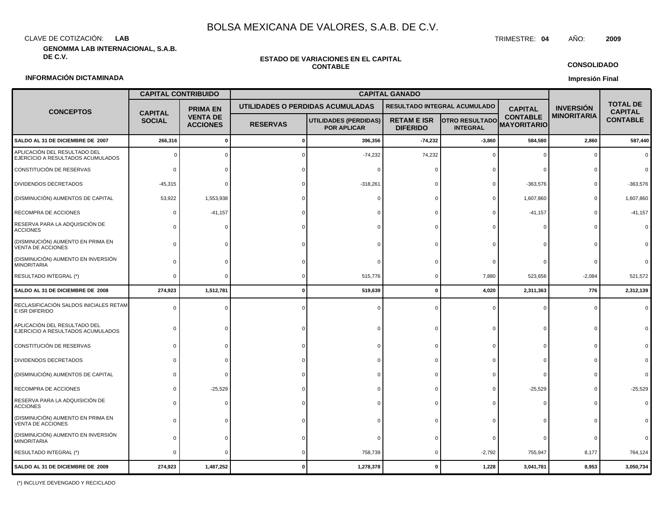CLAVE DE COTIZACIÓN: TRIMESTRE: **04** AÑO: **2009 LAB**

**GENOMMA LAB INTERNACIONAL, S.A.B.**

#### **ESTADO DE VARIACIONES EN EL CAPITAL CONTABLE**

**CONSOLIDADO**

**Impresión Final**

## **INFORMACIÓN DICTAMINADA**

|                                                                   | <b>CAPITAL CONTRIBUIDO</b>      |                                    | <b>CAPITAL GANADO</b> |                                                    |                                       |                                          |                                       |                    |                                   |
|-------------------------------------------------------------------|---------------------------------|------------------------------------|-----------------------|----------------------------------------------------|---------------------------------------|------------------------------------------|---------------------------------------|--------------------|-----------------------------------|
| <b>CONCEPTOS</b>                                                  |                                 | <b>PRIMA EN</b>                    |                       | UTILIDADES O PERDIDAS ACUMULADAS                   |                                       | RESULTADO INTEGRAL ACUMULADO             | <b>CAPITAL</b>                        | <b>INVERSIÓN</b>   | <b>TOTAL DE</b><br><b>CAPITAL</b> |
|                                                                   | <b>CAPITAL</b><br><b>SOCIAL</b> | <b>VENTA DE</b><br><b>ACCIONES</b> | <b>RESERVAS</b>       | <b>UTILIDADES (PERDIDAS)</b><br><b>POR APLICAR</b> | <b>RETAM E ISR</b><br><b>DIFERIDO</b> | <b>OTRO RESULTADO</b><br><b>INTEGRAL</b> | <b>CONTABLE</b><br><b>MAYORITARIO</b> | <b>MINORITARIA</b> | <b>CONTABLE</b>                   |
| SALDO AL 31 DE DICIEMBRE DE 2007                                  | 266,316                         | $\mathbf{0}$                       |                       | 396,356                                            | $-74,232$                             | $-3,860$                                 | 584,580                               | 2,860              | 587,440                           |
| APLICACIÓN DEL RESULTADO DEL<br>EJERCICIO A RESULTADOS ACUMULADOS |                                 |                                    |                       | $-74,232$                                          | 74,232                                |                                          |                                       |                    |                                   |
| CONSTITUCIÓN DE RESERVAS                                          |                                 |                                    |                       |                                                    |                                       |                                          |                                       |                    |                                   |
| DIVIDENDOS DECRETADOS                                             | $-45,315$                       |                                    |                       | $-318,261$                                         |                                       |                                          | $-363,576$                            |                    | $-363,576$                        |
| (DISMINUCIÓN) AUMENTOS DE CAPITAL                                 | 53,922                          | 1,553,938                          |                       |                                                    |                                       |                                          | 1,607,860                             |                    | 1,607,860                         |
| RECOMPRA DE ACCIONES                                              |                                 | $-41, 157$                         |                       |                                                    |                                       |                                          | $-41, 157$                            |                    | $-41,157$                         |
| RESERVA PARA LA ADQUISICIÓN DE<br><b>ACCIONES</b>                 |                                 |                                    |                       |                                                    |                                       |                                          |                                       |                    |                                   |
| (DISMINUCIÓN) AUMENTO EN PRIMA EN<br>VENTA DE ACCIONES            |                                 |                                    |                       |                                                    |                                       |                                          |                                       |                    |                                   |
| (DISMINUCIÓN) AUMENTO EN INVERSIÓN<br><b>MINORITARIA</b>          |                                 |                                    |                       |                                                    |                                       |                                          |                                       |                    |                                   |
| RESULTADO INTEGRAL (*)                                            | ſ                               |                                    |                       | 515,776                                            | n                                     | 7,880                                    | 523,656                               | $-2,084$           | 521,572                           |
| SALDO AL 31 DE DICIEMBRE DE 2008                                  | 274,923                         | 1,512,781                          | 0                     | 519,639                                            | $\Omega$                              | 4,020                                    | 2,311,363                             | 776                | 2,312,139                         |
| RECLASIFICACIÓN SALDOS INICIALES RETAM<br>E ISR DIFERIDO          | $\sqrt{ }$                      |                                    |                       |                                                    |                                       |                                          |                                       |                    |                                   |
| APLICACIÓN DEL RESULTADO DEL<br>EJERCICIO A RESULTADOS ACUMULADOS |                                 |                                    |                       |                                                    |                                       |                                          |                                       |                    |                                   |
| CONSTITUCIÓN DE RESERVAS                                          |                                 |                                    |                       |                                                    |                                       |                                          |                                       |                    |                                   |
| DIVIDENDOS DECRETADOS                                             |                                 |                                    |                       |                                                    |                                       |                                          |                                       |                    |                                   |
| (DISMINUCIÓN) AUMENTOS DE CAPITAL                                 |                                 |                                    |                       |                                                    |                                       |                                          |                                       |                    |                                   |
| RECOMPRA DE ACCIONES                                              |                                 | $-25,529$                          |                       |                                                    |                                       |                                          | $-25,529$                             |                    | $-25,529$                         |
| RESERVA PARA LA ADQUISICIÓN DE<br>ACCIONES                        |                                 |                                    |                       |                                                    |                                       |                                          |                                       |                    |                                   |
| (DISMINUCIÓN) AUMENTO EN PRIMA EN<br>VENTA DE ACCIONES            |                                 |                                    |                       |                                                    |                                       |                                          |                                       |                    |                                   |
| (DISMINUCIÓN) AUMENTO EN INVERSIÓN<br>MINORITARIA                 |                                 |                                    |                       |                                                    |                                       |                                          |                                       |                    |                                   |
| RESULTADO INTEGRAL (*)                                            |                                 |                                    |                       | 758,739                                            |                                       | $-2,792$                                 | 755,947                               | 8,177              | 764,124                           |
| SALDO AL 31 DE DICIEMBRE DE 2009                                  | 274,923                         | 1,487,252                          |                       | 1,278,378                                          |                                       | 1,228                                    | 3,041,781                             | 8,953              | 3,050,734                         |

(\*) INCLUYE DEVENGADO Y RECICLADO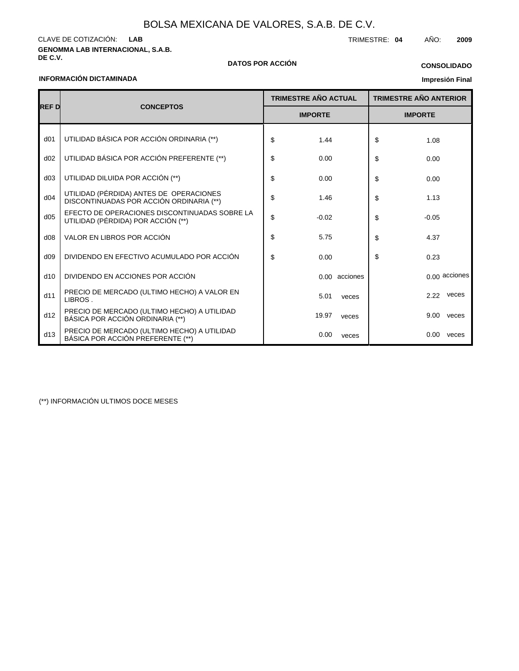**GENOMMA LAB INTERNACIONAL, S.A.B.** CLAVE DE COTIZACIÓN: TRIMESTRE: **04** AÑO: **2009 LAB**

**DE C.V. DATOS POR ACCIÓN**

## **CONSOLIDADO**

### **INFORMACIÓN DICTAMINADA**

## **Impresión Final**

|                                  |                                                                                     |    | <b>TRIMESTRE AÑO ACTUAL</b> |               | <b>TRIMESTRE AÑO ANTERIOR</b> |          |               |
|----------------------------------|-------------------------------------------------------------------------------------|----|-----------------------------|---------------|-------------------------------|----------|---------------|
| <b>REF D</b><br><b>CONCEPTOS</b> |                                                                                     |    | <b>IMPORTE</b>              |               | <b>IMPORTE</b>                |          |               |
| d <sub>01</sub>                  | UTILIDAD BÁSICA POR ACCIÓN ORDINARIA (**)                                           | \$ | 1.44                        |               | \$                            | 1.08     |               |
| d02                              | UTILIDAD BÁSICA POR ACCIÓN PREFERENTE (**)                                          | \$ | 0.00                        |               | \$                            | 0.00     |               |
| d03                              | UTILIDAD DILUIDA POR ACCIÓN (**)                                                    | \$ | 0.00                        |               | \$                            | 0.00     |               |
| d04                              | UTILIDAD (PÉRDIDA) ANTES DE OPERACIONES<br>DISCONTINUADAS POR ACCIÓN ORDINARIA (**) | \$ | 1.46                        |               | \$                            | 1.13     |               |
| d05                              | EFECTO DE OPERACIONES DISCONTINUADAS SOBRE LA<br>UTILIDAD (PÉRDIDA) POR ACCIÓN (**) | \$ | $-0.02$                     |               | \$                            | $-0.05$  |               |
| d08                              | VALOR EN LIBROS POR ACCIÓN                                                          | \$ | 5.75                        |               | \$                            | 4.37     |               |
| d09                              | DIVIDENDO EN EFECTIVO ACUMULADO POR ACCIÓN                                          | \$ | 0.00                        |               | \$                            | 0.23     |               |
| d10                              | DIVIDENDO EN ACCIONES POR ACCIÓN                                                    |    |                             | 0.00 acciones |                               |          | 0.00 acciones |
| d11                              | PRECIO DE MERCADO (ULTIMO HECHO) A VALOR EN<br>LIBROS.                              |    | 5.01                        | veces         |                               | 2.22     | veces         |
| d12                              | PRECIO DE MERCADO (ULTIMO HECHO) A UTILIDAD<br>BÁSICA POR ACCIÓN ORDINARIA (**)     |    | 19.97                       | veces         |                               | 9.00     | veces         |
| d13                              | PRECIO DE MERCADO (ULTIMO HECHO) A UTILIDAD<br>BÁSICA POR ACCIÓN PREFERENTE (**)    |    | 0.00                        | veces         |                               | $0.00\,$ | veces         |

(\*\*) INFORMACIÓN ULTIMOS DOCE MESES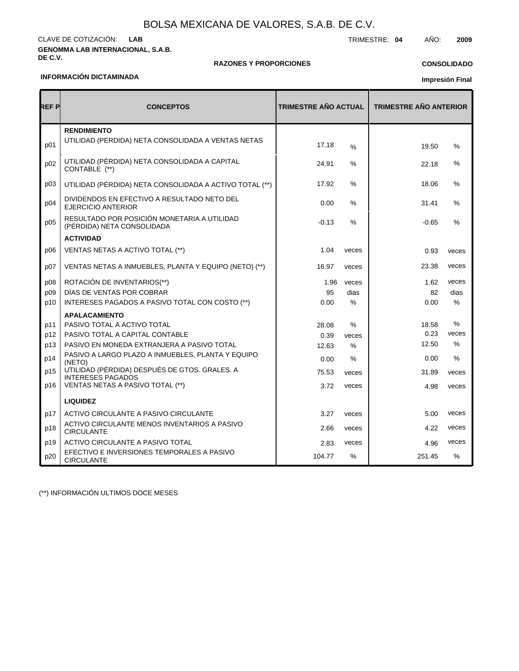#### **GENOMMA LAB INTERNACIONAL, S.A.B. DE C.V.** CLAVE DE COTIZACIÓN: TRIMESTRE: **04** AÑO: **2009 LAB**

### **RAZONES Y PROPORCIONES**

## **CONSOLIDADO**

## **INFORMACIÓN DICTAMINADA**

## **Impresión Final**

| REF P | <b>CONCEPTOS</b>                                                          | <b>TRIMESTRE AÑO ACTUAL</b> |       | <b>TRIMESTRE AÑO ANTERIOR</b> |               |  |
|-------|---------------------------------------------------------------------------|-----------------------------|-------|-------------------------------|---------------|--|
| p01   | <b>RENDIMIENTO</b><br>UTILIDAD (PERDIDA) NETA CONSOLIDADA A VENTAS NETAS  | 17.18                       | $\%$  | 19.50                         | %             |  |
| p02   | UTILIDAD (PÉRDIDA) NETA CONSOLIDADA A CAPITAL<br>CONTABLE (**)            | 24.91                       | %     | 22.18                         | %             |  |
| p03   | UTILIDAD (PÉRDIDA) NETA CONSOLIDADA A ACTIVO TOTAL (**)                   | 17.92                       | $\%$  | 18.06                         | %             |  |
| p04   | DIVIDENDOS EN EFECTIVO A RESULTADO NETO DEL<br><b>EJERCICIO ANTERIOR</b>  | 0.00                        | %     | 31.41                         | %             |  |
| p05   | RESULTADO POR POSICIÓN MONETARIA A UTILIDAD<br>(PÉRDIDA) NETA CONSOLIDADA | $-0.13$                     | $\%$  | $-0.65$                       | $\%$          |  |
|       | <b>ACTIVIDAD</b>                                                          |                             |       |                               |               |  |
| p06   | VENTAS NETAS A ACTIVO TOTAL (**)                                          | 1.04                        | veces | 0.93                          | veces         |  |
| p07   | VENTAS NETAS A INMUEBLES, PLANTA Y EQUIPO (NETO) (**)                     | 16.97                       | veces | 23.38                         | veces         |  |
| p08   | ROTACIÓN DE INVENTARIOS(**)                                               | 1.96                        | veces | 1.62                          | veces         |  |
| p09   | DIAS DE VENTAS POR COBRAR                                                 | 95                          | dias  | 82                            | dias          |  |
| p10   | INTERESES PAGADOS A PASIVO TOTAL CON COSTO (**)                           | 0.00                        | %     | 0.00                          | %             |  |
|       | <b>APALACAMIENTO</b>                                                      |                             |       |                               |               |  |
| p11   | PASIVO TOTAL A ACTIVO TOTAL                                               | 28.08                       | $\%$  | 18.58                         | %             |  |
| p12   | PASIVO TOTAL A CAPITAL CONTABLE                                           | 0.39                        | veces | 0.23                          | veces         |  |
| p13   | PASIVO EN MONEDA EXTRANJERA A PASIVO TOTAL                                | 12.63                       | $\%$  | 12.50                         | $\%$          |  |
| p14   | PASIVO A LARGO PLAZO A INMUEBLES, PLANTA Y EQUIPO<br>(NETO)               | 0.00                        | %     | 0.00                          | $\%$          |  |
| p15   | UTILIDAD (PÉRDIDA) DESPUÉS DE GTOS. GRALES. A<br><b>INTERESES PAGADOS</b> | 75.53                       | veces | 31.89                         | veces         |  |
| p16   | VENTAS NETAS A PASIVO TOTAL (**)                                          | 3.72                        | veces | 4.98                          | veces         |  |
|       | <b>LIQUIDEZ</b>                                                           |                             |       |                               |               |  |
| p17   | ACTIVO CIRCULANTE A PASIVO CIRCULANTE                                     | 3.27                        | veces | 5.00                          | veces         |  |
| p18   | ACTIVO CIRCULANTE MENOS INVENTARIOS A PASIVO<br><b>CIRCULANTE</b>         | 2.66                        | veces | 4.22                          | veces         |  |
| p19   | ACTIVO CIRCULANTE A PASIVO TOTAL                                          | 2.83                        | veces | 4.96                          | veces         |  |
| p20   | EFECTIVO E INVERSIONES TEMPORALES A PASIVO<br><b>CIRCULANTE</b>           | 104.77                      | $\%$  | 251.45                        | $\frac{0}{0}$ |  |

(\*\*) INFORMACIÓN ULTIMOS DOCE MESES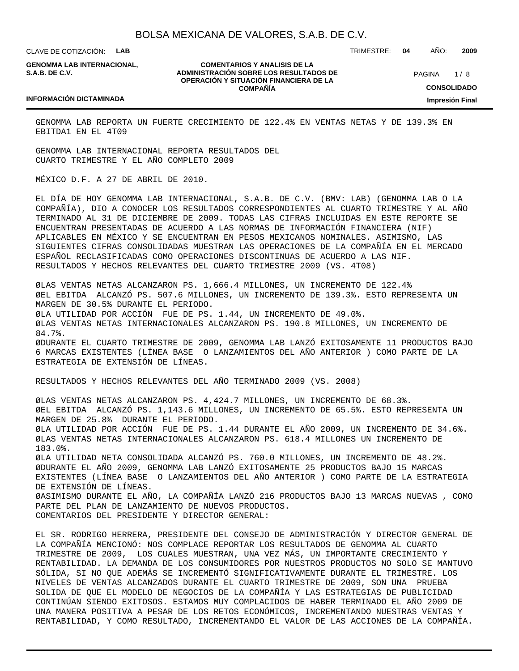CLAVE DE COTIZACIÓN: **LAB**

**GENOMMA LAB INTERNACIONAL, S.A.B. DE C.V.**

**COMENTARIOS Y ANALISIS DE LA ADMINISTRACIÓN SOBRE LOS RESULTADOS DE OPERACIÓN Y SITUACIÓN FINANCIERA DE LA COMPAÑÍA**

 $1/8$ **CONSOLIDADO Impresión Final** PAGINA

#### **INFORMACIÓN DICTAMINADA**

GENOMMA LAB REPORTA UN FUERTE CRECIMIENTO DE 122.4% EN VENTAS NETAS Y DE 139.3% EN EBITDA1 EN EL 4T09

GENOMMA LAB INTERNACIONAL REPORTA RESULTADOS DEL CUARTO TRIMESTRE Y EL AÑO COMPLETO 2009

MÉXICO D.F. A 27 DE ABRIL DE 2010.

EL DÍA DE HOY GENOMMA LAB INTERNACIONAL, S.A.B. DE C.V. (BMV: LAB) (GENOMMA LAB O LA COMPAÑÍA), DIO A CONOCER LOS RESULTADOS CORRESPONDIENTES AL CUARTO TRIMESTRE Y AL AÑO TERMINADO AL 31 DE DICIEMBRE DE 2009. TODAS LAS CIFRAS INCLUIDAS EN ESTE REPORTE SE ENCUENTRAN PRESENTADAS DE ACUERDO A LAS NORMAS DE INFORMACIÓN FINANCIERA (NIF) APLICABLES EN MÉXICO Y SE ENCUENTRAN EN PESOS MEXICANOS NOMINALES. ASIMISMO, LAS SIGUIENTES CIFRAS CONSOLIDADAS MUESTRAN LAS OPERACIONES DE LA COMPAÑÍA EN EL MERCADO ESPAÑOL RECLASIFICADAS COMO OPERACIONES DISCONTINUAS DE ACUERDO A LAS NIF. RESULTADOS Y HECHOS RELEVANTES DEL CUARTO TRIMESTRE 2009 (VS. 4T08)

Ø LAS VENTAS NETAS ALCANZARON PS. 1,666.4 MILLONES, UN INCREMENTO DE 122.4% Ø EL EBITDA ALCANZÓ PS. 507.6 MILLONES, UN INCREMENTO DE 139.3%. ESTO REPRESENTA UN MARGEN DE 30.5% DURANTE EL PERIODO. Ø LA UTILIDAD POR ACCIÓN FUE DE PS. 1.44, UN INCREMENTO DE 49.0%. Ø LAS VENTAS NETAS INTERNACIONALES ALCANZARON PS. 190.8 MILLONES, UN INCREMENTO DE 84.7%. Ø DURANTE EL CUARTO TRIMESTRE DE 2009, GENOMMA LAB LANZÓ EXITOSAMENTE 11 PRODUCTOS BAJO 6 MARCAS EXISTENTES (LÍNEA BASE O LANZAMIENTOS DEL AÑO ANTERIOR ) COMO PARTE DE LA ESTRATEGIA DE EXTENSIÓN DE LÍNEAS.

RESULTADOS Y HECHOS RELEVANTES DEL AÑO TERMINADO 2009 (VS. 2008)

Ø LAS VENTAS NETAS ALCANZARON PS. 4,424.7 MILLONES, UN INCREMENTO DE 68.3%. Ø EL EBITDA ALCANZÓ PS. 1,143.6 MILLONES, UN INCREMENTO DE 65.5%. ESTO REPRESENTA UN MARGEN DE 25.8% DURANTE EL PERIODO. Ø LA UTILIDAD POR ACCIÓN FUE DE PS. 1.44 DURANTE EL AÑO 2009, UN INCREMENTO DE 34.6%. Ø LAS VENTAS NETAS INTERNACIONALES ALCANZARON PS. 618.4 MILLONES UN INCREMENTO DE 183.0%. Ø LA UTILIDAD NETA CONSOLIDADA ALCANZÓ PS. 760.0 MILLONES, UN INCREMENTO DE 48.2%. Ø DURANTE EL AÑO 2009, GENOMMA LAB LANZÓ EXITOSAMENTE 25 PRODUCTOS BAJO 15 MARCAS EXISTENTES (LÍNEA BASE O LANZAMIENTOS DEL AÑO ANTERIOR ) COMO PARTE DE LA ESTRATEGIA DE EXTENSIÓN DE LÍNEAS. Ø ASIMISMO DURANTE EL AÑO, LA COMPAÑÍA LANZÓ 216 PRODUCTOS BAJO 13 MARCAS NUEVAS , COMO PARTE DEL PLAN DE LANZAMIENTO DE NUEVOS PRODUCTOS. COMENTARIOS DEL PRESIDENTE Y DIRECTOR GENERAL:

EL SR. RODRIGO HERRERA, PRESIDENTE DEL CONSEJO DE ADMINISTRACIÓN Y DIRECTOR GENERAL DE LA COMPAÑÍA MENCIONÓ: NOS COMPLACE REPORTAR LOS RESULTADOS DE GENOMMA AL CUARTO TRIMESTRE DE 2009, LOS CUALES MUESTRAN, UNA VEZ MÁS, UN IMPORTANTE CRECIMIENTO Y RENTABILIDAD. LA DEMANDA DE LOS CONSUMIDORES POR NUESTROS PRODUCTOS NO SOLO SE MANTUVO SÓLIDA, SI NO QUE ADEMÁS SE INCREMENTÓ SIGNIFICATIVAMENTE DURANTE EL TRIMESTRE. LOS NIVELES DE VENTAS ALCANZADOS DURANTE EL CUARTO TRIMESTRE DE 2009, SON UNA PRUEBA SOLIDA DE QUE EL MODELO DE NEGOCIOS DE LA COMPAÑÍA Y LAS ESTRATEGIAS DE PUBLICIDAD CONTINÚAN SIENDO EXITOSOS. ESTAMOS MUY COMPLACIDOS DE HABER TERMINADO EL AÑO 2009 DE UNA MANERA POSITIVA A PESAR DE LOS RETOS ECONÓMICOS, INCREMENTANDO NUESTRAS VENTAS Y RENTABILIDAD, Y COMO RESULTADO, INCREMENTANDO EL VALOR DE LAS ACCIONES DE LA COMPAÑÍA.

TRIMESTRE: **04** AÑO: **2009**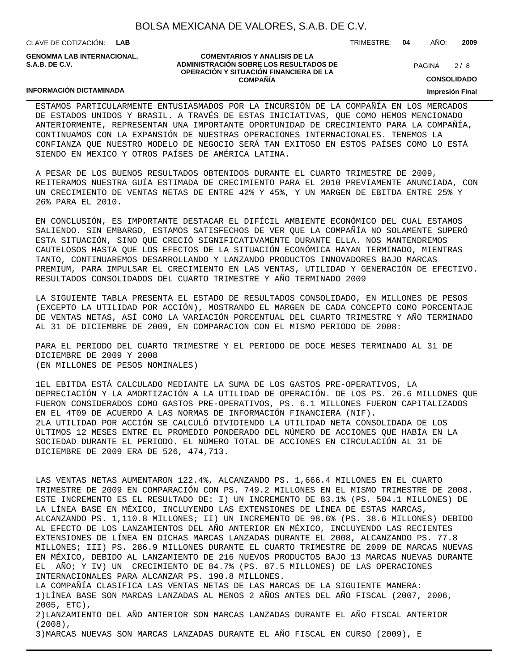CLAVE DE COTIZACIÓN: **LAB**

**GENOMMA LAB INTERNACIONAL, S.A.B. DE C.V.**

#### **COMENTARIOS Y ANALISIS DE LA ADMINISTRACIÓN SOBRE LOS RESULTADOS DE OPERACIÓN Y SITUACIÓN FINANCIERA DE LA COMPAÑÍA**

 $2/8$ PAGINA

TRIMESTRE: **04** AÑO: **2009**

**CONSOLIDADO**

## **INFORMACIÓN DICTAMINADA**

ESTAMOS PARTICULARMENTE ENTUSIASMADOS POR LA INCURSIÓN DE LA COMPAÑÍA EN LOS MERCADOS DE ESTADOS UNIDOS Y BRASIL. A TRAVÉS DE ESTAS INICIATIVAS, QUE COMO HEMOS MENCIONADO ANTERIORMENTE, REPRESENTAN UNA IMPORTANTE OPORTUNIDAD DE CRECIMIENTO PARA LA COMPAÑÍA, CONTINUAMOS CON LA EXPANSIÓN DE NUESTRAS OPERACIONES INTERNACIONALES. TENEMOS LA CONFIANZA QUE NUESTRO MODELO DE NEGOCIO SERÁ TAN EXITOSO EN ESTOS PAÍSES COMO LO ESTÁ SIENDO EN MEXICO Y OTROS PAÍSES DE AMÉRICA LATINA.

A PESAR DE LOS BUENOS RESULTADOS OBTENIDOS DURANTE EL CUARTO TRIMESTRE DE 2009, REITERAMOS NUESTRA GUÍA ESTIMADA DE CRECIMIENTO PARA EL 2010 PREVIAMENTE ANUNCIADA, CON UN CRECIMIENTO DE VENTAS NETAS DE ENTRE 42% Y 45%, Y UN MARGEN DE EBITDA ENTRE 25% Y 26% PARA EL 2010.

EN CONCLUSIÓN, ES IMPORTANTE DESTACAR EL DIFÍCIL AMBIENTE ECONÓMICO DEL CUAL ESTAMOS SALIENDO. SIN EMBARGO, ESTAMOS SATISFECHOS DE VER QUE LA COMPAÑÍA NO SOLAMENTE SUPERÓ ESTA SITUACIÓN, SINO QUE CRECIÓ SIGNIFICATIVAMENTE DURANTE ELLA. NOS MANTENDREMOS CAUTELOSOS HASTA QUE LOS EFECTOS DE LA SITUACIÓN ECONÓMICA HAYAN TERMINADO, MIENTRAS TANTO, CONTINUAREMOS DESARROLLANDO Y LANZANDO PRODUCTOS INNOVADORES BAJO MARCAS PREMIUM, PARA IMPULSAR EL CRECIMIENTO EN LAS VENTAS, UTILIDAD Y GENERACIÓN DE EFECTIVO. RESULTADOS CONSOLIDADOS DEL CUARTO TRIMESTRE Y AÑO TERMINADO 2009

LA SIGUIENTE TABLA PRESENTA EL ESTADO DE RESULTADOS CONSOLIDADO, EN MILLONES DE PESOS (EXCEPTO LA UTILIDAD POR ACCIÓN), MOSTRANDO EL MARGEN DE CADA CONCEPTO COMO PORCENTAJE DE VENTAS NETAS, ASÍ COMO LA VARIACIÓN PORCENTUAL DEL CUARTO TRIMESTRE Y AÑO TERMINADO AL 31 DE DICIEMBRE DE 2009, EN COMPARACION CON EL MISMO PERIODO DE 2008:

PARA EL PERIODO DEL CUARTO TRIMESTRE Y EL PERIODO DE DOCE MESES TERMINADO AL 31 DE DICIEMBRE DE 2009 Y 2008 (EN MILLONES DE PESOS NOMINALES)

1EL EBITDA ESTÁ CALCULADO MEDIANTE LA SUMA DE LOS GASTOS PRE-OPERATIVOS, LA DEPRECIACIÓN Y LA AMORTIZACIÓN A LA UTILIDAD DE OPERACIÓN. DE LOS PS. 26.6 MILLONES QUE FUERON CONSIDERADOS COMO GASTOS PRE-OPERATIVOS, PS. 6.1 MILLONES FUERON CAPITALIZADOS EN EL 4T09 DE ACUERDO A LAS NORMAS DE INFORMACIÓN FINANCIERA (NIF). 2LA UTILIDAD POR ACCIÓN SE CALCULÓ DIVIDIENDO LA UTILIDAD NETA CONSOLIDADA DE LOS ÚLTIMOS 12 MESES ENTRE EL PROMEDIO PONDERADO DEL NÚMERO DE ACCIONES QUE HABÍA EN LA SOCIEDAD DURANTE EL PERIODO. EL NÚMERO TOTAL DE ACCIONES EN CIRCULACIÓN AL 31 DE DICIEMBRE DE 2009 ERA DE 526, 474,713.

LAS VENTAS NETAS AUMENTARON 122.4%, ALCANZANDO PS. 1,666.4 MILLONES EN EL CUARTO TRIMESTRE DE 2009 EN COMPARACIÓN CON PS. 749.2 MILLONES EN EL MISMO TRIMESTRE DE 2008. ESTE INCREMENTO ES EL RESULTADO DE: I) UN INCREMENTO DE 83.1% (PS. 504.1 MILLONES) DE LA LÍNEA BASE EN MÉXICO, INCLUYENDO LAS EXTENSIONES DE LÍNEA DE ESTAS MARCAS, ALCANZANDO PS. 1,110.8 MILLONES; II) UN INCREMENTO DE 98.6% (PS. 38.6 MILLONES) DEBIDO AL EFECTO DE LOS LANZAMIENTOS DEL AÑO ANTERIOR EN MÉXICO, INCLUYENDO LAS RECIENTES EXTENSIONES DE LÍNEA EN DICHAS MARCAS LANZADAS DURANTE EL 2008, ALCANZANDO PS. 77.8 MILLONES; III) PS. 286.9 MILLONES DURANTE EL CUARTO TRIMESTRE DE 2009 DE MARCAS NUEVAS EN MÉXICO, DEBIDO AL LANZAMIENTO DE 216 NUEVOS PRODUCTOS BAJO 13 MARCAS NUEVAS DURANTE EL AÑO; Y IV) UN CRECIMIENTO DE 84.7% (PS. 87.5 MILLONES) DE LAS OPERACIONES INTERNACIONALES PARA ALCANZAR PS. 190.8 MILLONES.

LA COMPAÑÍA CLASIFICA LAS VENTAS NETAS DE LAS MARCAS DE LA SIGUIENTE MANERA: 1) LÍNEA BASE SON MARCAS LANZADAS AL MENOS 2 AÑOS ANTES DEL AÑO FISCAL (2007, 2006, 2005, ETC),

2) LANZAMIENTO DEL AÑO ANTERIOR SON MARCAS LANZADAS DURANTE EL AÑO FISCAL ANTERIOR (2008),

3) MARCAS NUEVAS SON MARCAS LANZADAS DURANTE EL AÑO FISCAL EN CURSO (2009), E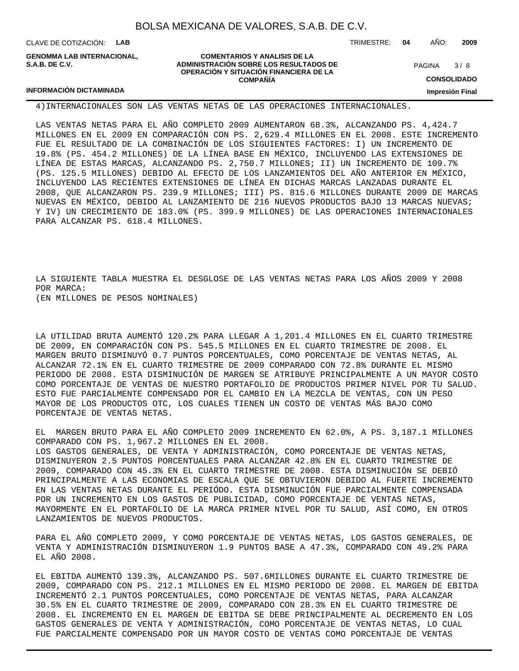CLAVE DE COTIZACIÓN: **LAB**

**INFORMACIÓN DICTAMINADA**

**GENOMMA LAB INTERNACIONAL, S.A.B. DE C.V.**

**COMENTARIOS Y ANALISIS DE LA ADMINISTRACIÓN SOBRE LOS RESULTADOS DE OPERACIÓN Y SITUACIÓN FINANCIERA DE LA COMPAÑÍA**

TRIMESTRE: **04** AÑO: **2009**

 $3/8$ PAGINA

**CONSOLIDADO**

**Impresión Final**

#### 4) INTERNACIONALES SON LAS VENTAS NETAS DE LAS OPERACIONES INTERNACIONALES.

LAS VENTAS NETAS PARA EL AÑO COMPLETO 2009 AUMENTARON 68.3%, ALCANZANDO PS. 4,424.7 MILLONES EN EL 2009 EN COMPARACIÓN CON PS. 2,629.4 MILLONES EN EL 2008. ESTE INCREMENTO FUE EL RESULTADO DE LA COMBINACIÓN DE LOS SIGUIENTES FACTORES: I) UN INCREMENTO DE 19.8% (PS. 454.2 MILLONES) DE LA LÍNEA BASE EN MÉXICO, INCLUYENDO LAS EXTENSIONES DE LÍNEA DE ESTAS MARCAS, ALCANZANDO PS. 2,750.7 MILLONES; II) UN INCREMENTO DE 109.7% (PS. 125.5 MILLONES) DEBIDO AL EFECTO DE LOS LANZAMIENTOS DEL AÑO ANTERIOR EN MÉXICO, INCLUYENDO LAS RECIENTES EXTENSIONES DE LÍNEA EN DICHAS MARCAS LANZADAS DURANTE EL 2008, QUE ALCANZARON PS. 239.9 MILLONES; III) PS. 815.6 MILLONES DURANTE 2009 DE MARCAS NUEVAS EN MÉXICO, DEBIDO AL LANZAMIENTO DE 216 NUEVOS PRODUCTOS BAJO 13 MARCAS NUEVAS; Y IV) UN CRECIMIENTO DE 183.0% (PS. 399.9 MILLONES) DE LAS OPERACIONES INTERNACIONALES PARA ALCANZAR PS. 618.4 MILLONES.

LA SIGUIENTE TABLA MUESTRA EL DESGLOSE DE LAS VENTAS NETAS PARA LOS AÑOS 2009 Y 2008 POR MARCA: (EN MILLONES DE PESOS NOMINALES)

LA UTILIDAD BRUTA AUMENTÓ 120.2% PARA LLEGAR A 1,201.4 MILLONES EN EL CUARTO TRIMESTRE DE 2009, EN COMPARACIÓN CON PS. 545.5 MILLONES EN EL CUARTO TRIMESTRE DE 2008. EL MARGEN BRUTO DISMINUYÓ 0.7 PUNTOS PORCENTUALES, COMO PORCENTAJE DE VENTAS NETAS, AL ALCANZAR 72.1% EN EL CUARTO TRIMESTRE DE 2009 COMPARADO CON 72.8% DURANTE EL MISMO PERIODO DE 2008. ESTA DISMINUCIÓN DE MARGEN SE ATRIBUYE PRINCIPALMENTE A UN MAYOR COSTO COMO PORCENTAJE DE VENTAS DE NUESTRO PORTAFOLIO DE PRODUCTOS PRIMER NIVEL POR TU SALUD. ESTO FUE PARCIALMENTE COMPENSADO POR EL CAMBIO EN LA MEZCLA DE VENTAS, CON UN PESO MAYOR DE LOS PRODUCTOS OTC, LOS CUALES TIENEN UN COSTO DE VENTAS MÁS BAJO COMO PORCENTAJE DE VENTAS NETAS.

EL MARGEN BRUTO PARA EL AÑO COMPLETO 2009 INCREMENTO EN 62.0%, A PS. 3,187.1 MILLONES COMPARADO CON PS. 1,967.2 MILLONES EN EL 2008. LOS GASTOS GENERALES, DE VENTA Y ADMINISTRACIÓN, COMO PORCENTAJE DE VENTAS NETAS, DISMINUYERON 2.5 PUNTOS PORCENTUALES PARA ALCANZAR 42.8% EN EL CUARTO TRIMESTRE DE 2009, COMPARADO CON 45.3% EN EL CUARTO TRIMESTRE DE 2008. ESTA DISMINUCIÓN SE DEBIÓ PRINCIPALMENTE A LAS ECONOMIAS DE ESCALA QUE SE OBTUVIERON DEBIDO AL FUERTE INCREMENTO EN LAS VENTAS NETAS DURANTE EL PERIÓDO. ESTA DISMINUCIÓN FUE PARCIALMENTE COMPENSADA POR UN INCREMENTO EN LOS GASTOS DE PUBLICIDAD, COMO PORCENTAJE DE VENTAS NETAS, MAYORMENTE EN EL PORTAFOLIO DE LA MARCA PRIMER NIVEL POR TU SALUD, ASÍ COMO, EN OTROS LANZAMIENTOS DE NUEVOS PRODUCTOS.

PARA EL AÑO COMPLETO 2009, Y COMO PORCENTAJE DE VENTAS NETAS, LOS GASTOS GENERALES, DE VENTA Y ADMINISTRACIÓN DISMINUYERON 1.9 PUNTOS BASE A 47.3%, COMPARADO CON 49.2% PARA EL AÑO 2008.

EL EBITDA AUMENTÓ 139.3%, ALCANZANDO PS. 507.6MILLONES DURANTE EL CUARTO TRIMESTRE DE 2009, COMPARADO CON PS. 212.1 MILLONES EN EL MISMO PERIODO DE 2008. EL MARGEN DE EBITDA INCREMENTÓ 2.1 PUNTOS PORCENTUALES, COMO PORCENTAJE DE VENTAS NETAS, PARA ALCANZAR 30.5% EN EL CUARTO TRIMESTRE DE 2009, COMPARADO CON 28.3% EN EL CUARTO TRIMESTRE DE 2008. EL INCREMENTO EN EL MARGEN DE EBITDA SE DEBE PRINCIPALMENTE AL DECREMENTO EN LOS GASTOS GENERALES DE VENTA Y ADMINISTRACIÓN, COMO PORCENTAJE DE VENTAS NETAS, LO CUAL FUE PARCIALMENTE COMPENSADO POR UN MAYOR COSTO DE VENTAS COMO PORCENTAJE DE VENTAS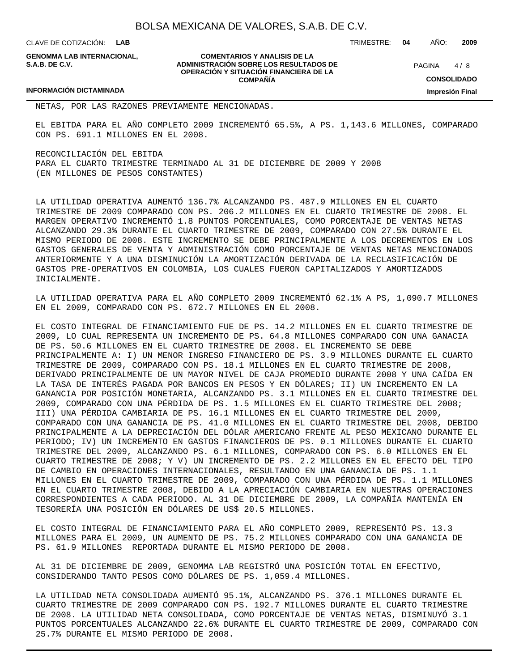CLAVE DE COTIZACIÓN: **LAB**

**GENOMMA LAB INTERNACIONAL, S.A.B. DE C.V.**

**COMENTARIOS Y ANALISIS DE LA ADMINISTRACIÓN SOBRE LOS RESULTADOS DE OPERACIÓN Y SITUACIÓN FINANCIERA DE LA COMPAÑÍA**

 $4/8$ **PAGINA** 

TRIMESTRE: **04** AÑO: **2009**

**CONSOLIDADO**

**Impresión Final**

#### **INFORMACIÓN DICTAMINADA**

NETAS, POR LAS RAZONES PREVIAMENTE MENCIONADAS.

EL EBITDA PARA EL AÑO COMPLETO 2009 INCREMENTÓ 65.5%, A PS. 1,143.6 MILLONES, COMPARADO CON PS. 691.1 MILLONES EN EL 2008.

RECONCILIACIÓN DEL EBITDA PARA EL CUARTO TRIMESTRE TERMINADO AL 31 DE DICIEMBRE DE 2009 Y 2008 (EN MILLONES DE PESOS CONSTANTES)

LA UTILIDAD OPERATIVA AUMENTÓ 136.7% ALCANZANDO PS. 487.9 MILLONES EN EL CUARTO TRIMESTRE DE 2009 COMPARADO CON PS. 206.2 MILLONES EN EL CUARTO TRIMESTRE DE 2008. EL MARGEN OPERATIVO INCREMENTÓ 1.8 PUNTOS PORCENTUALES, COMO PORCENTAJE DE VENTAS NETAS ALCANZANDO 29.3% DURANTE EL CUARTO TRIMESTRE DE 2009, COMPARADO CON 27.5% DURANTE EL MISMO PERIODO DE 2008. ESTE INCREMENTO SE DEBE PRINCIPALMENTE A LOS DECREMENTOS EN LOS GASTOS GENERALES DE VENTA Y ADMINISTRACIÓN COMO PORCENTAJE DE VENTAS NETAS MENCIONADOS ANTERIORMENTE Y A UNA DISMINUCIÓN LA AMORTIZACIÓN DERIVADA DE LA RECLASIFICACIÓN DE GASTOS PRE-OPERATIVOS EN COLOMBIA, LOS CUALES FUERON CAPITALIZADOS Y AMORTIZADOS INICIALMENTE.

LA UTILIDAD OPERATIVA PARA EL AÑO COMPLETO 2009 INCREMENTÓ 62.1% A PS, 1,090.7 MILLONES EN EL 2009, COMPARADO CON PS. 672.7 MILLONES EN EL 2008.

EL COSTO INTEGRAL DE FINANCIAMIENTO FUE DE PS. 14.2 MILLONES EN EL CUARTO TRIMESTRE DE 2009, LO CUAL REPRESENTA UN INCREMENTO DE PS. 64.8 MILLONES COMPARADO CON UNA GANACIA DE PS. 50.6 MILLONES EN EL CUARTO TRIMESTRE DE 2008. EL INCREMENTO SE DEBE PRINCIPALMENTE A: I) UN MENOR INGRESO FINANCIERO DE PS. 3.9 MILLONES DURANTE EL CUARTO TRIMESTRE DE 2009, COMPARADO CON PS. 18.1 MILLONES EN EL CUARTO TRIMESTRE DE 2008, DERIVADO PRINCIPALMENTE DE UN MAYOR NIVEL DE CAJA PROMEDIO DURANTE 2008 Y UNA CAÍDA EN LA TASA DE INTERÉS PAGADA POR BANCOS EN PESOS Y EN DÓLARES; II) UN INCREMENTO EN LA GANANCIA POR POSICIÓN MONETARIA, ALCANZANDO PS. 3.1 MILLONES EN EL CUARTO TRIMESTRE DEL 2009, COMPARADO CON UNA PÉRDIDA DE PS. 1.5 MILLONES EN EL CUARTO TRIMESTRE DEL 2008; III) UNA PÉRDIDA CAMBIARIA DE PS. 16.1 MILLONES EN EL CUARTO TRIMESTRE DEL 2009, COMPARADO CON UNA GANANCIA DE PS. 41.0 MILLONES EN EL CUARTO TRIMESTRE DEL 2008, DEBIDO PRINCIPALMENTE A LA DEPRECIACIÓN DEL DÓLAR AMERICANO FRENTE AL PESO MEXICANO DURANTE EL PERIODO; IV) UN INCREMENTO EN GASTOS FINANCIEROS DE PS. 0.1 MILLONES DURANTE EL CUARTO TRIMESTRE DEL 2009, ALCANZANDO PS. 6.1 MILLONES, COMPARADO CON PS. 6.0 MILLONES EN EL CUARTO TRIMESTRE DE 2008; Y V) UN INCREMENTO DE PS. 2.2 MILLONES EN EL EFECTO DEL TIPO DE CAMBIO EN OPERACIONES INTERNACIONALES, RESULTANDO EN UNA GANANCIA DE PS. 1.1 MILLONES EN EL CUARTO TRIMESTRE DE 2009, COMPARADO CON UNA PÉRDIDA DE PS. 1.1 MILLONES EN EL CUARTO TRIMESTRE 2008, DEBIDO A LA APRECIACIÓN CAMBIARIA EN NUESTRAS OPERACIONES CORRESPONDIENTES A CADA PERIODO. AL 31 DE DICIEMBRE DE 2009, LA COMPAÑÍA MANTENÍA EN TESORERÍA UNA POSICIÓN EN DÓLARES DE US\$ 20.5 MILLONES.

EL COSTO INTEGRAL DE FINANCIAMIENTO PARA EL AÑO COMPLETO 2009, REPRESENTÓ PS. 13.3 MILLONES PARA EL 2009, UN AUMENTO DE PS. 75.2 MILLONES COMPARADO CON UNA GANANCIA DE PS. 61.9 MILLONES REPORTADA DURANTE EL MISMO PERIODO DE 2008.

AL 31 DE DICIEMBRE DE 2009, GENOMMA LAB REGISTRÓ UNA POSICIÓN TOTAL EN EFECTIVO, CONSIDERANDO TANTO PESOS COMO DÓLARES DE PS. 1,059.4 MILLONES.

LA UTILIDAD NETA CONSOLIDADA AUMENTÓ 95.1%, ALCANZANDO PS. 376.1 MILLONES DURANTE EL CUARTO TRIMESTRE DE 2009 COMPARADO CON PS. 192.7 MILLONES DURANTE EL CUARTO TRIMESTRE DE 2008. LA UTILIDAD NETA CONSOLIDADA, COMO PORCENTAJE DE VENTAS NETAS, DISMINUYÓ 3.1 PUNTOS PORCENTUALES ALCANZANDO 22.6% DURANTE EL CUARTO TRIMESTRE DE 2009, COMPARADO CON 25.7% DURANTE EL MISMO PERIODO DE 2008.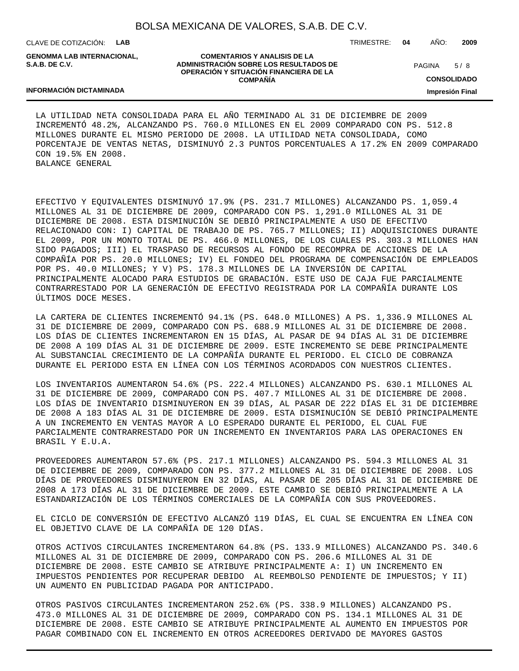CLAVE DE COTIZACIÓN: **LAB**

**S.A.B. DE C.V.**

**COMENTARIOS Y ANALISIS DE LA ADMINISTRACIÓN SOBRE LOS RESULTADOS DE OPERACIÓN Y SITUACIÓN FINANCIERA DE LA COMPAÑÍA**

TRIMESTRE: **04** AÑO: **2009**

 $5/8$ **PAGINA** 

**CONSOLIDADO**

**Impresión Final**

## LA UTILIDAD NETA CONSOLIDADA PARA EL AÑO TERMINADO AL 31 DE DICIEMBRE DE 2009 INCREMENTÓ 48.2%, ALCANZANDO PS. 760.0 MILLONES EN EL 2009 COMPARADO CON PS. 512.8 MILLONES DURANTE EL MISMO PERIODO DE 2008. LA UTILIDAD NETA CONSOLIDADA, COMO PORCENTAJE DE VENTAS NETAS, DISMINUYÓ 2.3 PUNTOS PORCENTUALES A 17.2% EN 2009 COMPARADO CON 19.5% EN 2008. BALANCE GENERAL

EFECTIVO Y EQUIVALENTES DISMINUYÓ 17.9% (PS. 231.7 MILLONES) ALCANZANDO PS. 1,059.4 MILLONES AL 31 DE DICIEMBRE DE 2009, COMPARADO CON PS. 1,291.0 MILLONES AL 31 DE DICIEMBRE DE 2008. ESTA DISMINUCIÓN SE DEBIÓ PRINCIPALMENTE A USO DE EFECTIVO RELACIONADO CON: I) CAPITAL DE TRABAJO DE PS. 765.7 MILLONES; II) ADQUISICIONES DURANTE EL 2009, POR UN MONTO TOTAL DE PS. 466.0 MILLONES, DE LOS CUALES PS. 303.3 MILLONES HAN SIDO PAGADOS; III) EL TRASPASO DE RECURSOS AL FONDO DE RECOMPRA DE ACCIONES DE LA COMPAÑÍA POR PS. 20.0 MILLONES; IV) EL FONDEO DEL PROGRAMA DE COMPENSACIÓN DE EMPLEADOS POR PS. 40.0 MILLONES; Y V) PS. 178.3 MILLONES DE LA INVERSIÓN DE CAPITAL PRINCIPALMENTE ALOCADO PARA ESTUDIOS DE GRABACIÓN. ESTE USO DE CAJA FUE PARCIALMENTE CONTRARRESTADO POR LA GENERACIÓN DE EFECTIVO REGISTRADA POR LA COMPAÑÍA DURANTE LOS ÚLTIMOS DOCE MESES.

LA CARTERA DE CLIENTES INCREMENTÓ 94.1% (PS. 648.0 MILLONES) A PS. 1,336.9 MILLONES AL 31 DE DICIEMBRE DE 2009, COMPARADO CON PS. 688.9 MILLONES AL 31 DE DICIEMBRE DE 2008. LOS DÍAS DE CLIENTES INCREMENTARON EN 15 DÍAS, AL PASAR DE 94 DÍAS AL 31 DE DICIEMBRE DE 2008 A 109 DÍAS AL 31 DE DICIEMBRE DE 2009. ESTE INCREMENTO SE DEBE PRINCIPALMENTE AL SUBSTANCIAL CRECIMIENTO DE LA COMPAÑÍA DURANTE EL PERIODO. EL CICLO DE COBRANZA DURANTE EL PERIODO ESTA EN LÍNEA CON LOS TÉRMINOS ACORDADOS CON NUESTROS CLIENTES.

LOS INVENTARIOS AUMENTARON 54.6% (PS. 222.4 MILLONES) ALCANZANDO PS. 630.1 MILLONES AL 31 DE DICIEMBRE DE 2009, COMPARADO CON PS. 407.7 MILLONES AL 31 DE DICIEMBRE DE 2008. LOS DÍAS DE INVENTARIO DISMINUYERON EN 39 DÍAS, AL PASAR DE 222 DÍAS EL 31 DE DICIEMBRE DE 2008 A 183 DÍAS AL 31 DE DICIEMBRE DE 2009. ESTA DISMINUCIÓN SE DEBIÓ PRINCIPALMENTE A UN INCREMENTO EN VENTAS MAYOR A LO ESPERADO DURANTE EL PERIODO, EL CUAL FUE PARCIALMENTE CONTRARRESTADO POR UN INCREMENTO EN INVENTARIOS PARA LAS OPERACIONES EN BRASIL Y E.U.A.

PROVEEDORES AUMENTARON 57.6% (PS. 217.1 MILLONES) ALCANZANDO PS. 594.3 MILLONES AL 31 DE DICIEMBRE DE 2009, COMPARADO CON PS. 377.2 MILLONES AL 31 DE DICIEMBRE DE 2008. LOS DÍAS DE PROVEEDORES DISMINUYERON EN 32 DÍAS, AL PASAR DE 205 DÍAS AL 31 DE DICIEMBRE DE 2008 A 173 DÍAS AL 31 DE DICIEMBRE DE 2009. ESTE CAMBIO SE DEBIÓ PRINCIPALMENTE A LA ESTANDARIZACIÓN DE LOS TÉRMINOS COMERCIALES DE LA COMPAÑÍA CON SUS PROVEEDORES.

EL CICLO DE CONVERSIÓN DE EFECTIVO ALCANZÓ 119 DÍAS, EL CUAL SE ENCUENTRA EN LÍNEA CON EL OBJETIVO CLAVE DE LA COMPAÑÍA DE 120 DÍAS.

OTROS ACTIVOS CIRCULANTES INCREMENTARON 64.8% (PS. 133.9 MILLONES) ALCANZANDO PS. 340.6 MILLONES AL 31 DE DICIEMBRE DE 2009, COMPARADO CON PS. 206.6 MILLONES AL 31 DE DICIEMBRE DE 2008. ESTE CAMBIO SE ATRIBUYE PRINCIPALMENTE A: I) UN INCREMENTO EN IMPUESTOS PENDIENTES POR RECUPERAR DEBIDO AL REEMBOLSO PENDIENTE DE IMPUESTOS; Y II) UN AUMENTO EN PUBLICIDAD PAGADA POR ANTICIPADO.

OTROS PASIVOS CIRCULANTES INCREMENTARON 252.6% (PS. 338.9 MILLONES) ALCANZANDO PS. 473.0 MILLONES AL 31 DE DICIEMBRE DE 2009, COMPARADO CON PS. 134.1 MILLONES AL 31 DE DICIEMBRE DE 2008. ESTE CAMBIO SE ATRIBUYE PRINCIPALMENTE AL AUMENTO EN IMPUESTOS POR PAGAR COMBINADO CON EL INCREMENTO EN OTROS ACREEDORES DERIVADO DE MAYORES GASTOS

**GENOMMA LAB INTERNACIONAL,**

**INFORMACIÓN DICTAMINADA**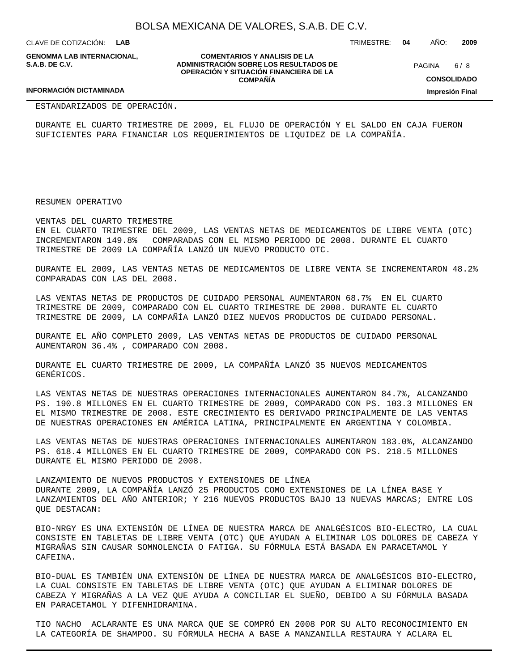CLAVE DE COTIZACIÓN: **LAB**

**GENOMMA LAB INTERNACIONAL, S.A.B. DE C.V.**

**COMENTARIOS Y ANALISIS DE LA ADMINISTRACIÓN SOBRE LOS RESULTADOS DE OPERACIÓN Y SITUACIÓN FINANCIERA DE LA COMPAÑÍA**

 $6/8$ PAGINA

TRIMESTRE: **04** AÑO: **2009**

**CONSOLIDADO**

**Impresión Final**

## **INFORMACIÓN DICTAMINADA**

ESTANDARIZADOS DE OPERACIÓN.

DURANTE EL CUARTO TRIMESTRE DE 2009, EL FLUJO DE OPERACIÓN Y EL SALDO EN CAJA FUERON SUFICIENTES PARA FINANCIAR LOS REQUERIMIENTOS DE LIQUIDEZ DE LA COMPAÑÍA.

RESUMEN OPERATIVO

VENTAS DEL CUARTO TRIMESTRE

EN EL CUARTO TRIMESTRE DEL 2009, LAS VENTAS NETAS DE MEDICAMENTOS DE LIBRE VENTA (OTC) INCREMENTARON 149.8% COMPARADAS CON EL MISMO PERIODO DE 2008. DURANTE EL CUARTO TRIMESTRE DE 2009 LA COMPAÑÍA LANZÓ UN NUEVO PRODUCTO OTC.

DURANTE EL 2009, LAS VENTAS NETAS DE MEDICAMENTOS DE LIBRE VENTA SE INCREMENTARON 48.2% COMPARADAS CON LAS DEL 2008.

LAS VENTAS NETAS DE PRODUCTOS DE CUIDADO PERSONAL AUMENTARON 68.7% EN EL CUARTO TRIMESTRE DE 2009, COMPARADO CON EL CUARTO TRIMESTRE DE 2008. DURANTE EL CUARTO TRIMESTRE DE 2009, LA COMPAÑÍA LANZÓ DIEZ NUEVOS PRODUCTOS DE CUIDADO PERSONAL.

DURANTE EL AÑO COMPLETO 2009, LAS VENTAS NETAS DE PRODUCTOS DE CUIDADO PERSONAL AUMENTARON 36.4% , COMPARADO CON 2008.

DURANTE EL CUARTO TRIMESTRE DE 2009, LA COMPAÑÍA LANZÓ 35 NUEVOS MEDICAMENTOS GENÉRICOS.

LAS VENTAS NETAS DE NUESTRAS OPERACIONES INTERNACIONALES AUMENTARON 84.7%, ALCANZANDO PS. 190.8 MILLONES EN EL CUARTO TRIMESTRE DE 2009, COMPARADO CON PS. 103.3 MILLONES EN EL MISMO TRIMESTRE DE 2008. ESTE CRECIMIENTO ES DERIVADO PRINCIPALMENTE DE LAS VENTAS DE NUESTRAS OPERACIONES EN AMÉRICA LATINA, PRINCIPALMENTE EN ARGENTINA Y COLOMBIA.

LAS VENTAS NETAS DE NUESTRAS OPERACIONES INTERNACIONALES AUMENTARON 183.0%, ALCANZANDO PS. 618.4 MILLONES EN EL CUARTO TRIMESTRE DE 2009, COMPARADO CON PS. 218.5 MILLONES DURANTE EL MISMO PERIODO DE 2008.

LANZAMIENTO DE NUEVOS PRODUCTOS Y EXTENSIONES DE LÍNEA DURANTE 2009, LA COMPAÑÍA LANZÓ 25 PRODUCTOS COMO EXTENSIONES DE LA LÍNEA BASE Y LANZAMIENTOS DEL AÑO ANTERIOR; Y 216 NUEVOS PRODUCTOS BAJO 13 NUEVAS MARCAS; ENTRE LOS QUE DESTACAN:

BIO-NRGY ES UNA EXTENSIÓN DE LÍNEA DE NUESTRA MARCA DE ANALGÉSICOS BIO-ELECTRO, LA CUAL CONSISTE EN TABLETAS DE LIBRE VENTA (OTC) QUE AYUDAN A ELIMINAR LOS DOLORES DE CABEZA Y MIGRAÑAS SIN CAUSAR SOMNOLENCIA O FATIGA. SU FÓRMULA ESTÁ BASADA EN PARACETAMOL Y CAFEINA.

BIO-DUAL ES TAMBIÉN UNA EXTENSIÓN DE LÍNEA DE NUESTRA MARCA DE ANALGÉSICOS BIO-ELECTRO, LA CUAL CONSISTE EN TABLETAS DE LIBRE VENTA (OTC) QUE AYUDAN A ELIMINAR DOLORES DE CABEZA Y MIGRAÑAS A LA VEZ QUE AYUDA A CONCILIAR EL SUEÑO, DEBIDO A SU FÓRMULA BASADA EN PARACETAMOL Y DIFENHIDRAMINA.

TIO NACHO ACLARANTE ES UNA MARCA QUE SE COMPRÓ EN 2008 POR SU ALTO RECONOCIMIENTO EN LA CATEGORÍA DE SHAMPOO. SU FÓRMULA HECHA A BASE A MANZANILLA RESTAURA Y ACLARA EL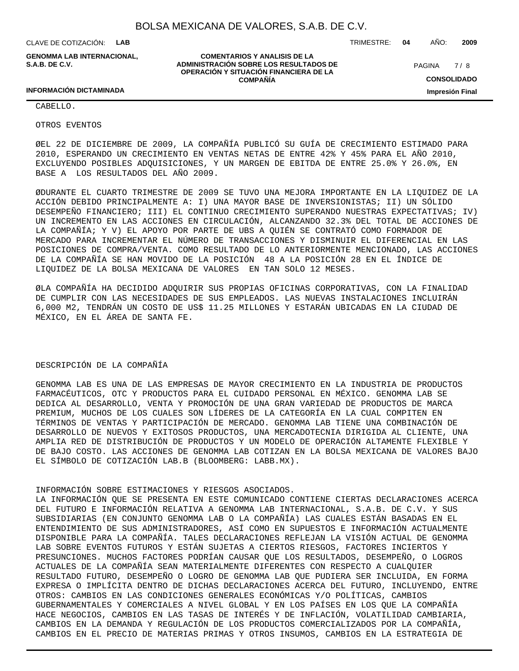**COMENTARIOS Y ANALISIS DE LA ADMINISTRACIÓN SOBRE LOS RESULTADOS DE OPERACIÓN Y SITUACIÓN FINANCIERA DE LA COMPAÑÍA**

CLAVE DE COTIZACIÓN: **LAB**

**GENOMMA LAB INTERNACIONAL, S.A.B. DE C.V.**

TRIMESTRE: **04** AÑO: **2009**

**CONSOLIDADO Impresión Final**

 $7/8$ PAGINA

**INFORMACIÓN DICTAMINADA**

CABELLO.

OTROS EVENTOS

Ø EL 22 DE DICIEMBRE DE 2009, LA COMPAÑÍA PUBLICÓ SU GUÍA DE CRECIMIENTO ESTIMADO PARA 2010, ESPERANDO UN CRECIMIENTO EN VENTAS NETAS DE ENTRE 42% Y 45% PARA EL AÑO 2010, EXCLUYENDO POSIBLES ADQUISICIONES, Y UN MARGEN DE EBITDA DE ENTRE 25.0% Y 26.0%, EN BASE A LOS RESULTADOS DEL AÑO 2009.

Ø DURANTE EL CUARTO TRIMESTRE DE 2009 SE TUVO UNA MEJORA IMPORTANTE EN LA LIQUIDEZ DE LA ACCIÓN DEBIDO PRINCIPALMENTE A: I) UNA MAYOR BASE DE INVERSIONISTAS; II) UN SÓLIDO DESEMPEÑO FINANCIERO; III) EL CONTINUO CRECIMIENTO SUPERANDO NUESTRAS EXPECTATIVAS; IV) UN INCREMENTO EN LAS ACCIONES EN CIRCULACIÓN, ALCANZANDO 32.3% DEL TOTAL DE ACCIONES DE LA COMPAÑÍA; Y V) EL APOYO POR PARTE DE UBS A QUIÉN SE CONTRATÓ COMO FORMADOR DE MERCADO PARA INCREMENTAR EL NÚMERO DE TRANSACCIONES Y DISMINUIR EL DIFERENCIAL EN LAS POSICIONES DE COMPRA/VENTA. COMO RESULTADO DE LO ANTERIORMENTE MENCIONADO, LAS ACCIONES DE LA COMPAÑÍA SE HAN MOVIDO DE LA POSICIÓN 48 A LA POSICIÓN 28 EN EL ÍNDICE DE LIQUIDEZ DE LA BOLSA MEXICANA DE VALORES EN TAN SOLO 12 MESES.

Ø LA COMPAÑÍA HA DECIDIDO ADQUIRIR SUS PROPIAS OFICINAS CORPORATIVAS, CON LA FINALIDAD DE CUMPLIR CON LAS NECESIDADES DE SUS EMPLEADOS. LAS NUEVAS INSTALACIONES INCLUIRÁN 6,000 M2, TENDRÁN UN COSTO DE US\$ 11.25 MILLONES Y ESTARÁN UBICADAS EN LA CIUDAD DE MÉXICO, EN EL ÁREA DE SANTA FE.

#### DESCRIPCIÓN DE LA COMPAÑÍA

GENOMMA LAB ES UNA DE LAS EMPRESAS DE MAYOR CRECIMIENTO EN LA INDUSTRIA DE PRODUCTOS FARMACÉUTICOS, OTC Y PRODUCTOS PARA EL CUIDADO PERSONAL EN MÉXICO. GENOMMA LAB SE DEDICA AL DESARROLLO, VENTA Y PROMOCIÓN DE UNA GRAN VARIEDAD DE PRODUCTOS DE MARCA PREMIUM, MUCHOS DE LOS CUALES SON LÍDERES DE LA CATEGORÍA EN LA CUAL COMPITEN EN TÉRMINOS DE VENTAS Y PARTICIPACIÓN DE MERCADO. GENOMMA LAB TIENE UNA COMBINACIÓN DE DESARROLLO DE NUEVOS Y EXITOSOS PRODUCTOS, UNA MERCADOTECNIA DIRIGIDA AL CLIENTE, UNA AMPLIA RED DE DISTRIBUCIÓN DE PRODUCTOS Y UN MODELO DE OPERACIÓN ALTAMENTE FLEXIBLE Y DE BAJO COSTO. LAS ACCIONES DE GENOMMA LAB COTIZAN EN LA BOLSA MEXICANA DE VALORES BAJO EL SÍMBOLO DE COTIZACIÓN LAB.B (BLOOMBERG: LABB.MX).

#### INFORMACIÓN SOBRE ESTIMACIONES Y RIESGOS ASOCIADOS.

LA INFORMACIÓN QUE SE PRESENTA EN ESTE COMUNICADO CONTIENE CIERTAS DECLARACIONES ACERCA DEL FUTURO E INFORMACIÓN RELATIVA A GENOMMA LAB INTERNACIONAL, S.A.B. DE C.V. Y SUS SUBSIDIARIAS (EN CONJUNTO GENOMMA LAB O LA COMPAÑÍA) LAS CUALES ESTÁN BASADAS EN EL ENTENDIMIENTO DE SUS ADMINISTRADORES, ASÍ COMO EN SUPUESTOS E INFORMACIÓN ACTUALMENTE DISPONIBLE PARA LA COMPAÑÍA. TALES DECLARACIONES REFLEJAN LA VISIÓN ACTUAL DE GENOMMA LAB SOBRE EVENTOS FUTUROS Y ESTÁN SUJETAS A CIERTOS RIESGOS, FACTORES INCIERTOS Y PRESUNCIONES. MUCHOS FACTORES PODRÍAN CAUSAR QUE LOS RESULTADOS, DESEMPEÑO, O LOGROS ACTUALES DE LA COMPAÑÍA SEAN MATERIALMENTE DIFERENTES CON RESPECTO A CUALQUIER RESULTADO FUTURO, DESEMPEÑO O LOGRO DE GENOMMA LAB QUE PUDIERA SER INCLUIDA, EN FORMA EXPRESA O IMPLÍCITA DENTRO DE DICHAS DECLARACIONES ACERCA DEL FUTURO, INCLUYENDO, ENTRE OTROS: CAMBIOS EN LAS CONDICIONES GENERALES ECONÓMICAS Y/O POLÍTICAS, CAMBIOS GUBERNAMENTALES Y COMERCIALES A NIVEL GLOBAL Y EN LOS PAÍSES EN LOS QUE LA COMPAÑÍA HACE NEGOCIOS, CAMBIOS EN LAS TASAS DE INTERÉS Y DE INFLACIÓN, VOLATILIDAD CAMBIARIA, CAMBIOS EN LA DEMANDA Y REGULACIÓN DE LOS PRODUCTOS COMERCIALIZADOS POR LA COMPAÑÍA, CAMBIOS EN EL PRECIO DE MATERIAS PRIMAS Y OTROS INSUMOS, CAMBIOS EN LA ESTRATEGIA DE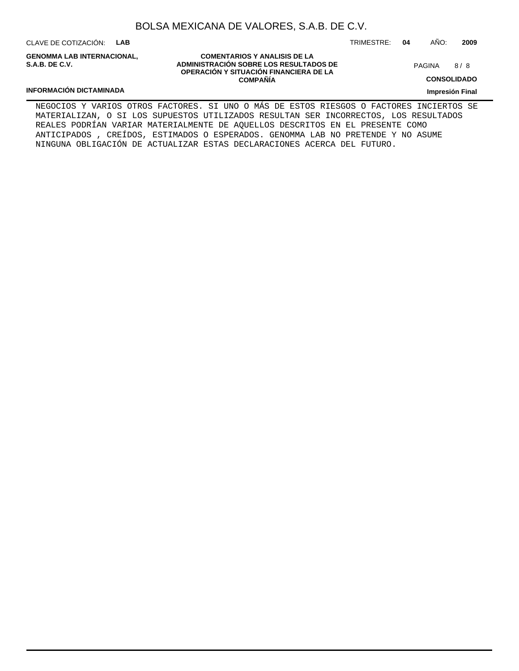CLAVE DE COTIZACIÓN: **LAB**

**GENOMMA LAB INTERNACIONAL, S.A.B. DE C.V.**

**COMENTARIOS Y ANALISIS DE LA ADMINISTRACIÓN SOBRE LOS RESULTADOS DE OPERACIÓN Y SITUACIÓN FINANCIERA DE LA COMPAÑÍA**

8 PAGINA

TRIMESTRE: **04** AÑO: **2009**

**CONSOLIDADO**

**Impresión Final**

## **INFORMACIÓN DICTAMINADA**

NEGOCIOS Y VARIOS OTROS FACTORES. SI UNO O MÁS DE ESTOS RIESGOS O FACTORES INCIERTOS SE MATERIALIZAN, O SI LOS SUPUESTOS UTILIZADOS RESULTAN SER INCORRECTOS, LOS RESULTADOS REALES PODRÍAN VARIAR MATERIALMENTE DE AQUELLOS DESCRITOS EN EL PRESENTE COMO ANTICIPADOS , CREÍDOS, ESTIMADOS O ESPERADOS. GENOMMA LAB NO PRETENDE Y NO ASUME NINGUNA OBLIGACIÓN DE ACTUALIZAR ESTAS DECLARACIONES ACERCA DEL FUTURO.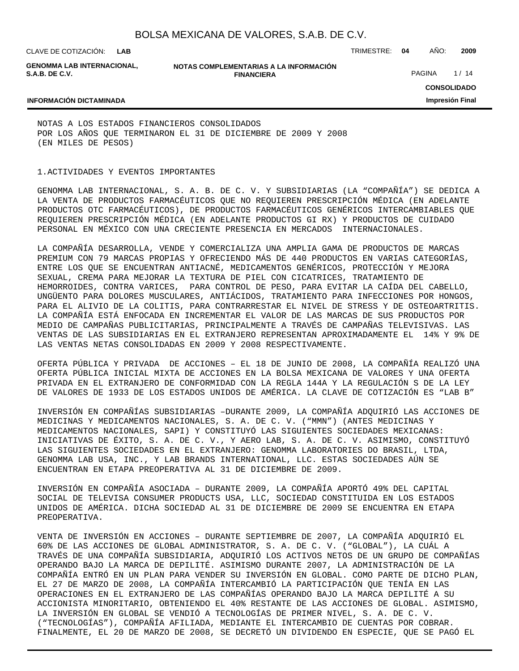CLAVE DE COTIZACIÓN: TRIMESTRE: **04** AÑO: **2009 LAB**

**GENOMMA LAB INTERNACIONAL, S.A.B. DE C.V.**

**NOTAS COMPLEMENTARIAS A LA INFORMACIÓN FINANCIERA**

PAGINA 1/14

**CONSOLIDADO**

**Impresión Final**

#### **INFORMACIÓN DICTAMINADA**

NOTAS A LOS ESTADOS FINANCIEROS CONSOLIDADOS POR LOS AÑOS QUE TERMINARON EL 31 DE DICIEMBRE DE 2009 Y 2008 (EN MILES DE PESOS)

### 1. ACTIVIDADES Y EVENTOS IMPORTANTES

GENOMMA LAB INTERNACIONAL, S. A. B. DE C. V. Y SUBSIDIARIAS (LA "COMPAÑÍA") SE DEDICA A LA VENTA DE PRODUCTOS FARMACÉUTICOS QUE NO REQUIEREN PRESCRIPCIÓN MÉDICA (EN ADELANTE PRODUCTOS OTC FARMACÉUTICOS), DE PRODUCTOS FARMACÉUTICOS GENÉRICOS INTERCAMBIABLES QUE REQUIEREN PRESCRIPCIÓN MÉDICA (EN ADELANTE PRODUCTOS GI RX) Y PRODUCTOS DE CUIDADO PERSONAL EN MÉXICO CON UNA CRECIENTE PRESENCIA EN MERCADOS INTERNACIONALES.

LA COMPAÑÍA DESARROLLA, VENDE Y COMERCIALIZA UNA AMPLIA GAMA DE PRODUCTOS DE MARCAS PREMIUM CON 79 MARCAS PROPIAS Y OFRECIENDO MÁS DE 440 PRODUCTOS EN VARIAS CATEGORÍAS, ENTRE LOS QUE SE ENCUENTRAN ANTIACNÉ, MEDICAMENTOS GENÉRICOS, PROTECCIÓN Y MEJORA SEXUAL, CREMA PARA MEJORAR LA TEXTURA DE PIEL CON CICATRICES, TRATAMIENTO DE HEMORROIDES, CONTRA VARICES, PARA CONTROL DE PESO, PARA EVITAR LA CAÍDA DEL CABELLO, UNGÜENTO PARA DOLORES MUSCULARES, ANTIÁCIDOS, TRATAMIENTO PARA INFECCIONES POR HONGOS, PARA EL ALIVIO DE LA COLITIS, PARA CONTRARRESTAR EL NIVEL DE STRESS Y DE OSTEOARTRITIS. LA COMPAÑÍA ESTÁ ENFOCADA EN INCREMENTAR EL VALOR DE LAS MARCAS DE SUS PRODUCTOS POR MEDIO DE CAMPAÑAS PUBLICITARIAS, PRINCIPALMENTE A TRAVÉS DE CAMPAÑAS TELEVISIVAS. LAS VENTAS DE LAS SUBSIDIARIAS EN EL EXTRANJERO REPRESENTAN APROXIMADAMENTE EL 14% Y 9% DE LAS VENTAS NETAS CONSOLIDADAS EN 2009 Y 2008 RESPECTIVAMENTE.

OFERTA PÚBLICA Y PRIVADA DE ACCIONES – EL 18 DE JUNIO DE 2008, LA COMPAÑÍA REALIZÓ UNA OFERTA PÚBLICA INICIAL MIXTA DE ACCIONES EN LA BOLSA MEXICANA DE VALORES Y UNA OFERTA PRIVADA EN EL EXTRANJERO DE CONFORMIDAD CON LA REGLA 144A Y LA REGULACIÓN S DE LA LEY DE VALORES DE 1933 DE LOS ESTADOS UNIDOS DE AMÉRICA. LA CLAVE DE COTIZACIÓN ES "LAB B"

INVERSIÓN EN COMPAÑÍAS SUBSIDIARIAS –DURANTE 2009, LA COMPAÑÍA ADQUIRIÓ LAS ACCIONES DE MEDICINAS Y MEDICAMENTOS NACIONALES, S. A. DE C. V. ("MMN") (ANTES MEDICINAS Y MEDICAMENTOS NACIONALES, SAPI) Y CONSTITUYÓ LAS SIGUIENTES SOCIEDADES MEXICANAS: INICIATIVAS DE ÉXITO, S. A. DE C. V., Y AERO LAB, S. A. DE C. V. ASIMISMO, CONSTITUYÓ LAS SIGUIENTES SOCIEDADES EN EL EXTRANJERO: GENOMMA LABORATORIES DO BRASIL, LTDA, GENOMMA LAB USA, INC., Y LAB BRANDS INTERNATIONAL, LLC. ESTAS SOCIEDADES AÚN SE ENCUENTRAN EN ETAPA PREOPERATIVA AL 31 DE DICIEMBRE DE 2009.

INVERSIÓN EN COMPAÑÍA ASOCIADA – DURANTE 2009, LA COMPAÑÍA APORTÓ 49% DEL CAPITAL SOCIAL DE TELEVISA CONSUMER PRODUCTS USA, LLC, SOCIEDAD CONSTITUIDA EN LOS ESTADOS UNIDOS DE AMÉRICA. DICHA SOCIEDAD AL 31 DE DICIEMBRE DE 2009 SE ENCUENTRA EN ETAPA PREOPERATIVA.

VENTA DE INVERSIÓN EN ACCIONES – DURANTE SEPTIEMBRE DE 2007, LA COMPAÑÍA ADQUIRIÓ EL 60% DE LAS ACCIONES DE GLOBAL ADMINISTRATOR, S. A. DE C. V. ("GLOBAL"), LA CUÁL A TRAVÉS DE UNA COMPAÑÍA SUBSIDIARIA, ADQUIRIÓ LOS ACTIVOS NETOS DE UN GRUPO DE COMPAÑÍAS OPERANDO BAJO LA MARCA DE DEPILITÉ. ASIMISMO DURANTE 2007, LA ADMINISTRACIÓN DE LA COMPAÑÍA ENTRÓ EN UN PLAN PARA VENDER SU INVERSIÓN EN GLOBAL. COMO PARTE DE DICHO PLAN, EL 27 DE MARZO DE 2008, LA COMPAÑÍA INTERCAMBIÓ LA PARTICIPACIÓN QUE TENÍA EN LAS OPERACIONES EN EL EXTRANJERO DE LAS COMPAÑÍAS OPERANDO BAJO LA MARCA DEPILITÉ A SU ACCIONISTA MINORITARIO, OBTENIENDO EL 40% RESTANTE DE LAS ACCIONES DE GLOBAL. ASIMISMO, LA INVERSIÓN EN GLOBAL SE VENDIÓ A TECNOLOGÍAS DE PRIMER NIVEL, S. A. DE C. V. ("TECNOLOGÍAS"), COMPAÑÍA AFILIADA, MEDIANTE EL INTERCAMBIO DE CUENTAS POR COBRAR. FINALMENTE, EL 20 DE MARZO DE 2008, SE DECRETÓ UN DIVIDENDO EN ESPECIE, QUE SE PAGÓ EL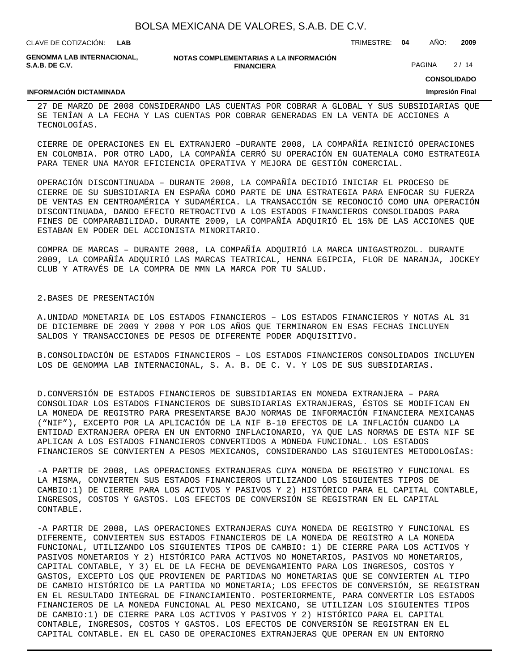**LAB**

CLAVE DE COTIZACIÓN: TRIMESTRE: **04** AÑO: **2009**

**GENOMMA LAB INTERNACIONAL, S.A.B. DE C.V.**

**INFORMACIÓN DICTAMINADA**

**NOTAS COMPLEMENTARIAS A LA INFORMACIÓN FINANCIERA**

PAGINA 2/14

**CONSOLIDADO**

#### **Impresión Final**

27 DE MARZO DE 2008 CONSIDERANDO LAS CUENTAS POR COBRAR A GLOBAL Y SUS SUBSIDIARIAS QUE SE TENÍAN A LA FECHA Y LAS CUENTAS POR COBRAR GENERADAS EN LA VENTA DE ACCIONES A TECNOLOGÍAS.

CIERRE DE OPERACIONES EN EL EXTRANJERO –DURANTE 2008, LA COMPAÑÍA REINICIÓ OPERACIONES EN COLOMBIA. POR OTRO LADO, LA COMPAÑÍA CERRÓ SU OPERACIÓN EN GUATEMALA COMO ESTRATEGIA PARA TENER UNA MAYOR EFICIENCIA OPERATIVA Y MEJORA DE GESTIÓN COMERCIAL.

OPERACIÓN DISCONTINUADA – DURANTE 2008, LA COMPAÑÍA DECIDIÓ INICIAR EL PROCESO DE CIERRE DE SU SUBSIDIARIA EN ESPAÑA COMO PARTE DE UNA ESTRATEGIA PARA ENFOCAR SU FUERZA DE VENTAS EN CENTROAMÉRICA Y SUDAMÉRICA. LA TRANSACCIÓN SE RECONOCIÓ COMO UNA OPERACIÓN DISCONTINUADA, DANDO EFECTO RETROACTIVO A LOS ESTADOS FINANCIEROS CONSOLIDADOS PARA FINES DE COMPARABILIDAD. DURANTE 2009, LA COMPAÑÍA ADQUIRIÓ EL 15% DE LAS ACCIONES QUE ESTABAN EN PODER DEL ACCIONISTA MINORITARIO.

COMPRA DE MARCAS – DURANTE 2008, LA COMPAÑÍA ADQUIRIÓ LA MARCA UNIGASTROZOL. DURANTE 2009, LA COMPAÑÍA ADQUIRIÓ LAS MARCAS TEATRICAL, HENNA EGIPCIA, FLOR DE NARANJA, JOCKEY CLUB Y ATRAVÉS DE LA COMPRA DE MMN LA MARCA POR TU SALUD.

#### 2. BASES DE PRESENTACIÓN

A. UNIDAD MONETARIA DE LOS ESTADOS FINANCIEROS – LOS ESTADOS FINANCIEROS Y NOTAS AL 31 DE DICIEMBRE DE 2009 Y 2008 Y POR LOS AÑOS QUE TERMINARON EN ESAS FECHAS INCLUYEN SALDOS Y TRANSACCIONES DE PESOS DE DIFERENTE PODER ADQUISITIVO.

B. CONSOLIDACIÓN DE ESTADOS FINANCIEROS - LOS ESTADOS FINANCIEROS CONSOLIDADOS INCLUYEN LOS DE GENOMMA LAB INTERNACIONAL, S. A. B. DE C. V. Y LOS DE SUS SUBSIDIARIAS.

D. CONVERSIÓN DE ESTADOS FINANCIEROS DE SUBSIDIARIAS EN MONEDA EXTRANJERA – PARA CONSOLIDAR LOS ESTADOS FINANCIEROS DE SUBSIDIARIAS EXTRANJERAS, ÉSTOS SE MODIFICAN EN LA MONEDA DE REGISTRO PARA PRESENTARSE BAJO NORMAS DE INFORMACIÓN FINANCIERA MEXICANAS ("NIF"), EXCEPTO POR LA APLICACIÓN DE LA NIF B-10 EFECTOS DE LA INFLACIÓN CUANDO LA ENTIDAD EXTRANJERA OPERA EN UN ENTORNO INFLACIONARIO, YA QUE LAS NORMAS DE ESTA NIF SE APLICAN A LOS ESTADOS FINANCIEROS CONVERTIDOS A MONEDA FUNCIONAL. LOS ESTADOS FINANCIEROS SE CONVIERTEN A PESOS MEXICANOS, CONSIDERANDO LAS SIGUIENTES METODOLOGÍAS:

- A PARTIR DE 2008, LAS OPERACIONES EXTRANJERAS CUYA MONEDA DE REGISTRO Y FUNCIONAL ES LA MISMA, CONVIERTEN SUS ESTADOS FINANCIEROS UTILIZANDO LOS SIGUIENTES TIPOS DE CAMBIO:1) DE CIERRE PARA LOS ACTIVOS Y PASIVOS Y 2) HISTÓRICO PARA EL CAPITAL CONTABLE, INGRESOS, COSTOS Y GASTOS. LOS EFECTOS DE CONVERSIÓN SE REGISTRAN EN EL CAPITAL CONTABLE.

- A PARTIR DE 2008, LAS OPERACIONES EXTRANJERAS CUYA MONEDA DE REGISTRO Y FUNCIONAL ES DIFERENTE, CONVIERTEN SUS ESTADOS FINANCIEROS DE LA MONEDA DE REGISTRO A LA MONEDA FUNCIONAL, UTILIZANDO LOS SIGUIENTES TIPOS DE CAMBIO: 1) DE CIERRE PARA LOS ACTIVOS Y PASIVOS MONETARIOS Y 2) HISTÓRICO PARA ACTIVOS NO MONETARIOS, PASIVOS NO MONETARIOS, CAPITAL CONTABLE, Y 3) EL DE LA FECHA DE DEVENGAMIENTO PARA LOS INGRESOS, COSTOS Y GASTOS, EXCEPTO LOS QUE PROVIENEN DE PARTIDAS NO MONETARIAS QUE SE CONVIERTEN AL TIPO DE CAMBIO HISTÓRICO DE LA PARTIDA NO MONETARIA; LOS EFECTOS DE CONVERSIÓN, SE REGISTRAN EN EL RESULTADO INTEGRAL DE FINANCIAMIENTO. POSTERIORMENTE, PARA CONVERTIR LOS ESTADOS FINANCIEROS DE LA MONEDA FUNCIONAL AL PESO MEXICANO, SE UTILIZAN LOS SIGUIENTES TIPOS DE CAMBIO:1) DE CIERRE PARA LOS ACTIVOS Y PASIVOS Y 2) HISTÓRICO PARA EL CAPITAL CONTABLE, INGRESOS, COSTOS Y GASTOS. LOS EFECTOS DE CONVERSIÓN SE REGISTRAN EN EL CAPITAL CONTABLE. EN EL CASO DE OPERACIONES EXTRANJERAS QUE OPERAN EN UN ENTORNO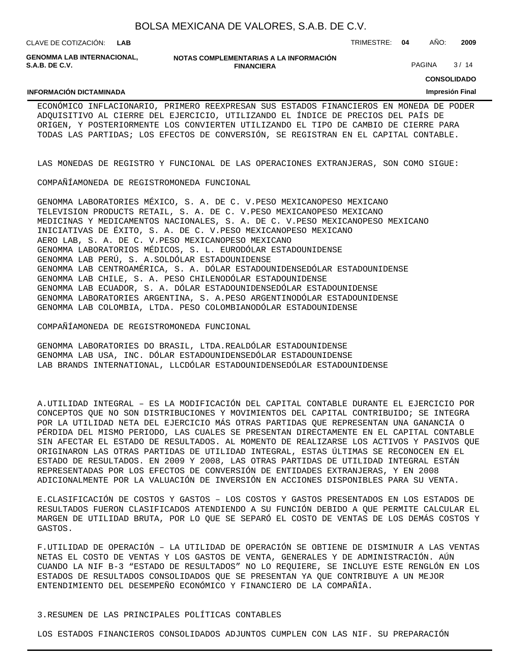| BOLSA MEXICANA DE VALORES, S.A.B. DE C.V. |  |  |
|-------------------------------------------|--|--|
|-------------------------------------------|--|--|

CLAVE DE COTIZACIÓN: TRIMESTRE: **04** AÑO: **2009 LAB**

**GENOMMA LAB INTERNACIONAL, S.A.B. DE C.V.**

**NOTAS COMPLEMENTARIAS A LA INFORMACIÓN FINANCIERA**

PAGINA 3/14

**CONSOLIDADO Impresión Final**

#### **INFORMACIÓN DICTAMINADA**

ECONÓMICO INFLACIONARIO, PRIMERO REEXPRESAN SUS ESTADOS FINANCIEROS EN MONEDA DE PODER ADQUISITIVO AL CIERRE DEL EJERCICIO, UTILIZANDO EL ÍNDICE DE PRECIOS DEL PAÍS DE ORIGEN, Y POSTERIORMENTE LOS CONVIERTEN UTILIZANDO EL TIPO DE CAMBIO DE CIERRE PARA TODAS LAS PARTIDAS; LOS EFECTOS DE CONVERSIÓN, SE REGISTRAN EN EL CAPITAL CONTABLE.

LAS MONEDAS DE REGISTRO Y FUNCIONAL DE LAS OPERACIONES EXTRANJERAS, SON COMO SIGUE:

COMPAÑÍA MONEDA DE REGISTRO MONEDA FUNCIONAL

GENOMMA LABORATORIES MÉXICO, S. A. DE C. V. PESO MEXICANO PESO MEXICANO TELEVISION PRODUCTS RETAIL, S. A. DE C. V. PESO MEXICANO PESO MEXICANO MEDICINAS Y MEDICAMENTOS NACIONALES, S. A. DE C. V. PESO MEXICANO PESO MEXICANO INICIATIVAS DE ÉXITO, S. A. DE C. V. PESO MEXICANO PESO MEXICANO AERO LAB, S. A. DE C. V. PESO MEXICANO PESO MEXICANO GENOMMA LABORATORIOS MÉDICOS, S. L. EURO DÓLAR ESTADOUNIDENSE GENOMMA LAB PERÚ, S. A. SOL DÓLAR ESTADOUNIDENSE GENOMMA LAB CENTROAMÉRICA, S. A. DÓLAR ESTADOUNIDENSE DÓLAR ESTADOUNIDENSE GENOMMA LAB CHILE, S. A. PESO CHILENO DÓLAR ESTADOUNIDENSE GENOMMA LAB ECUADOR, S. A. DÓLAR ESTADOUNIDENSE DÓLAR ESTADOUNIDENSE GENOMMA LABORATORIES ARGENTINA, S. A. PESO ARGENTINO DÓLAR ESTADOUNIDENSE GENOMMA LAB COLOMBIA, LTDA. PESO COLOMBIANO DÓLAR ESTADOUNIDENSE

COMPAÑÍA MONEDA DE REGISTRO MONEDA FUNCIONAL

GENOMMA LABORATORIES DO BRASIL, LTDA. REAL DÓLAR ESTADOUNIDENSE GENOMMA LAB USA, INC. DÓLAR ESTADOUNIDENSE DÓLAR ESTADOUNIDENSE LAB BRANDS INTERNATIONAL, LLC DÓLAR ESTADOUNIDENSE DÓLAR ESTADOUNIDENSE

A. UTILIDAD INTEGRAL – ES LA MODIFICACIÓN DEL CAPITAL CONTABLE DURANTE EL EJERCICIO POR CONCEPTOS QUE NO SON DISTRIBUCIONES Y MOVIMIENTOS DEL CAPITAL CONTRIBUIDO; SE INTEGRA POR LA UTILIDAD NETA DEL EJERCICIO MÁS OTRAS PARTIDAS QUE REPRESENTAN UNA GANANCIA O PÉRDIDA DEL MISMO PERIODO, LAS CUALES SE PRESENTAN DIRECTAMENTE EN EL CAPITAL CONTABLE SIN AFECTAR EL ESTADO DE RESULTADOS. AL MOMENTO DE REALIZARSE LOS ACTIVOS Y PASIVOS QUE ORIGINARON LAS OTRAS PARTIDAS DE UTILIDAD INTEGRAL, ESTAS ÚLTIMAS SE RECONOCEN EN EL ESTADO DE RESULTADOS. EN 2009 Y 2008, LAS OTRAS PARTIDAS DE UTILIDAD INTEGRAL ESTÁN REPRESENTADAS POR LOS EFECTOS DE CONVERSIÓN DE ENTIDADES EXTRANJERAS, Y EN 2008 ADICIONALMENTE POR LA VALUACIÓN DE INVERSIÓN EN ACCIONES DISPONIBLES PARA SU VENTA.

E. CLASIFICACIÓN DE COSTOS Y GASTOS - LOS COSTOS Y GASTOS PRESENTADOS EN LOS ESTADOS DE RESULTADOS FUERON CLASIFICADOS ATENDIENDO A SU FUNCIÓN DEBIDO A QUE PERMITE CALCULAR EL MARGEN DE UTILIDAD BRUTA, POR LO QUE SE SEPARÓ EL COSTO DE VENTAS DE LOS DEMÁS COSTOS Y GASTOS.

F. UTILIDAD DE OPERACIÓN – LA UTILIDAD DE OPERACIÓN SE OBTIENE DE DISMINUIR A LAS VENTAS NETAS EL COSTO DE VENTAS Y LOS GASTOS DE VENTA, GENERALES Y DE ADMINISTRACIÓN. AÚN CUANDO LA NIF B-3 "ESTADO DE RESULTADOS" NO LO REQUIERE, SE INCLUYE ESTE RENGLÓN EN LOS ESTADOS DE RESULTADOS CONSOLIDADOS QUE SE PRESENTAN YA QUE CONTRIBUYE A UN MEJOR ENTENDIMIENTO DEL DESEMPEÑO ECONÓMICO Y FINANCIERO DE LA COMPAÑÍA.

3. RESUMEN DE LAS PRINCIPALES POLÍTICAS CONTABLES

LOS ESTADOS FINANCIEROS CONSOLIDADOS ADJUNTOS CUMPLEN CON LAS NIF. SU PREPARACIÓN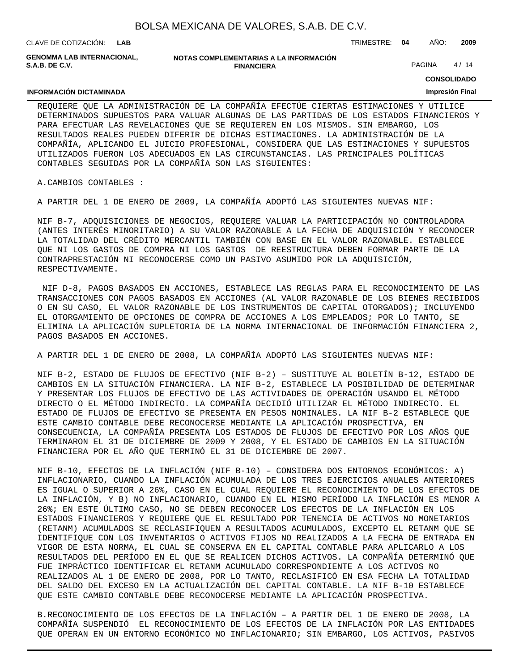| BOLSA MEXICANA DE VALORES, S.A.B. DE C.V. |  |  |
|-------------------------------------------|--|--|
|-------------------------------------------|--|--|

CLAVE DE COTIZACIÓN: TRIMESTRE: **04** AÑO: **2009 LAB**

**INFORMACIÓN DICTAMINADA**

**GENOMMA LAB INTERNACIONAL, S.A.B. DE C.V.**

| NOTAS COMPLEMENTARIAS A LA INFORMACIÓN |
|----------------------------------------|
| <b>FINANCIERA</b>                      |

PAGINA 4/14

**CONSOLIDADO**

#### **Impresión Final**

REQUIERE QUE LA ADMINISTRACIÓN DE LA COMPAÑÍA EFECTÚE CIERTAS ESTIMACIONES Y UTILICE DETERMINADOS SUPUESTOS PARA VALUAR ALGUNAS DE LAS PARTIDAS DE LOS ESTADOS FINANCIEROS Y PARA EFECTUAR LAS REVELACIONES QUE SE REQUIEREN EN LOS MISMOS. SIN EMBARGO, LOS RESULTADOS REALES PUEDEN DIFERIR DE DICHAS ESTIMACIONES. LA ADMINISTRACIÓN DE LA COMPAÑÍA, APLICANDO EL JUICIO PROFESIONAL, CONSIDERA QUE LAS ESTIMACIONES Y SUPUESTOS UTILIZADOS FUERON LOS ADECUADOS EN LAS CIRCUNSTANCIAS. LAS PRINCIPALES POLÍTICAS CONTABLES SEGUIDAS POR LA COMPAÑÍA SON LAS SIGUIENTES:

#### A. CAMBIOS CONTABLES :

A PARTIR DEL 1 DE ENERO DE 2009, LA COMPAÑÍA ADOPTÓ LAS SIGUIENTES NUEVAS NIF:

NIF B-7, ADQUISICIONES DE NEGOCIOS, REQUIERE VALUAR LA PARTICIPACIÓN NO CONTROLADORA (ANTES INTERÉS MINORITARIO) A SU VALOR RAZONABLE A LA FECHA DE ADQUISICIÓN Y RECONOCER LA TOTALIDAD DEL CRÉDITO MERCANTIL TAMBIÉN CON BASE EN EL VALOR RAZONABLE. ESTABLECE QUE NI LOS GASTOS DE COMPRA NI LOS GASTOS DE REESTRUCTURA DEBEN FORMAR PARTE DE LA CONTRAPRESTACIÓN NI RECONOCERSE COMO UN PASIVO ASUMIDO POR LA ADQUISICIÓN, RESPECTIVAMENTE.

 NIF D-8, PAGOS BASADOS EN ACCIONES, ESTABLECE LAS REGLAS PARA EL RECONOCIMIENTO DE LAS TRANSACCIONES CON PAGOS BASADOS EN ACCIONES (AL VALOR RAZONABLE DE LOS BIENES RECIBIDOS O EN SU CASO, EL VALOR RAZONABLE DE LOS INSTRUMENTOS DE CAPITAL OTORGADOS); INCLUYENDO EL OTORGAMIENTO DE OPCIONES DE COMPRA DE ACCIONES A LOS EMPLEADOS; POR LO TANTO, SE ELIMINA LA APLICACIÓN SUPLETORIA DE LA NORMA INTERNACIONAL DE INFORMACIÓN FINANCIERA 2, PAGOS BASADOS EN ACCIONES.

A PARTIR DEL 1 DE ENERO DE 2008, LA COMPAÑÍA ADOPTÓ LAS SIGUIENTES NUEVAS NIF:

NIF B-2, ESTADO DE FLUJOS DE EFECTIVO (NIF B-2) – SUSTITUYE AL BOLETÍN B-12, ESTADO DE CAMBIOS EN LA SITUACIÓN FINANCIERA. LA NIF B-2, ESTABLECE LA POSIBILIDAD DE DETERMINAR Y PRESENTAR LOS FLUJOS DE EFECTIVO DE LAS ACTIVIDADES DE OPERACIÓN USANDO EL MÉTODO DIRECTO O EL MÉTODO INDIRECTO. LA COMPAÑÍA DECIDIÓ UTILIZAR EL MÉTODO INDIRECTO. EL ESTADO DE FLUJOS DE EFECTIVO SE PRESENTA EN PESOS NOMINALES. LA NIF B-2 ESTABLECE QUE ESTE CAMBIO CONTABLE DEBE RECONOCERSE MEDIANTE LA APLICACIÓN PROSPECTIVA, EN CONSECUENCIA, LA COMPAÑÍA PRESENTA LOS ESTADOS DE FLUJOS DE EFECTIVO POR LOS AÑOS QUE TERMINARON EL 31 DE DICIEMBRE DE 2009 Y 2008, Y EL ESTADO DE CAMBIOS EN LA SITUACIÓN FINANCIERA POR EL AÑO QUE TERMINÓ EL 31 DE DICIEMBRE DE 2007.

NIF B-10, EFECTOS DE LA INFLACIÓN (NIF B-10) – CONSIDERA DOS ENTORNOS ECONÓMICOS: A) INFLACIONARIO, CUANDO LA INFLACIÓN ACUMULADA DE LOS TRES EJERCICIOS ANUALES ANTERIORES ES IGUAL O SUPERIOR A 26%, CASO EN EL CUAL REQUIERE EL RECONOCIMIENTO DE LOS EFECTOS DE LA INFLACIÓN, Y B) NO INFLACIONARIO, CUANDO EN EL MISMO PERÍODO LA INFLACIÓN ES MENOR A 26%; EN ESTE ÚLTIMO CASO, NO SE DEBEN RECONOCER LOS EFECTOS DE LA INFLACIÓN EN LOS ESTADOS FINANCIEROS Y REQUIERE QUE EL RESULTADO POR TENENCIA DE ACTIVOS NO MONETARIOS (RETANM) ACUMULADOS SE RECLASIFIQUEN A RESULTADOS ACUMULADOS, EXCEPTO EL RETANM QUE SE IDENTIFIQUE CON LOS INVENTARIOS O ACTIVOS FIJOS NO REALIZADOS A LA FECHA DE ENTRADA EN VIGOR DE ESTA NORMA, EL CUAL SE CONSERVA EN EL CAPITAL CONTABLE PARA APLICARLO A LOS RESULTADOS DEL PERÍODO EN EL QUE SE REALICEN DICHOS ACTIVOS. LA COMPAÑÍA DETERMINÓ QUE FUE IMPRÁCTICO IDENTIFICAR EL RETANM ACUMULADO CORRESPONDIENTE A LOS ACTIVOS NO REALIZADOS AL 1 DE ENERO DE 2008, POR LO TANTO, RECLASIFICÓ EN ESA FECHA LA TOTALIDAD DEL SALDO DEL EXCESO EN LA ACTUALIZACIÓN DEL CAPITAL CONTABLE. LA NIF B-10 ESTABLECE QUE ESTE CAMBIO CONTABLE DEBE RECONOCERSE MEDIANTE LA APLICACIÓN PROSPECTIVA.

B. RECONOCIMIENTO DE LOS EFECTOS DE LA INFLACIÓN – A PARTIR DEL 1 DE ENERO DE 2008, LA COMPAÑÍA SUSPENDIÓ EL RECONOCIMIENTO DE LOS EFECTOS DE LA INFLACIÓN POR LAS ENTIDADES QUE OPERAN EN UN ENTORNO ECONÓMICO NO INFLACIONARIO; SIN EMBARGO, LOS ACTIVOS, PASIVOS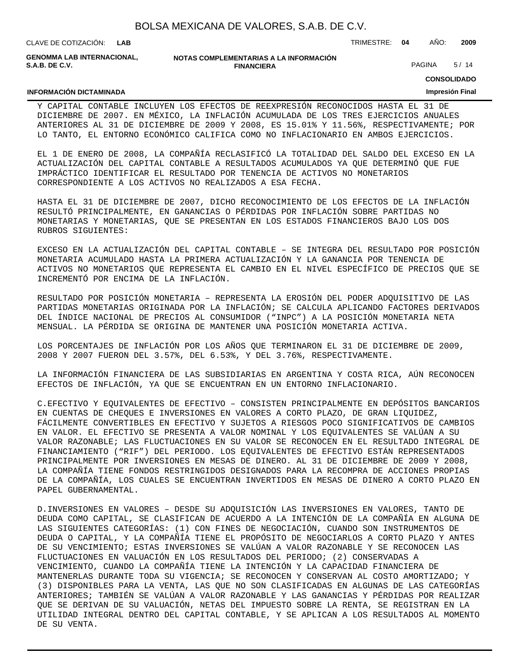|  | CLAVE DE COTIZACION: | <b>LAB</b> |
|--|----------------------|------------|
|--|----------------------|------------|

**GENOMMA LAB INTERNACIONAL, S.A.B. DE C.V.**

#### **NOTAS COMPLEMENTARIAS A LA INFORMACIÓN FINANCIERA**

PAGINA 5/14

CLAVE DE COTIZACIÓN: TRIMESTRE: **04** AÑO: **2009**

**CONSOLIDADO**

### **INFORMACIÓN DICTAMINADA**

**Impresión Final**

Y CAPITAL CONTABLE INCLUYEN LOS EFECTOS DE REEXPRESIÓN RECONOCIDOS HASTA EL 31 DE DICIEMBRE DE 2007. EN MÉXICO, LA INFLACIÓN ACUMULADA DE LOS TRES EJERCICIOS ANUALES ANTERIORES AL 31 DE DICIEMBRE DE 2009 Y 2008, ES 15.01% Y 11.56%, RESPECTIVAMENTE; POR LO TANTO, EL ENTORNO ECONÓMICO CALIFICA COMO NO INFLACIONARIO EN AMBOS EJERCICIOS.

EL 1 DE ENERO DE 2008, LA COMPAÑÍA RECLASIFICÓ LA TOTALIDAD DEL SALDO DEL EXCESO EN LA ACTUALIZACIÓN DEL CAPITAL CONTABLE A RESULTADOS ACUMULADOS YA QUE DETERMINÓ QUE FUE IMPRÁCTICO IDENTIFICAR EL RESULTADO POR TENENCIA DE ACTIVOS NO MONETARIOS CORRESPONDIENTE A LOS ACTIVOS NO REALIZADOS A ESA FECHA.

HASTA EL 31 DE DICIEMBRE DE 2007, DICHO RECONOCIMIENTO DE LOS EFECTOS DE LA INFLACIÓN RESULTÓ PRINCIPALMENTE, EN GANANCIAS O PÉRDIDAS POR INFLACIÓN SOBRE PARTIDAS NO MONETARIAS Y MONETARIAS, QUE SE PRESENTAN EN LOS ESTADOS FINANCIEROS BAJO LOS DOS RUBROS SIGUIENTES:

EXCESO EN LA ACTUALIZACIÓN DEL CAPITAL CONTABLE – SE INTEGRA DEL RESULTADO POR POSICIÓN MONETARIA ACUMULADO HASTA LA PRIMERA ACTUALIZACIÓN Y LA GANANCIA POR TENENCIA DE ACTIVOS NO MONETARIOS QUE REPRESENTA EL CAMBIO EN EL NIVEL ESPECÍFICO DE PRECIOS QUE SE INCREMENTÓ POR ENCIMA DE LA INFLACIÓN.

RESULTADO POR POSICIÓN MONETARIA – REPRESENTA LA EROSIÓN DEL PODER ADQUISITIVO DE LAS PARTIDAS MONETARIAS ORIGINADA POR LA INFLACIÓN; SE CALCULA APLICANDO FACTORES DERIVADOS DEL ÍNDICE NACIONAL DE PRECIOS AL CONSUMIDOR ("INPC") A LA POSICIÓN MONETARIA NETA MENSUAL. LA PÉRDIDA SE ORIGINA DE MANTENER UNA POSICIÓN MONETARIA ACTIVA.

LOS PORCENTAJES DE INFLACIÓN POR LOS AÑOS QUE TERMINARON EL 31 DE DICIEMBRE DE 2009, 2008 Y 2007 FUERON DEL 3.57%, DEL 6.53%, Y DEL 3.76%, RESPECTIVAMENTE.

LA INFORMACIÓN FINANCIERA DE LAS SUBSIDIARIAS EN ARGENTINA Y COSTA RICA, AÚN RECONOCEN EFECTOS DE INFLACIÓN, YA QUE SE ENCUENTRAN EN UN ENTORNO INFLACIONARIO.

C. EFECTIVO Y EQUIVALENTES DE EFECTIVO – CONSISTEN PRINCIPALMENTE EN DEPÓSITOS BANCARIOS EN CUENTAS DE CHEQUES E INVERSIONES EN VALORES A CORTO PLAZO, DE GRAN LIQUIDEZ, FÁCILMENTE CONVERTIBLES EN EFECTIVO Y SUJETOS A RIESGOS POCO SIGNIFICATIVOS DE CAMBIOS EN VALOR. EL EFECTIVO SE PRESENTA A VALOR NOMINAL Y LOS EQUIVALENTES SE VALÚAN A SU VALOR RAZONABLE; LAS FLUCTUACIONES EN SU VALOR SE RECONOCEN EN EL RESULTADO INTEGRAL DE FINANCIAMIENTO ("RIF") DEL PERIODO. LOS EQUIVALENTES DE EFECTIVO ESTÁN REPRESENTADOS PRINCIPALMENTE POR INVERSIONES EN MESAS DE DINERO. AL 31 DE DICIEMBRE DE 2009 Y 2008, LA COMPAÑÍA TIENE FONDOS RESTRINGIDOS DESIGNADOS PARA LA RECOMPRA DE ACCIONES PROPIAS DE LA COMPAÑÍA, LOS CUALES SE ENCUENTRAN INVERTIDOS EN MESAS DE DINERO A CORTO PLAZO EN PAPEL GUBERNAMENTAL.

D. INVERSIONES EN VALORES – DESDE SU ADQUISICIÓN LAS INVERSIONES EN VALORES, TANTO DE DEUDA COMO CAPITAL, SE CLASIFICAN DE ACUERDO A LA INTENCIÓN DE LA COMPAÑÍA EN ALGUNA DE LAS SIGUIENTES CATEGORÍAS: (1) CON FINES DE NEGOCIACIÓN, CUANDO SON INSTRUMENTOS DE DEUDA O CAPITAL, Y LA COMPAÑÍA TIENE EL PROPÓSITO DE NEGOCIARLOS A CORTO PLAZO Y ANTES DE SU VENCIMIENTO; ESTAS INVERSIONES SE VALÚAN A VALOR RAZONABLE Y SE RECONOCEN LAS FLUCTUACIONES EN VALUACIÓN EN LOS RESULTADOS DEL PERIODO; (2) CONSERVADAS A VENCIMIENTO, CUANDO LA COMPAÑÍA TIENE LA INTENCIÓN Y LA CAPACIDAD FINANCIERA DE MANTENERLAS DURANTE TODA SU VIGENCIA; SE RECONOCEN Y CONSERVAN AL COSTO AMORTIZADO; Y (3) DISPONIBLES PARA LA VENTA, LAS QUE NO SON CLASIFICADAS EN ALGUNAS DE LAS CATEGORÍAS ANTERIORES; TAMBIÉN SE VALÚAN A VALOR RAZONABLE Y LAS GANANCIAS Y PÉRDIDAS POR REALIZAR QUE SE DERIVAN DE SU VALUACIÓN, NETAS DEL IMPUESTO SOBRE LA RENTA, SE REGISTRAN EN LA UTILIDAD INTEGRAL DENTRO DEL CAPITAL CONTABLE, Y SE APLICAN A LOS RESULTADOS AL MOMENTO DE SU VENTA.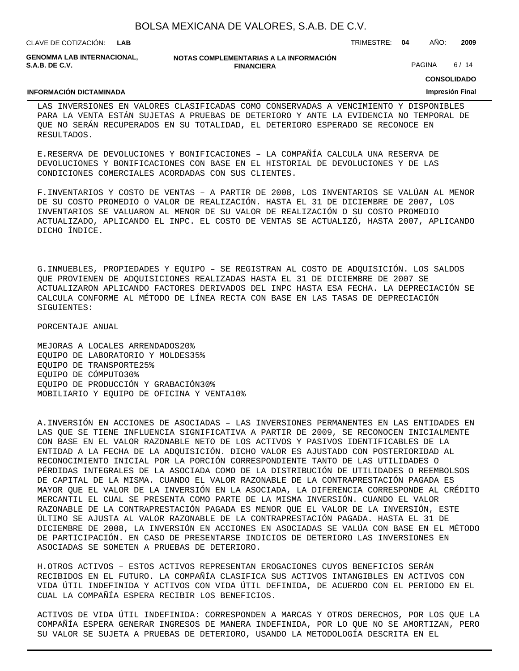| BOLSA MEXICANA DE VALORES, S.A.B. DE C.V. |  |  |  |  |  |
|-------------------------------------------|--|--|--|--|--|
|-------------------------------------------|--|--|--|--|--|

CLAVE DE COTIZACIÓN: TRIMESTRE: **04** AÑO: **2009 LAB GENOMMA LAB INTERNACIONAL,**

**NOTAS COMPLEMENTARIAS A LA INFORMACIÓN FINANCIERA**

PAGINA 6/14

**CONSOLIDADO**

#### **INFORMACIÓN DICTAMINADA**

**S.A.B. DE C.V.**

## **Impresión Final**

LAS INVERSIONES EN VALORES CLASIFICADAS COMO CONSERVADAS A VENCIMIENTO Y DISPONIBLES PARA LA VENTA ESTÁN SUJETAS A PRUEBAS DE DETERIORO Y ANTE LA EVIDENCIA NO TEMPORAL DE QUE NO SERÁN RECUPERADOS EN SU TOTALIDAD, EL DETERIORO ESPERADO SE RECONOCE EN RESULTADOS.

E. RESERVA DE DEVOLUCIONES Y BONIFICACIONES – LA COMPAÑÍA CALCULA UNA RESERVA DE DEVOLUCIONES Y BONIFICACIONES CON BASE EN EL HISTORIAL DE DEVOLUCIONES Y DE LAS CONDICIONES COMERCIALES ACORDADAS CON SUS CLIENTES.

F. INVENTARIOS Y COSTO DE VENTAS – A PARTIR DE 2008, LOS INVENTARIOS SE VALÚAN AL MENOR DE SU COSTO PROMEDIO O VALOR DE REALIZACIÓN. HASTA EL 31 DE DICIEMBRE DE 2007, LOS INVENTARIOS SE VALUARON AL MENOR DE SU VALOR DE REALIZACIÓN O SU COSTO PROMEDIO ACTUALIZADO, APLICANDO EL INPC. EL COSTO DE VENTAS SE ACTUALIZÓ, HASTA 2007, APLICANDO DICHO ÍNDICE.

G. INMUEBLES, PROPIEDADES Y EQUIPO – SE REGISTRAN AL COSTO DE ADQUISICIÓN. LOS SALDOS QUE PROVIENEN DE ADQUISICIONES REALIZADAS HASTA EL 31 DE DICIEMBRE DE 2007 SE ACTUALIZARON APLICANDO FACTORES DERIVADOS DEL INPC HASTA ESA FECHA. LA DEPRECIACIÓN SE CALCULA CONFORME AL MÉTODO DE LÍNEA RECTA CON BASE EN LAS TASAS DE DEPRECIACIÓN SIGUIENTES:

 PORCENTAJE ANUAL

MEJORAS A LOCALES ARRENDADOS 20% EQUIPO DE LABORATORIO Y MOLDES 35% EQUIPO DE TRANSPORTE 25% EQUIPO DE CÓMPUTO 30% EQUIPO DE PRODUCCIÓN Y GRABACIÓN 30% MOBILIARIO Y EQUIPO DE OFICINA Y VENTA 10%

A. INVERSIÓN EN ACCIONES DE ASOCIADAS – LAS INVERSIONES PERMANENTES EN LAS ENTIDADES EN LAS QUE SE TIENE INFLUENCIA SIGNIFICATIVA A PARTIR DE 2009, SE RECONOCEN INICIALMENTE CON BASE EN EL VALOR RAZONABLE NETO DE LOS ACTIVOS Y PASIVOS IDENTIFICABLES DE LA ENTIDAD A LA FECHA DE LA ADQUISICIÓN. DICHO VALOR ES AJUSTADO CON POSTERIORIDAD AL RECONOCIMIENTO INICIAL POR LA PORCIÓN CORRESPONDIENTE TANTO DE LAS UTILIDADES O PÉRDIDAS INTEGRALES DE LA ASOCIADA COMO DE LA DISTRIBUCIÓN DE UTILIDADES O REEMBOLSOS DE CAPITAL DE LA MISMA. CUANDO EL VALOR RAZONABLE DE LA CONTRAPRESTACIÓN PAGADA ES MAYOR QUE EL VALOR DE LA INVERSIÓN EN LA ASOCIADA, LA DIFERENCIA CORRESPONDE AL CRÉDITO MERCANTIL EL CUAL SE PRESENTA COMO PARTE DE LA MISMA INVERSIÓN. CUANDO EL VALOR RAZONABLE DE LA CONTRAPRESTACIÓN PAGADA ES MENOR QUE EL VALOR DE LA INVERSIÓN, ESTE ÚLTIMO SE AJUSTA AL VALOR RAZONABLE DE LA CONTRAPRESTACIÓN PAGADA. HASTA EL 31 DE DICIEMBRE DE 2008, LA INVERSIÓN EN ACCIONES EN ASOCIADAS SE VALÚA CON BASE EN EL MÉTODO DE PARTICIPACIÓN. EN CASO DE PRESENTARSE INDICIOS DE DETERIORO LAS INVERSIONES EN ASOCIADAS SE SOMETEN A PRUEBAS DE DETERIORO.

H. OTROS ACTIVOS – ESTOS ACTIVOS REPRESENTAN EROGACIONES CUYOS BENEFICIOS SERÁN RECIBIDOS EN EL FUTURO. LA COMPAÑÍA CLASIFICA SUS ACTIVOS INTANGIBLES EN ACTIVOS CON VIDA ÚTIL INDEFINIDA Y ACTIVOS CON VIDA ÚTIL DEFINIDA, DE ACUERDO CON EL PERIODO EN EL CUAL LA COMPAÑÍA ESPERA RECIBIR LOS BENEFICIOS.

ACTIVOS DE VIDA ÚTIL INDEFINIDA: CORRESPONDEN A MARCAS Y OTROS DERECHOS, POR LOS QUE LA COMPAÑÍA ESPERA GENERAR INGRESOS DE MANERA INDEFINIDA, POR LO QUE NO SE AMORTIZAN, PERO SU VALOR SE SUJETA A PRUEBAS DE DETERIORO, USANDO LA METODOLOGÍA DESCRITA EN EL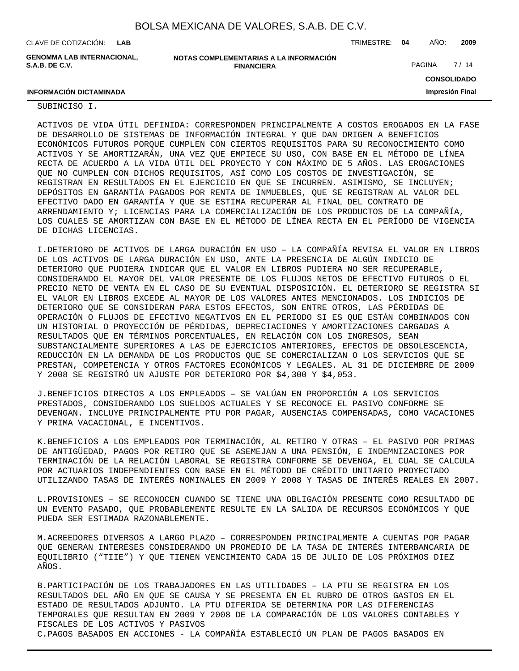| CLAVE DE COTIZACIÓN:                         | LAB |                                                             | TRIMESTRE: 04 | AÑO:   | 2009               |
|----------------------------------------------|-----|-------------------------------------------------------------|---------------|--------|--------------------|
| GENOMMA LAB INTERNACIONAL.<br>S.A.B. DE C.V. |     | NOTAS COMPLEMENTARIAS A LA INFORMACIÓN<br><b>FINANCIERA</b> |               | PAGINA | 7/14               |
|                                              |     |                                                             |               |        | <b>CONSOLIDADO</b> |
| <b>INFORMACIÓN DICTAMINADA</b>               |     |                                                             |               |        | Impresión Final    |

#### SUBINCISO I.

ACTIVOS DE VIDA ÚTIL DEFINIDA: CORRESPONDEN PRINCIPALMENTE A COSTOS EROGADOS EN LA FASE DE DESARROLLO DE SISTEMAS DE INFORMACIÓN INTEGRAL Y QUE DAN ORIGEN A BENEFICIOS ECONÓMICOS FUTUROS PORQUE CUMPLEN CON CIERTOS REQUISITOS PARA SU RECONOCIMIENTO COMO ACTIVOS Y SE AMORTIZARÁN, UNA VEZ QUE EMPIECE SU USO, CON BASE EN EL MÉTODO DE LÍNEA RECTA DE ACUERDO A LA VIDA ÚTIL DEL PROYECTO Y CON MÁXIMO DE 5 AÑOS. LAS EROGACIONES QUE NO CUMPLEN CON DICHOS REQUISITOS, ASÍ COMO LOS COSTOS DE INVESTIGACIÓN, SE REGISTRAN EN RESULTADOS EN EL EJERCICIO EN QUE SE INCURREN. ASIMISMO, SE INCLUYEN; DEPÓSITOS EN GARANTÍA PAGADOS POR RENTA DE INMUEBLES, QUE SE REGISTRAN AL VALOR DEL EFECTIVO DADO EN GARANTÍA Y QUE SE ESTIMA RECUPERAR AL FINAL DEL CONTRATO DE ARRENDAMIENTO Y; LICENCIAS PARA LA COMERCIALIZACIÓN DE LOS PRODUCTOS DE LA COMPAÑÍA, LOS CUALES SE AMORTIZAN CON BASE EN EL MÉTODO DE LÍNEA RECTA EN EL PERÍODO DE VIGENCIA DE DICHAS LICENCIAS.

I. DETERIORO DE ACTIVOS DE LARGA DURACIÓN EN USO - LA COMPAÑÍA REVISA EL VALOR EN LIBROS DE LOS ACTIVOS DE LARGA DURACIÓN EN USO, ANTE LA PRESENCIA DE ALGÚN INDICIO DE DETERIORO QUE PUDIERA INDICAR QUE EL VALOR EN LIBROS PUDIERA NO SER RECUPERABLE, CONSIDERANDO EL MAYOR DEL VALOR PRESENTE DE LOS FLUJOS NETOS DE EFECTIVO FUTUROS O EL PRECIO NETO DE VENTA EN EL CASO DE SU EVENTUAL DISPOSICIÓN. EL DETERIORO SE REGISTRA SI EL VALOR EN LIBROS EXCEDE AL MAYOR DE LOS VALORES ANTES MENCIONADOS. LOS INDICIOS DE DETERIORO QUE SE CONSIDERAN PARA ESTOS EFECTOS, SON ENTRE OTROS, LAS PÉRDIDAS DE OPERACIÓN O FLUJOS DE EFECTIVO NEGATIVOS EN EL PERIODO SI ES QUE ESTÁN COMBINADOS CON UN HISTORIAL O PROYECCIÓN DE PÉRDIDAS, DEPRECIACIONES Y AMORTIZACIONES CARGADAS A RESULTADOS QUE EN TÉRMINOS PORCENTUALES, EN RELACIÓN CON LOS INGRESOS, SEAN SUBSTANCIALMENTE SUPERIORES A LAS DE EJERCICIOS ANTERIORES, EFECTOS DE OBSOLESCENCIA, REDUCCIÓN EN LA DEMANDA DE LOS PRODUCTOS QUE SE COMERCIALIZAN O LOS SERVICIOS QUE SE PRESTAN, COMPETENCIA Y OTROS FACTORES ECONÓMICOS Y LEGALES. AL 31 DE DICIEMBRE DE 2009 Y 2008 SE REGISTRÓ UN AJUSTE POR DETERIORO POR \$4,300 Y \$4,053.

J. BENEFICIOS DIRECTOS A LOS EMPLEADOS – SE VALÚAN EN PROPORCIÓN A LOS SERVICIOS PRESTADOS, CONSIDERANDO LOS SUELDOS ACTUALES Y SE RECONOCE EL PASIVO CONFORME SE DEVENGAN. INCLUYE PRINCIPALMENTE PTU POR PAGAR, AUSENCIAS COMPENSADAS, COMO VACACIONES Y PRIMA VACACIONAL, E INCENTIVOS.

K. BENEFICIOS A LOS EMPLEADOS POR TERMINACIÓN, AL RETIRO Y OTRAS - EL PASIVO POR PRIMAS DE ANTIGÜEDAD, PAGOS POR RETIRO QUE SE ASEMEJAN A UNA PENSIÓN, E INDEMNIZACIONES POR TERMINACIÓN DE LA RELACIÓN LABORAL SE REGISTRA CONFORME SE DEVENGA, EL CUAL SE CALCULA POR ACTUARIOS INDEPENDIENTES CON BASE EN EL MÉTODO DE CRÉDITO UNITARIO PROYECTADO UTILIZANDO TASAS DE INTERÉS NOMINALES EN 2009 Y 2008 Y TASAS DE INTERÉS REALES EN 2007.

L. PROVISIONES - SE RECONOCEN CUANDO SE TIENE UNA OBLIGACIÓN PRESENTE COMO RESULTADO DE UN EVENTO PASADO, QUE PROBABLEMENTE RESULTE EN LA SALIDA DE RECURSOS ECONÓMICOS Y QUE PUEDA SER ESTIMADA RAZONABLEMENTE.

M. ACREEDORES DIVERSOS A LARGO PLAZO – CORRESPONDEN PRINCIPALMENTE A CUENTAS POR PAGAR QUE GENERAN INTERESES CONSIDERANDO UN PROMEDIO DE LA TASA DE INTERÉS INTERBANCARIA DE EQUILIBRIO ("TIIE") Y QUE TIENEN VENCIMIENTO CADA 15 DE JULIO DE LOS PRÓXIMOS DIEZ AÑOS.

B. PARTICIPACIÓN DE LOS TRABAJADORES EN LAS UTILIDADES – LA PTU SE REGISTRA EN LOS RESULTADOS DEL AÑO EN QUE SE CAUSA Y SE PRESENTA EN EL RUBRO DE OTROS GASTOS EN EL ESTADO DE RESULTADOS ADJUNTO. LA PTU DIFERIDA SE DETERMINA POR LAS DIFERENCIAS TEMPORALES QUE RESULTAN EN 2009 Y 2008 DE LA COMPARACIÓN DE LOS VALORES CONTABLES Y FISCALES DE LOS ACTIVOS Y PASIVOS

C. PAGOS BASADOS EN ACCIONES - LA COMPAÑÍA ESTABLECIÓ UN PLAN DE PAGOS BASADOS EN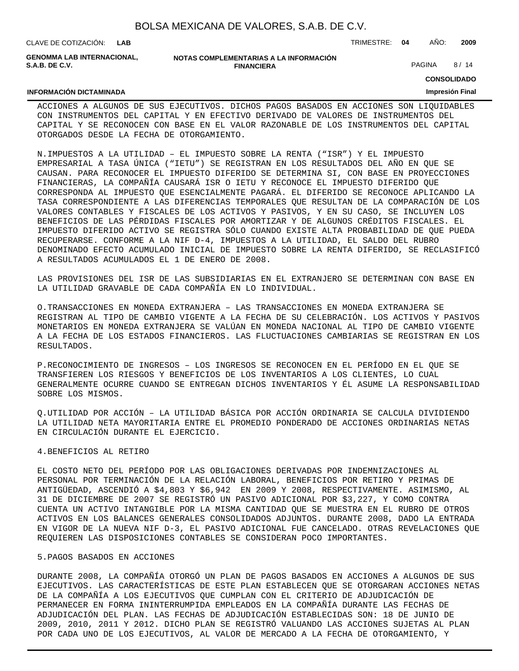| BOLSA MEXICANA DE VALORES, S.A.B. DE C.V. |  |  |  |  |  |
|-------------------------------------------|--|--|--|--|--|
|-------------------------------------------|--|--|--|--|--|

CLAVE DE COTIZACIÓN: TRIMESTRE: **04** AÑO: **2009 LAB**

**GENOMMA LAB INTERNACIONAL, S.A.B. DE C.V.**

#### **NOTAS COMPLEMENTARIAS A LA INFORMACIÓN FINANCIERA**

PAGINA 8/14

**CONSOLIDADO**

#### **Impresión Final**

#### **INFORMACIÓN DICTAMINADA**

ACCIONES A ALGUNOS DE SUS EJECUTIVOS. DICHOS PAGOS BASADOS EN ACCIONES SON LIQUIDABLES CON INSTRUMENTOS DEL CAPITAL Y EN EFECTIVO DERIVADO DE VALORES DE INSTRUMENTOS DEL CAPITAL Y SE RECONOCEN CON BASE EN EL VALOR RAZONABLE DE LOS INSTRUMENTOS DEL CAPITAL OTORGADOS DESDE LA FECHA DE OTORGAMIENTO.

N. IMPUESTOS A LA UTILIDAD – EL IMPUESTO SOBRE LA RENTA ("ISR") Y EL IMPUESTO EMPRESARIAL A TASA ÚNICA ("IETU") SE REGISTRAN EN LOS RESULTADOS DEL AÑO EN QUE SE CAUSAN. PARA RECONOCER EL IMPUESTO DIFERIDO SE DETERMINA SI, CON BASE EN PROYECCIONES FINANCIERAS, LA COMPAÑÍA CAUSARÁ ISR O IETU Y RECONOCE EL IMPUESTO DIFERIDO QUE CORRESPONDA AL IMPUESTO QUE ESENCIALMENTE PAGARÁ. EL DIFERIDO SE RECONOCE APLICANDO LA TASA CORRESPONDIENTE A LAS DIFERENCIAS TEMPORALES QUE RESULTAN DE LA COMPARACIÓN DE LOS VALORES CONTABLES Y FISCALES DE LOS ACTIVOS Y PASIVOS, Y EN SU CASO, SE INCLUYEN LOS BENEFICIOS DE LAS PÉRDIDAS FISCALES POR AMORTIZAR Y DE ALGUNOS CRÉDITOS FISCALES. EL IMPUESTO DIFERIDO ACTIVO SE REGISTRA SÓLO CUANDO EXISTE ALTA PROBABILIDAD DE QUE PUEDA RECUPERARSE. CONFORME A LA NIF D-4, IMPUESTOS A LA UTILIDAD, EL SALDO DEL RUBRO DENOMINADO EFECTO ACUMULADO INICIAL DE IMPUESTO SOBRE LA RENTA DIFERIDO, SE RECLASIFICÓ A RESULTADOS ACUMULADOS EL 1 DE ENERO DE 2008.

LAS PROVISIONES DEL ISR DE LAS SUBSIDIARIAS EN EL EXTRANJERO SE DETERMINAN CON BASE EN LA UTILIDAD GRAVABLE DE CADA COMPAÑÍA EN LO INDIVIDUAL.

O. TRANSACCIONES EN MONEDA EXTRANJERA - LAS TRANSACCIONES EN MONEDA EXTRANJERA SE REGISTRAN AL TIPO DE CAMBIO VIGENTE A LA FECHA DE SU CELEBRACIÓN. LOS ACTIVOS Y PASIVOS MONETARIOS EN MONEDA EXTRANJERA SE VALÚAN EN MONEDA NACIONAL AL TIPO DE CAMBIO VIGENTE A LA FECHA DE LOS ESTADOS FINANCIEROS. LAS FLUCTUACIONES CAMBIARIAS SE REGISTRAN EN LOS RESULTADOS.

P. RECONOCIMIENTO DE INGRESOS – LOS INGRESOS SE RECONOCEN EN EL PERÍODO EN EL QUE SE TRANSFIEREN LOS RIESGOS Y BENEFICIOS DE LOS INVENTARIOS A LOS CLIENTES, LO CUAL GENERALMENTE OCURRE CUANDO SE ENTREGAN DICHOS INVENTARIOS Y ÉL ASUME LA RESPONSABILIDAD SOBRE LOS MISMOS.

Q. UTILIDAD POR ACCIÓN – LA UTILIDAD BÁSICA POR ACCIÓN ORDINARIA SE CALCULA DIVIDIENDO LA UTILIDAD NETA MAYORITARIA ENTRE EL PROMEDIO PONDERADO DE ACCIONES ORDINARIAS NETAS EN CIRCULACIÓN DURANTE EL EJERCICIO.

#### 4. BENEFICIOS AL RETIRO

EL COSTO NETO DEL PERÍODO POR LAS OBLIGACIONES DERIVADAS POR INDEMNIZACIONES AL PERSONAL POR TERMINACIÓN DE LA RELACIÓN LABORAL, BENEFICIOS POR RETIRO Y PRIMAS DE ANTIGÜEDAD, ASCENDIÓ A \$4,803 Y \$6,942 EN 2009 Y 2008, RESPECTIVAMENTE. ASIMISMO, AL 31 DE DICIEMBRE DE 2007 SE REGISTRÓ UN PASIVO ADICIONAL POR \$3,227, Y COMO CONTRA CUENTA UN ACTIVO INTANGIBLE POR LA MISMA CANTIDAD QUE SE MUESTRA EN EL RUBRO DE OTROS ACTIVOS EN LOS BALANCES GENERALES CONSOLIDADOS ADJUNTOS. DURANTE 2008, DADO LA ENTRADA EN VIGOR DE LA NUEVA NIF D-3, EL PASIVO ADICIONAL FUE CANCELADO. OTRAS REVELACIONES QUE REQUIEREN LAS DISPOSICIONES CONTABLES SE CONSIDERAN POCO IMPORTANTES.

#### 5. PAGOS BASADOS EN ACCIONES

DURANTE 2008, LA COMPAÑÍA OTORGÓ UN PLAN DE PAGOS BASADOS EN ACCIONES A ALGUNOS DE SUS EJECUTIVOS. LAS CARACTERÍSTICAS DE ESTE PLAN ESTABLECEN QUE SE OTORGARAN ACCIONES NETAS DE LA COMPAÑÍA A LOS EJECUTIVOS QUE CUMPLAN CON EL CRITERIO DE ADJUDICACIÓN DE PERMANECER EN FORMA ININTERRUMPIDA EMPLEADOS EN LA COMPAÑÍA DURANTE LAS FECHAS DE ADJUDICACIÓN DEL PLAN. LAS FECHAS DE ADJUDICACIÓN ESTABLECIDAS SON: 18 DE JUNIO DE 2009, 2010, 2011 Y 2012. DICHO PLAN SE REGISTRÓ VALUANDO LAS ACCIONES SUJETAS AL PLAN POR CADA UNO DE LOS EJECUTIVOS, AL VALOR DE MERCADO A LA FECHA DE OTORGAMIENTO, Y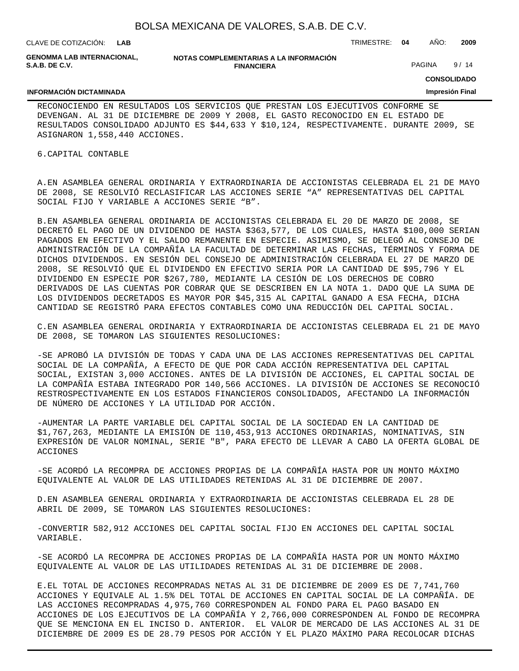| BOLSA MEXICANA DE VALORES, S.A.B. DE C.V. |  |  |  |  |  |
|-------------------------------------------|--|--|--|--|--|
|-------------------------------------------|--|--|--|--|--|

CLAVE DE COTIZACIÓN: TRIMESTRE: **04** AÑO: **2009 LAB**

**INFORMACIÓN DICTAMINADA**

**GENOMMA LAB INTERNACIONAL, S.A.B. DE C.V.**

**NOTAS COMPLEMENTARIAS A LA INFORMACIÓN FINANCIERA**

PAGINA 9/14

**CONSOLIDADO**

#### **Impresión Final**

RECONOCIENDO EN RESULTADOS LOS SERVICIOS QUE PRESTAN LOS EJECUTIVOS CONFORME SE DEVENGAN. AL 31 DE DICIEMBRE DE 2009 Y 2008, EL GASTO RECONOCIDO EN EL ESTADO DE RESULTADOS CONSOLIDADO ADJUNTO ES \$44,633 Y \$10,124, RESPECTIVAMENTE. DURANTE 2009, SE ASIGNARON 1,558,440 ACCIONES.

6. CAPITAL CONTABLE

A. EN ASAMBLEA GENERAL ORDINARIA Y EXTRAORDINARIA DE ACCIONISTAS CELEBRADA EL 21 DE MAYO DE 2008, SE RESOLVIÓ RECLASIFICAR LAS ACCIONES SERIE "A" REPRESENTATIVAS DEL CAPITAL SOCIAL FIJO Y VARIABLE A ACCIONES SERIE "B".

B. EN ASAMBLEA GENERAL ORDINARIA DE ACCIONISTAS CELEBRADA EL 20 DE MARZO DE 2008, SE DECRETÓ EL PAGO DE UN DIVIDENDO DE HASTA \$363,577, DE LOS CUALES, HASTA \$100,000 SERIAN PAGADOS EN EFECTIVO Y EL SALDO REMANENTE EN ESPECIE. ASIMISMO, SE DELEGÓ AL CONSEJO DE ADMINISTRACIÓN DE LA COMPAÑÍA LA FACULTAD DE DETERMINAR LAS FECHAS, TÉRMINOS Y FORMA DE DICHOS DIVIDENDOS. EN SESIÓN DEL CONSEJO DE ADMINISTRACIÓN CELEBRADA EL 27 DE MARZO DE 2008, SE RESOLVIÓ QUE EL DIVIDENDO EN EFECTIVO SERIA POR LA CANTIDAD DE \$95,796 Y EL DIVIDENDO EN ESPECIE POR \$267,780, MEDIANTE LA CESIÓN DE LOS DERECHOS DE COBRO DERIVADOS DE LAS CUENTAS POR COBRAR QUE SE DESCRIBEN EN LA NOTA 1. DADO QUE LA SUMA DE LOS DIVIDENDOS DECRETADOS ES MAYOR POR \$45,315 AL CAPITAL GANADO A ESA FECHA, DICHA CANTIDAD SE REGISTRÓ PARA EFECTOS CONTABLES COMO UNA REDUCCIÓN DEL CAPITAL SOCIAL.

C. EN ASAMBLEA GENERAL ORDINARIA Y EXTRAORDINARIA DE ACCIONISTAS CELEBRADA EL 21 DE MAYO DE 2008, SE TOMARON LAS SIGUIENTES RESOLUCIONES:

- SE APROBÓ LA DIVISIÓN DE TODAS Y CADA UNA DE LAS ACCIONES REPRESENTATIVAS DEL CAPITAL SOCIAL DE LA COMPAÑÍA, A EFECTO DE QUE POR CADA ACCIÓN REPRESENTATIVA DEL CAPITAL SOCIAL, EXISTAN 3,000 ACCIONES. ANTES DE LA DIVISIÓN DE ACCIONES, EL CAPITAL SOCIAL DE LA COMPAÑÍA ESTABA INTEGRADO POR 140,566 ACCIONES. LA DIVISIÓN DE ACCIONES SE RECONOCIÓ RESTROSPECTIVAMENTE EN LOS ESTADOS FINANCIEROS CONSOLIDADOS, AFECTANDO LA INFORMACIÓN DE NÚMERO DE ACCIONES Y LA UTILIDAD POR ACCIÓN.

- AUMENTAR LA PARTE VARIABLE DEL CAPITAL SOCIAL DE LA SOCIEDAD EN LA CANTIDAD DE \$1,767,263, MEDIANTE LA EMISIÓN DE 110,453,913 ACCIONES ORDINARIAS, NOMINATIVAS, SIN EXPRESIÓN DE VALOR NOMINAL, SERIE "B", PARA EFECTO DE LLEVAR A CABO LA OFERTA GLOBAL DE ACCIONES

- SE ACORDÓ LA RECOMPRA DE ACCIONES PROPIAS DE LA COMPAÑÍA HASTA POR UN MONTO MÁXIMO EQUIVALENTE AL VALOR DE LAS UTILIDADES RETENIDAS AL 31 DE DICIEMBRE DE 2007.

D. EN ASAMBLEA GENERAL ORDINARIA Y EXTRAORDINARIA DE ACCIONISTAS CELEBRADA EL 28 DE ABRIL DE 2009, SE TOMARON LAS SIGUIENTES RESOLUCIONES:

- CONVERTIR 582,912 ACCIONES DEL CAPITAL SOCIAL FIJO EN ACCIONES DEL CAPITAL SOCIAL VARIABLE.

- SE ACORDÓ LA RECOMPRA DE ACCIONES PROPIAS DE LA COMPAÑÍA HASTA POR UN MONTO MÁXIMO EQUIVALENTE AL VALOR DE LAS UTILIDADES RETENIDAS AL 31 DE DICIEMBRE DE 2008.

E. EL TOTAL DE ACCIONES RECOMPRADAS NETAS AL 31 DE DICIEMBRE DE 2009 ES DE 7,741,760 ACCIONES Y EQUIVALE AL 1.5% DEL TOTAL DE ACCIONES EN CAPITAL SOCIAL DE LA COMPAÑÍA. DE LAS ACCIONES RECOMPRADAS 4,975,760 CORRESPONDEN AL FONDO PARA EL PAGO BASADO EN ACCIONES DE LOS EJECUTIVOS DE LA COMPAÑÍA Y 2,766,000 CORRESPONDEN AL FONDO DE RECOMPRA QUE SE MENCIONA EN EL INCISO D. ANTERIOR. EL VALOR DE MERCADO DE LAS ACCIONES AL 31 DE DICIEMBRE DE 2009 ES DE 28.79 PESOS POR ACCIÓN Y EL PLAZO MÁXIMO PARA RECOLOCAR DICHAS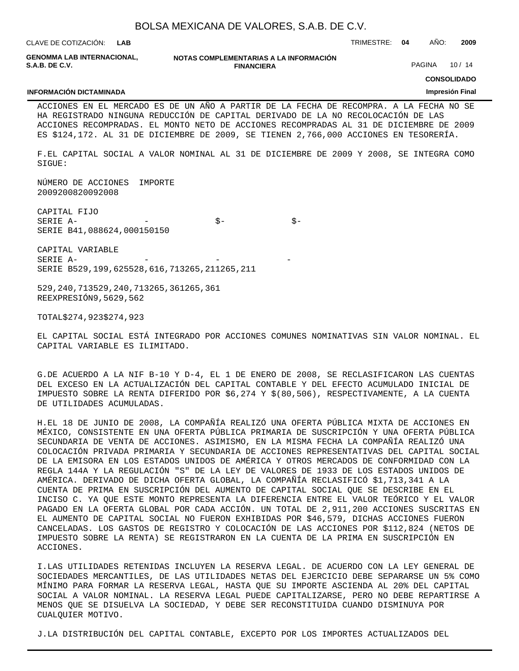| BOLSA MEXICANA DE VALORES, S.A.B. DE C.V. |  |  |  |
|-------------------------------------------|--|--|--|
|-------------------------------------------|--|--|--|

|                                                                                                                                                                                                                                                                                                                                                                                                                                                                   |         |                   | BOLSA MEXICANA DE VALORES, S.A.B. DE C.V. |               |        |                        |       |
|-------------------------------------------------------------------------------------------------------------------------------------------------------------------------------------------------------------------------------------------------------------------------------------------------------------------------------------------------------------------------------------------------------------------------------------------------------------------|---------|-------------------|-------------------------------------------|---------------|--------|------------------------|-------|
| CLAVE DE COTIZACIÓN: L <b>AB</b>                                                                                                                                                                                                                                                                                                                                                                                                                                  |         |                   |                                           | TRIMESTRE: 04 |        | AÑO:                   | 2009  |
| GENOMMA LAB INTERNACIONAL.<br><b>S.A.B. DE C.V.</b>                                                                                                                                                                                                                                                                                                                                                                                                               |         | <b>FINANCIERA</b> | NOTAS COMPLEMENTARIAS A LA INFORMACIÓN    |               | PAGINA |                        | 10/14 |
|                                                                                                                                                                                                                                                                                                                                                                                                                                                                   |         |                   |                                           |               |        | <b>CONSOLIDADO</b>     |       |
| <b>INFORMACIÓN DICTAMINADA</b>                                                                                                                                                                                                                                                                                                                                                                                                                                    |         |                   |                                           |               |        | <b>Impresión Final</b> |       |
| ACCIONES EN EL MERCADO ES DE UN AÑO A PARTIR DE LA FECHA DE RECOMPRA. A LA FECHA NO SE<br>HA REGISTRADO NINGUNA REDUCCIÓN DE CAPITAL DERIVADO DE LA NO RECOLOCACIÓN DE LAS<br>ACCIONES RECOMPRADAS. EL MONTO NETO DE ACCIONES RECOMPRADAS AL 31 DE DICIEMBRE DE 2009<br>ES \$124,172. AL 31 DE DICIEMBRE DE 2009, SE TIENEN 2,766,000 ACCIONES EN TESORERÍA.<br>F. EL CAPITAL SOCIAL A VALOR NOMINAL AL 31 DE DICIEMBRE DE 2009 Y 2008, SE INTEGRA COMO<br>SIGUE: |         |                   |                                           |               |        |                        |       |
| NÚMERO DE ACCIONES<br>2009 2008 2009 2008                                                                                                                                                                                                                                                                                                                                                                                                                         | IMPORTE |                   |                                           |               |        |                        |       |
| CAPITAL FIJO<br>SERIE A -<br>SERIE B 41,088 624,000 150 150                                                                                                                                                                                                                                                                                                                                                                                                       |         | $\dot{S}$ -       | $\dot{S}$ -                               |               |        |                        |       |
| CAPITAL VARIABLE<br>SERIE A -<br>SERIE B 529,199,625 528,616,713 265,211 265,211                                                                                                                                                                                                                                                                                                                                                                                  |         |                   |                                           |               |        |                        |       |
| 529, 240, 713 529, 240, 713 265, 361 265, 361<br>REEXPRESIÓN 9,562 9,562                                                                                                                                                                                                                                                                                                                                                                                          |         |                   |                                           |               |        |                        |       |
| \$ 274,923 \$ 274,923<br>TOTAL                                                                                                                                                                                                                                                                                                                                                                                                                                    |         |                   |                                           |               |        |                        |       |

EL CAPITAL SOCIAL ESTÁ INTEGRADO POR ACCIONES COMUNES NOMINATIVAS SIN VALOR NOMINAL. EL CAPITAL VARIABLE ES ILIMITADO.

G. DE ACUERDO A LA NIF B-10 Y D-4, EL 1 DE ENERO DE 2008, SE RECLASIFICARON LAS CUENTAS DEL EXCESO EN LA ACTUALIZACIÓN DEL CAPITAL CONTABLE Y DEL EFECTO ACUMULADO INICIAL DE IMPUESTO SOBRE LA RENTA DIFERIDO POR \$6,274 Y \$(80,506), RESPECTIVAMENTE, A LA CUENTA DE UTILIDADES ACUMULADAS.

H. EL 18 DE JUNIO DE 2008, LA COMPAÑÍA REALIZÓ UNA OFERTA PÚBLICA MIXTA DE ACCIONES EN MÉXICO, CONSISTENTE EN UNA OFERTA PÚBLICA PRIMARIA DE SUSCRIPCIÓN Y UNA OFERTA PÚBLICA SECUNDARIA DE VENTA DE ACCIONES. ASIMISMO, EN LA MISMA FECHA LA COMPAÑÍA REALIZÓ UNA COLOCACIÓN PRIVADA PRIMARIA Y SECUNDARIA DE ACCIONES REPRESENTATIVAS DEL CAPITAL SOCIAL DE LA EMISORA EN LOS ESTADOS UNIDOS DE AMÉRICA Y OTROS MERCADOS DE CONFORMIDAD CON LA REGLA 144A Y LA REGULACIÓN "S" DE LA LEY DE VALORES DE 1933 DE LOS ESTADOS UNIDOS DE AMÉRICA. DERIVADO DE DICHA OFERTA GLOBAL, LA COMPAÑÍA RECLASIFICÓ \$1,713,341 A LA CUENTA DE PRIMA EN SUSCRIPCIÓN DEL AUMENTO DE CAPITAL SOCIAL QUE SE DESCRIBE EN EL INCISO C. YA QUE ESTE MONTO REPRESENTA LA DIFERENCIA ENTRE EL VALOR TEÓRICO Y EL VALOR PAGADO EN LA OFERTA GLOBAL POR CADA ACCIÓN. UN TOTAL DE 2,911,200 ACCIONES SUSCRITAS EN EL AUMENTO DE CAPITAL SOCIAL NO FUERON EXHIBIDAS POR \$46,579, DICHAS ACCIONES FUERON CANCELADAS. LOS GASTOS DE REGISTRO Y COLOCACIÓN DE LAS ACCIONES POR \$112,824 (NETOS DE IMPUESTO SOBRE LA RENTA) SE REGISTRARON EN LA CUENTA DE LA PRIMA EN SUSCRIPCIÓN EN ACCIONES.

I. LAS UTILIDADES RETENIDAS INCLUYEN LA RESERVA LEGAL. DE ACUERDO CON LA LEY GENERAL DE SOCIEDADES MERCANTILES, DE LAS UTILIDADES NETAS DEL EJERCICIO DEBE SEPARARSE UN 5% COMO MÍNIMO PARA FORMAR LA RESERVA LEGAL, HASTA QUE SU IMPORTE ASCIENDA AL 20% DEL CAPITAL SOCIAL A VALOR NOMINAL. LA RESERVA LEGAL PUEDE CAPITALIZARSE, PERO NO DEBE REPARTIRSE A MENOS QUE SE DISUELVA LA SOCIEDAD, Y DEBE SER RECONSTITUIDA CUANDO DISMINUYA POR CUALQUIER MOTIVO.

J. LA DISTRIBUCIÓN DEL CAPITAL CONTABLE, EXCEPTO POR LOS IMPORTES ACTUALIZADOS DEL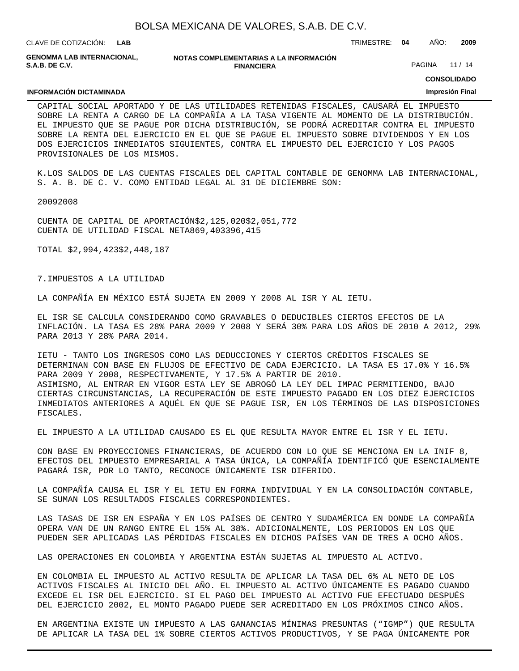**LAB**

CLAVE DE COTIZACIÓN: TRIMESTRE: **04** AÑO: **2009**

**GENOMMA LAB INTERNACIONAL, S.A.B. DE C.V.**

**INFORMACIÓN DICTAMINADA**

**NOTAS COMPLEMENTARIAS A LA INFORMACIÓN FINANCIERA**

PAGINA 11 / 14

**CONSOLIDADO**

#### **Impresión Final**

CAPITAL SOCIAL APORTADO Y DE LAS UTILIDADES RETENIDAS FISCALES, CAUSARÁ EL IMPUESTO SOBRE LA RENTA A CARGO DE LA COMPAÑÍA A LA TASA VIGENTE AL MOMENTO DE LA DISTRIBUCIÓN. EL IMPUESTO QUE SE PAGUE POR DICHA DISTRIBUCIÓN, SE PODRÁ ACREDITAR CONTRA EL IMPUESTO SOBRE LA RENTA DEL EJERCICIO EN EL QUE SE PAGUE EL IMPUESTO SOBRE DIVIDENDOS Y EN LOS DOS EJERCICIOS INMEDIATOS SIGUIENTES, CONTRA EL IMPUESTO DEL EJERCICIO Y LOS PAGOS PROVISIONALES DE LOS MISMOS.

K. LOS SALDOS DE LAS CUENTAS FISCALES DEL CAPITAL CONTABLE DE GENOMMA LAB INTERNACIONAL, S. A. B. DE C. V. COMO ENTIDAD LEGAL AL 31 DE DICIEMBRE SON:

 2009 2008

CUENTA DE CAPITAL DE APORTACIÓN \$ 2,125,020 \$ 2,051,772 CUENTA DE UTILIDAD FISCAL NETA 869,403 396,415

TOTAL \$ 2,994,423 \$ 2,448,187

7. IMPUESTOS A LA UTILIDAD

LA COMPAÑÍA EN MÉXICO ESTÁ SUJETA EN 2009 Y 2008 AL ISR Y AL IETU.

EL ISR SE CALCULA CONSIDERANDO COMO GRAVABLES O DEDUCIBLES CIERTOS EFECTOS DE LA INFLACIÓN. LA TASA ES 28% PARA 2009 Y 2008 Y SERÁ 30% PARA LOS AÑOS DE 2010 A 2012, 29% PARA 2013 Y 28% PARA 2014.

IETU - TANTO LOS INGRESOS COMO LAS DEDUCCIONES Y CIERTOS CRÉDITOS FISCALES SE DETERMINAN CON BASE EN FLUJOS DE EFECTIVO DE CADA EJERCICIO. LA TASA ES 17.0% Y 16.5% PARA 2009 Y 2008, RESPECTIVAMENTE, Y 17.5% A PARTIR DE 2010. ASIMISMO, AL ENTRAR EN VIGOR ESTA LEY SE ABROGÓ LA LEY DEL IMPAC PERMITIENDO, BAJO CIERTAS CIRCUNSTANCIAS, LA RECUPERACIÓN DE ESTE IMPUESTO PAGADO EN LOS DIEZ EJERCICIOS INMEDIATOS ANTERIORES A AQUÉL EN QUE SE PAGUE ISR, EN LOS TÉRMINOS DE LAS DISPOSICIONES FISCALES.

EL IMPUESTO A LA UTILIDAD CAUSADO ES EL QUE RESULTA MAYOR ENTRE EL ISR Y EL IETU.

CON BASE EN PROYECCIONES FINANCIERAS, DE ACUERDO CON LO QUE SE MENCIONA EN LA INIF 8, EFECTOS DEL IMPUESTO EMPRESARIAL A TASA ÚNICA, LA COMPAÑÍA IDENTIFICÓ QUE ESENCIALMENTE PAGARÁ ISR, POR LO TANTO, RECONOCE ÚNICAMENTE ISR DIFERIDO.

LA COMPAÑÍA CAUSA EL ISR Y EL IETU EN FORMA INDIVIDUAL Y EN LA CONSOLIDACIÓN CONTABLE, SE SUMAN LOS RESULTADOS FISCALES CORRESPONDIENTES.

LAS TASAS DE ISR EN ESPAÑA Y EN LOS PAÍSES DE CENTRO Y SUDAMÉRICA EN DONDE LA COMPAÑÍA OPERA VAN DE UN RANGO ENTRE EL 15% AL 38%. ADICIONALMENTE, LOS PERIODOS EN LOS QUE PUEDEN SER APLICADAS LAS PÉRDIDAS FISCALES EN DICHOS PAÍSES VAN DE TRES A OCHO AÑOS.

LAS OPERACIONES EN COLOMBIA Y ARGENTINA ESTÁN SUJETAS AL IMPUESTO AL ACTIVO.

EN COLOMBIA EL IMPUESTO AL ACTIVO RESULTA DE APLICAR LA TASA DEL 6% AL NETO DE LOS ACTIVOS FISCALES AL INICIO DEL AÑO. EL IMPUESTO AL ACTIVO ÚNICAMENTE ES PAGADO CUANDO EXCEDE EL ISR DEL EJERCICIO. SI EL PAGO DEL IMPUESTO AL ACTIVO FUE EFECTUADO DESPUÉS DEL EJERCICIO 2002, EL MONTO PAGADO PUEDE SER ACREDITADO EN LOS PRÓXIMOS CINCO AÑOS.

EN ARGENTINA EXISTE UN IMPUESTO A LAS GANANCIAS MÍNIMAS PRESUNTAS ("IGMP") QUE RESULTA DE APLICAR LA TASA DEL 1% SOBRE CIERTOS ACTIVOS PRODUCTIVOS, Y SE PAGA ÚNICAMENTE POR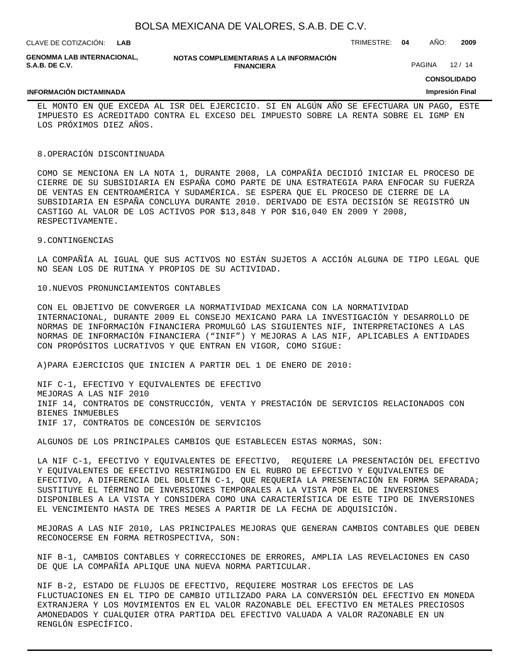CLAVE DE COTIZACIÓN: TRIMESTRE: **04** AÑO: **2009 LAB**

|                | GENOMMA LAB INTERNACIONAL. |  |
|----------------|----------------------------|--|
| S.A.B. DE C.V. |                            |  |

#### **NOTAS COMPLEMENTARIAS A LA INFORMACIÓN FINANCIERA**

PAGINA 12/14

**CONSOLIDADO**

### **INFORMACIÓN DICTAMINADA**

**Impresión Final**

EL MONTO EN QUE EXCEDA AL ISR DEL EJERCICIO. SI EN ALGÚN AÑO SE EFECTUARA UN PAGO, ESTE IMPUESTO ES ACREDITADO CONTRA EL EXCESO DEL IMPUESTO SOBRE LA RENTA SOBRE EL IGMP EN LOS PRÓXIMOS DIEZ AÑOS.

#### 8. OPERACIÓN DISCONTINUADA

COMO SE MENCIONA EN LA NOTA 1, DURANTE 2008, LA COMPAÑÍA DECIDIÓ INICIAR EL PROCESO DE CIERRE DE SU SUBSIDIARIA EN ESPAÑA COMO PARTE DE UNA ESTRATEGIA PARA ENFOCAR SU FUERZA DE VENTAS EN CENTROAMÉRICA Y SUDAMÉRICA. SE ESPERA QUE EL PROCESO DE CIERRE DE LA SUBSIDIARIA EN ESPAÑA CONCLUYA DURANTE 2010. DERIVADO DE ESTA DECISIÓN SE REGISTRÓ UN CASTIGO AL VALOR DE LOS ACTIVOS POR \$13,848 Y POR \$16,040 EN 2009 Y 2008, RESPECTIVAMENTE.

## 9. CONTINGENCIAS

LA COMPAÑÍA AL IGUAL QUE SUS ACTIVOS NO ESTÁN SUJETOS A ACCIÓN ALGUNA DE TIPO LEGAL QUE NO SEAN LOS DE RUTINA Y PROPIOS DE SU ACTIVIDAD.

#### 10. NUEVOS PRONUNCIAMIENTOS CONTABLES

CON EL OBJETIVO DE CONVERGER LA NORMATIVIDAD MEXICANA CON LA NORMATIVIDAD INTERNACIONAL, DURANTE 2009 EL CONSEJO MEXICANO PARA LA INVESTIGACIÓN Y DESARROLLO DE NORMAS DE INFORMACIÓN FINANCIERA PROMULGÓ LAS SIGUIENTES NIF, INTERPRETACIONES A LAS NORMAS DE INFORMACIÓN FINANCIERA ("INIF") Y MEJORAS A LAS NIF, APLICABLES A ENTIDADES CON PROPÓSITOS LUCRATIVOS Y QUE ENTRAN EN VIGOR, COMO SIGUE:

A) PARA EJERCICIOS QUE INICIEN A PARTIR DEL 1 DE ENERO DE 2010:

NIF C-1, EFECTIVO Y EQUIVALENTES DE EFECTIVO MEJORAS A LAS NIF 2010 INIF 14, CONTRATOS DE CONSTRUCCIÓN, VENTA Y PRESTACIÓN DE SERVICIOS RELACIONADOS CON BIENES INMUEBLES INIF 17, CONTRATOS DE CONCESIÓN DE SERVICIOS

ALGUNOS DE LOS PRINCIPALES CAMBIOS QUE ESTABLECEN ESTAS NORMAS, SON:

LA NIF C-1, EFECTIVO Y EQUIVALENTES DE EFECTIVO, REQUIERE LA PRESENTACIÓN DEL EFECTIVO Y EQUIVALENTES DE EFECTIVO RESTRINGIDO EN EL RUBRO DE EFECTIVO Y EQUIVALENTES DE EFECTIVO, A DIFERENCIA DEL BOLETÍN C-1, QUE REQUERÍA LA PRESENTACIÓN EN FORMA SEPARADA; SUSTITUYE EL TÉRMINO DE INVERSIONES TEMPORALES A LA VISTA POR EL DE INVERSIONES DISPONIBLES A LA VISTA Y CONSIDERA COMO UNA CARACTERÍSTICA DE ESTE TIPO DE INVERSIONES EL VENCIMIENTO HASTA DE TRES MESES A PARTIR DE LA FECHA DE ADQUISICIÓN.

MEJORAS A LAS NIF 2010, LAS PRINCIPALES MEJORAS QUE GENERAN CAMBIOS CONTABLES QUE DEBEN RECONOCERSE EN FORMA RETROSPECTIVA, SON:

NIF B-1, CAMBIOS CONTABLES Y CORRECCIONES DE ERRORES, AMPLIA LAS REVELACIONES EN CASO DE QUE LA COMPAÑÍA APLIQUE UNA NUEVA NORMA PARTICULAR.

NIF B-2, ESTADO DE FLUJOS DE EFECTIVO, REQUIERE MOSTRAR LOS EFECTOS DE LAS FLUCTUACIONES EN EL TIPO DE CAMBIO UTILIZADO PARA LA CONVERSIÓN DEL EFECTIVO EN MONEDA EXTRANJERA Y LOS MOVIMIENTOS EN EL VALOR RAZONABLE DEL EFECTIVO EN METALES PRECIOSOS AMONEDADOS Y CUALQUIER OTRA PARTIDA DEL EFECTIVO VALUADA A VALOR RAZONABLE EN UN RENGLÓN ESPECÍFICO.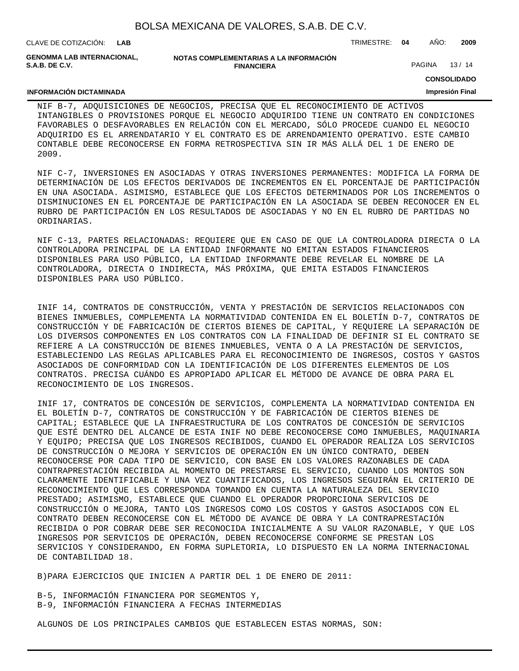CLAVE DE COTIZACIÓN: TRIMESTRE: **04** AÑO: **2009 LAB GENOMMA LAB INTERNACIONAL,**

**NOTAS COMPLEMENTARIAS A LA INFORMACIÓN FINANCIERA**

PAGINA 13/14

**CONSOLIDADO**

#### **INFORMACIÓN DICTAMINADA**

**S.A.B. DE C.V.**

## **Impresión Final**

NIF B-7, ADQUISICIONES DE NEGOCIOS, PRECISA QUE EL RECONOCIMIENTO DE ACTIVOS INTANGIBLES O PROVISIONES PORQUE EL NEGOCIO ADQUIRIDO TIENE UN CONTRATO EN CONDICIONES FAVORABLES O DESFAVORABLES EN RELACIÓN CON EL MERCADO, SÓLO PROCEDE CUANDO EL NEGOCIO ADQUIRIDO ES EL ARRENDATARIO Y EL CONTRATO ES DE ARRENDAMIENTO OPERATIVO. ESTE CAMBIO CONTABLE DEBE RECONOCERSE EN FORMA RETROSPECTIVA SIN IR MÁS ALLÁ DEL 1 DE ENERO DE 2009.

NIF C-7, INVERSIONES EN ASOCIADAS Y OTRAS INVERSIONES PERMANENTES: MODIFICA LA FORMA DE DETERMINACIÓN DE LOS EFECTOS DERIVADOS DE INCREMENTOS EN EL PORCENTAJE DE PARTICIPACIÓN EN UNA ASOCIADA. ASIMISMO, ESTABLECE QUE LOS EFECTOS DETERMINADOS POR LOS INCREMENTOS O DISMINUCIONES EN EL PORCENTAJE DE PARTICIPACIÓN EN LA ASOCIADA SE DEBEN RECONOCER EN EL RUBRO DE PARTICIPACIÓN EN LOS RESULTADOS DE ASOCIADAS Y NO EN EL RUBRO DE PARTIDAS NO ORDINARIAS.

NIF C-13, PARTES RELACIONADAS: REQUIERE QUE EN CASO DE QUE LA CONTROLADORA DIRECTA O LA CONTROLADORA PRINCIPAL DE LA ENTIDAD INFORMANTE NO EMITAN ESTADOS FINANCIEROS DISPONIBLES PARA USO PÚBLICO, LA ENTIDAD INFORMANTE DEBE REVELAR EL NOMBRE DE LA CONTROLADORA, DIRECTA O INDIRECTA, MÁS PRÓXIMA, QUE EMITA ESTADOS FINANCIEROS DISPONIBLES PARA USO PÚBLICO.

INIF 14, CONTRATOS DE CONSTRUCCIÓN, VENTA Y PRESTACIÓN DE SERVICIOS RELACIONADOS CON BIENES INMUEBLES, COMPLEMENTA LA NORMATIVIDAD CONTENIDA EN EL BOLETÍN D-7, CONTRATOS DE CONSTRUCCIÓN Y DE FABRICACIÓN DE CIERTOS BIENES DE CAPITAL, Y REQUIERE LA SEPARACIÓN DE LOS DIVERSOS COMPONENTES EN LOS CONTRATOS CON LA FINALIDAD DE DEFINIR SI EL CONTRATO SE REFIERE A LA CONSTRUCCIÓN DE BIENES INMUEBLES, VENTA O A LA PRESTACIÓN DE SERVICIOS, ESTABLECIENDO LAS REGLAS APLICABLES PARA EL RECONOCIMIENTO DE INGRESOS, COSTOS Y GASTOS ASOCIADOS DE CONFORMIDAD CON LA IDENTIFICACIÓN DE LOS DIFERENTES ELEMENTOS DE LOS CONTRATOS. PRECISA CUÁNDO ES APROPIADO APLICAR EL MÉTODO DE AVANCE DE OBRA PARA EL RECONOCIMIENTO DE LOS INGRESOS.

INIF 17, CONTRATOS DE CONCESIÓN DE SERVICIOS, COMPLEMENTA LA NORMATIVIDAD CONTENIDA EN EL BOLETÍN D-7, CONTRATOS DE CONSTRUCCIÓN Y DE FABRICACIÓN DE CIERTOS BIENES DE CAPITAL; ESTABLECE QUE LA INFRAESTRUCTURA DE LOS CONTRATOS DE CONCESIÓN DE SERVICIOS QUE ESTÉ DENTRO DEL ALCANCE DE ESTA INIF NO DEBE RECONOCERSE COMO INMUEBLES, MAQUINARIA Y EQUIPO; PRECISA QUE LOS INGRESOS RECIBIDOS, CUANDO EL OPERADOR REALIZA LOS SERVICIOS DE CONSTRUCCIÓN O MEJORA Y SERVICIOS DE OPERACIÓN EN UN ÚNICO CONTRATO, DEBEN RECONOCERSE POR CADA TIPO DE SERVICIO, CON BASE EN LOS VALORES RAZONABLES DE CADA CONTRAPRESTACIÓN RECIBIDA AL MOMENTO DE PRESTARSE EL SERVICIO, CUANDO LOS MONTOS SON CLARAMENTE IDENTIFICABLE Y UNA VEZ CUANTIFICADOS, LOS INGRESOS SEGUIRÁN EL CRITERIO DE RECONOCIMIENTO QUE LES CORRESPONDA TOMANDO EN CUENTA LA NATURALEZA DEL SERVICIO PRESTADO; ASIMISMO, ESTABLECE QUE CUANDO EL OPERADOR PROPORCIONA SERVICIOS DE CONSTRUCCIÓN O MEJORA, TANTO LOS INGRESOS COMO LOS COSTOS Y GASTOS ASOCIADOS CON EL CONTRATO DEBEN RECONOCERSE CON EL MÉTODO DE AVANCE DE OBRA Y LA CONTRAPRESTACIÓN RECIBIDA O POR COBRAR DEBE SER RECONOCIDA INICIALMENTE A SU VALOR RAZONABLE, Y QUE LOS INGRESOS POR SERVICIOS DE OPERACIÓN, DEBEN RECONOCERSE CONFORME SE PRESTAN LOS SERVICIOS Y CONSIDERANDO, EN FORMA SUPLETORIA, LO DISPUESTO EN LA NORMA INTERNACIONAL DE CONTABILIDAD 18.

B) PARA EJERCICIOS QUE INICIEN A PARTIR DEL 1 DE ENERO DE 2011:

B-5, INFORMACIÓN FINANCIERA POR SEGMENTOS Y, B-9, INFORMACIÓN FINANCIERA A FECHAS INTERMEDIAS

ALGUNOS DE LOS PRINCIPALES CAMBIOS QUE ESTABLECEN ESTAS NORMAS, SON: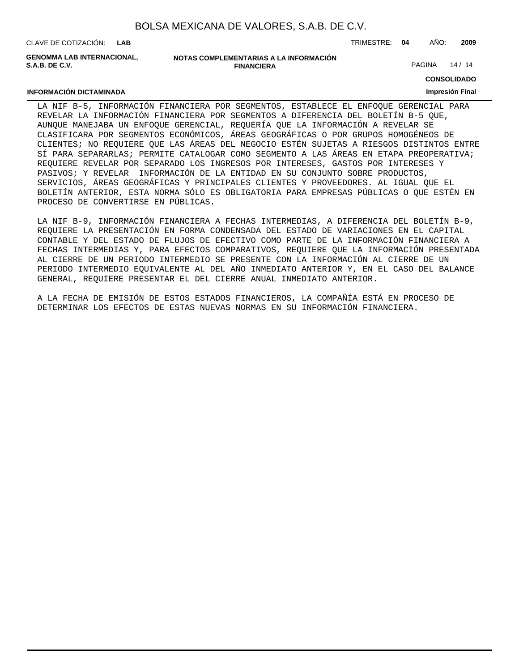CLAVE DE COTIZACIÓN: TRIMESTRE: **04** AÑO: **2009 LAB**

**INFORMACIÓN DICTAMINADA**

**GENOMMA LAB INTERNACIONAL, S.A.B. DE C.V.**

**NOTAS COMPLEMENTARIAS A LA INFORMACIÓN FINANCIERA**

PAGINA 14 / 14

**CONSOLIDADO**

#### **Impresión Final**

LA NIF B-5, INFORMACIÓN FINANCIERA POR SEGMENTOS, ESTABLECE EL ENFOQUE GERENCIAL PARA REVELAR LA INFORMACIÓN FINANCIERA POR SEGMENTOS A DIFERENCIA DEL BOLETÍN B-5 QUE, AUNQUE MANEJABA UN ENFOQUE GERENCIAL, REQUERÍA QUE LA INFORMACIÓN A REVELAR SE CLASIFICARA POR SEGMENTOS ECONÓMICOS, ÁREAS GEOGRÁFICAS O POR GRUPOS HOMOGÉNEOS DE CLIENTES; NO REQUIERE QUE LAS ÁREAS DEL NEGOCIO ESTÉN SUJETAS A RIESGOS DISTINTOS ENTRE SÍ PARA SEPARARLAS; PERMITE CATALOGAR COMO SEGMENTO A LAS ÁREAS EN ETAPA PREOPERATIVA; REQUIERE REVELAR POR SEPARADO LOS INGRESOS POR INTERESES, GASTOS POR INTERESES Y PASIVOS; Y REVELAR INFORMACIÓN DE LA ENTIDAD EN SU CONJUNTO SOBRE PRODUCTOS, SERVICIOS, ÁREAS GEOGRÁFICAS Y PRINCIPALES CLIENTES Y PROVEEDORES. AL IGUAL QUE EL BOLETÍN ANTERIOR, ESTA NORMA SÓLO ES OBLIGATORIA PARA EMPRESAS PÚBLICAS O QUE ESTÉN EN PROCESO DE CONVERTIRSE EN PÚBLICAS.

LA NIF B-9, INFORMACIÓN FINANCIERA A FECHAS INTERMEDIAS, A DIFERENCIA DEL BOLETÍN B-9, REQUIERE LA PRESENTACIÓN EN FORMA CONDENSADA DEL ESTADO DE VARIACIONES EN EL CAPITAL CONTABLE Y DEL ESTADO DE FLUJOS DE EFECTIVO COMO PARTE DE LA INFORMACIÓN FINANCIERA A FECHAS INTERMEDIAS Y, PARA EFECTOS COMPARATIVOS, REQUIERE QUE LA INFORMACIÓN PRESENTADA AL CIERRE DE UN PERIODO INTERMEDIO SE PRESENTE CON LA INFORMACIÓN AL CIERRE DE UN PERIODO INTERMEDIO EQUIVALENTE AL DEL AÑO INMEDIATO ANTERIOR Y, EN EL CASO DEL BALANCE GENERAL, REQUIERE PRESENTAR EL DEL CIERRE ANUAL INMEDIATO ANTERIOR.

A LA FECHA DE EMISIÓN DE ESTOS ESTADOS FINANCIEROS, LA COMPAÑÍA ESTÁ EN PROCESO DE DETERMINAR LOS EFECTOS DE ESTAS NUEVAS NORMAS EN SU INFORMACIÓN FINANCIERA.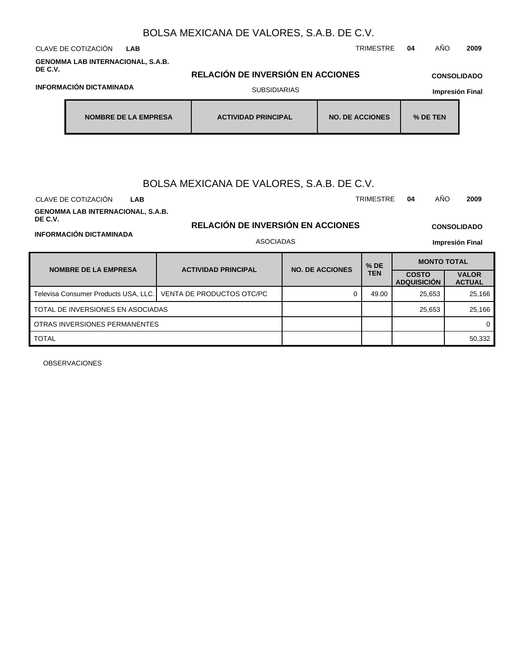| CLAVE DE COTIZACIÓN<br><b>LAB</b>                                                                                                                |  |                                                                                                    |  |                        | <b>TRIMESTRE</b>   | AÑO<br>04                          | 2009                                                 |  |  |  |  |  |
|--------------------------------------------------------------------------------------------------------------------------------------------------|--|----------------------------------------------------------------------------------------------------|--|------------------------|--------------------|------------------------------------|------------------------------------------------------|--|--|--|--|--|
| <b>GENOMMA LAB INTERNACIONAL, S.A.B.</b><br>DE C.V.<br>RELACIÓN DE INVERSIÓN EN ACCIONES<br><b>CONSOLIDADO</b><br><b>INFORMACIÓN DICTAMINADA</b> |  |                                                                                                    |  |                        |                    |                                    |                                                      |  |  |  |  |  |
|                                                                                                                                                  |  | <b>SUBSIDIARIAS</b>                                                                                |  |                        |                    | <b>Impresión Final</b>             |                                                      |  |  |  |  |  |
| <b>NOMBRE DE LA EMPRESA</b>                                                                                                                      |  | <b>ACTIVIDAD PRINCIPAL</b>                                                                         |  | <b>NO. DE ACCIONES</b> |                    | % DE TEN                           |                                                      |  |  |  |  |  |
| CLAVE DE COTIZACIÓN<br><b>LAB</b><br><b>GENOMMA LAB INTERNACIONAL, S.A.B.</b><br>DE C.V.<br><b>INFORMACIÓN DICTAMINADA</b>                       |  | BOLSA MEXICANA DE VALORES, S.A.B. DE C.V.<br>RELACIÓN DE INVERSIÓN EN ACCIONES<br><b>ASOCIADAS</b> |  |                        | <b>TRIMESTRE</b>   | AÑO<br>04                          | 2009<br><b>CONSOLIDADO</b><br><b>Impresión Final</b> |  |  |  |  |  |
| <b>NOMBRE DE LA EMPRESA</b>                                                                                                                      |  | <b>ACTIVIDAD PRINCIPAL</b>                                                                         |  | <b>NO. DE ACCIONES</b> | % DE<br><b>TEN</b> | <b>MONTO TOTAL</b>                 |                                                      |  |  |  |  |  |
|                                                                                                                                                  |  |                                                                                                    |  |                        |                    | <b>COSTO</b><br><b>ADQUISICIÓN</b> | <b>VALOR</b><br><b>ACTUAL</b>                        |  |  |  |  |  |
| Televisa Consumer Products USA, LLC.                                                                                                             |  | VENTA DE PRODUCTOS OTC/PC                                                                          |  | $\Omega$               | 49.00              | 25,653                             | 25,166                                               |  |  |  |  |  |
| TOTAL DE INVERSIONES EN ASOCIADAS                                                                                                                |  |                                                                                                    |  |                        |                    | 25,653                             | 25,166                                               |  |  |  |  |  |
| OTRAS INVERSIONES PERMANENTES                                                                                                                    |  |                                                                                                    |  |                        |                    |                                    | 0                                                    |  |  |  |  |  |
| <b>TOTAL</b>                                                                                                                                     |  |                                                                                                    |  |                        |                    |                                    | 50,332                                               |  |  |  |  |  |

OBSERVACIONES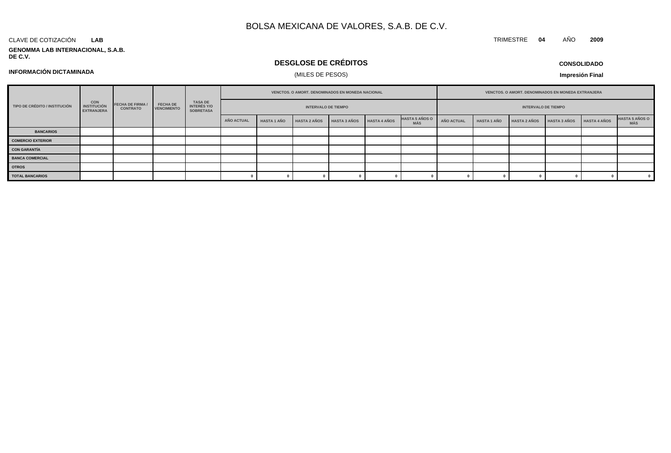#### CLAVE DE COTIZACIÓN **LAB**

**GENOMMA LAB INTERNACIONAL, S.A.B. DE C.V.**

## **DESGLOSE DE CRÉDITOS**

**CONSOLIDADO**

**INFORMACIÓN DICTAMINADA**

## (MILES DE PESOS)

**Impresión Final**

| TIPO DE CRÉDITO / INSTITUCIÓN | <b>CON</b><br><b>INSTITUCIÓN</b><br><b>EXTRANJERA</b> | <b>FECHA DE FIRMA /</b><br><b>CONTRATO</b> | <b>FECHA DE</b><br><b>VENCIMIENTO</b> | TASA DE<br>INTERÉS Y/O<br><b>SOBRETASA</b> | VENCTOS. O AMORT. DENOMINADOS EN MONEDA NACIONAL |                    |                     |                     |                     | VENCTOS. O AMORT. DENOMINADOS EN MONEDA EXTRANJERA |                            |                    |                     |                     |                     |                               |
|-------------------------------|-------------------------------------------------------|--------------------------------------------|---------------------------------------|--------------------------------------------|--------------------------------------------------|--------------------|---------------------|---------------------|---------------------|----------------------------------------------------|----------------------------|--------------------|---------------------|---------------------|---------------------|-------------------------------|
|                               |                                                       |                                            |                                       |                                            | <b>INTERVALO DE TIEMPO</b>                       |                    |                     |                     |                     |                                                    | <b>INTERVALO DE TIEMPO</b> |                    |                     |                     |                     |                               |
|                               |                                                       |                                            |                                       |                                            | AÑO ACTUAL                                       | <b>HASTA 1 AÑO</b> | <b>HASTA 2 AÑOS</b> | <b>HASTA 3 AÑOS</b> | <b>HASTA 4 AÑOS</b> | <b>HASTA 5 AÑOS O</b><br>MÁS                       | AÑO ACTUAL                 | <b>HASTA 1 AÑO</b> | <b>HASTA 2 AÑOS</b> | <b>HASTA 3 AÑOS</b> | <b>HASTA 4 AÑOS</b> | <b>HASTA 5 AÑOS O<br/>MÁS</b> |
| <b>BANCARIOS</b>              |                                                       |                                            |                                       |                                            |                                                  |                    |                     |                     |                     |                                                    |                            |                    |                     |                     |                     |                               |
| <b>COMERCIO EXTERIOR</b>      |                                                       |                                            |                                       |                                            |                                                  |                    |                     |                     |                     |                                                    |                            |                    |                     |                     |                     |                               |
| <b>CON GARANTÍA</b>           |                                                       |                                            |                                       |                                            |                                                  |                    |                     |                     |                     |                                                    |                            |                    |                     |                     |                     |                               |
| <b>BANCA COMERCIAL</b>        |                                                       |                                            |                                       |                                            |                                                  |                    |                     |                     |                     |                                                    |                            |                    |                     |                     |                     |                               |
| <b>OTROS</b>                  |                                                       |                                            |                                       |                                            |                                                  |                    |                     |                     |                     |                                                    |                            |                    |                     |                     |                     |                               |
| <b>TOTAL BANCARIOS</b>        |                                                       |                                            |                                       |                                            |                                                  |                    |                     |                     |                     |                                                    |                            |                    |                     |                     |                     |                               |

# TRIMESTRE **04** AÑO **2009**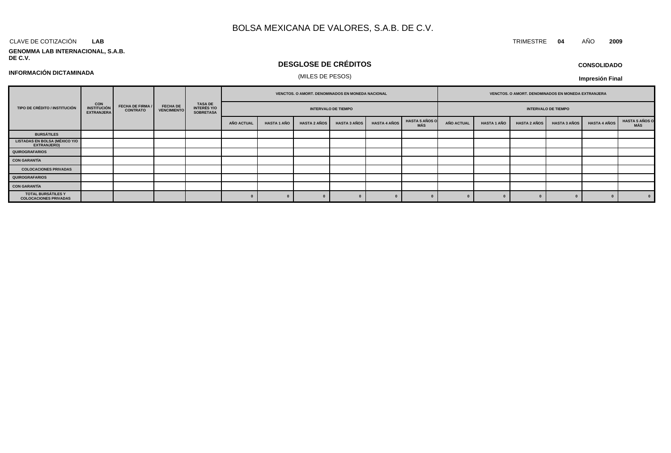#### CLAVE DE COTIZACIÓN TRIMESTRE **04** AÑO **2009 LAB**

# **GENOMMA LAB INTERNACIONAL, S.A.B.**

## **DESGLOSE DE CRÉDITOS**

# (MILES DE PESOS) **INFORMACIÓN DICTAMINADA**

## **CONSOLIDADO**

**Impresión Final**

| TIPO DE CRÉDITO / INSTITUCIÓN                       |                                                 |                                            | <b>FECHA DE</b><br><b>VENCIMIENTO</b> | TASA DE<br>INTERÉS Y/O<br><b>SOBRETASA</b> | VENCTOS. O AMORT. DENOMINADOS EN MONEDA NACIONAL |             |                     |                     |                     | VENCTOS. O AMORT. DENOMINADOS EN MONEDA EXTRANJERA |                   |                            |                     |                     |                     |                       |
|-----------------------------------------------------|-------------------------------------------------|--------------------------------------------|---------------------------------------|--------------------------------------------|--------------------------------------------------|-------------|---------------------|---------------------|---------------------|----------------------------------------------------|-------------------|----------------------------|---------------------|---------------------|---------------------|-----------------------|
|                                                     | <b>CON<br/>INSTITUCIÓN</b><br><b>EXTRANJERA</b> | <b>FECHA DE FIRMA /</b><br><b>CONTRATO</b> |                                       |                                            | <b>INTERVALO DE TIEMPO</b>                       |             |                     |                     |                     |                                                    |                   | <b>INTERVALO DE TIEMPO</b> |                     |                     |                     |                       |
|                                                     |                                                 |                                            |                                       |                                            | <b>AÑO ACTUAL</b>                                | HASTA 1 AÑO | <b>HASTA 2 AÑOS</b> | <b>HASTA 3 AÑOS</b> | <b>HASTA 4 AÑOS</b> | <b>HASTA 5 AÑOS O</b><br>MÁS                       | <b>AÑO ACTUAL</b> | <b>HASTA 1 AÑO</b>         | <b>HASTA 2 AÑOS</b> | <b>HASTA 3 AÑOS</b> | <b>HASTA 4 AÑOS</b> | HASTA 5 AÑOS O<br>MÁS |
| <b>BURSÁTILES</b>                                   |                                                 |                                            |                                       |                                            |                                                  |             |                     |                     |                     |                                                    |                   |                            |                     |                     |                     |                       |
| <b>LISTADAS EN BOLSA (MÉXICO Y/O</b><br>EXTRANJERO) |                                                 |                                            |                                       |                                            |                                                  |             |                     |                     |                     |                                                    |                   |                            |                     |                     |                     |                       |
| <b>QUIROGRAFARIOS</b>                               |                                                 |                                            |                                       |                                            |                                                  |             |                     |                     |                     |                                                    |                   |                            |                     |                     |                     |                       |
| <b>CON GARANTÍA</b>                                 |                                                 |                                            |                                       |                                            |                                                  |             |                     |                     |                     |                                                    |                   |                            |                     |                     |                     |                       |
| <b>COLOCACIONES PRIVADAS</b>                        |                                                 |                                            |                                       |                                            |                                                  |             |                     |                     |                     |                                                    |                   |                            |                     |                     |                     |                       |
| <b>QUIROGRAFARIOS</b>                               |                                                 |                                            |                                       |                                            |                                                  |             |                     |                     |                     |                                                    |                   |                            |                     |                     |                     |                       |
| <b>CON GARANTÍA</b>                                 |                                                 |                                            |                                       |                                            |                                                  |             |                     |                     |                     |                                                    |                   |                            |                     |                     |                     |                       |
| TOTAL BURSÁTILES Y<br><b>COLOCACIONES PRIVADAS</b>  |                                                 |                                            |                                       |                                            |                                                  |             |                     |                     |                     |                                                    |                   |                            |                     |                     |                     |                       |

## **DE C.V.**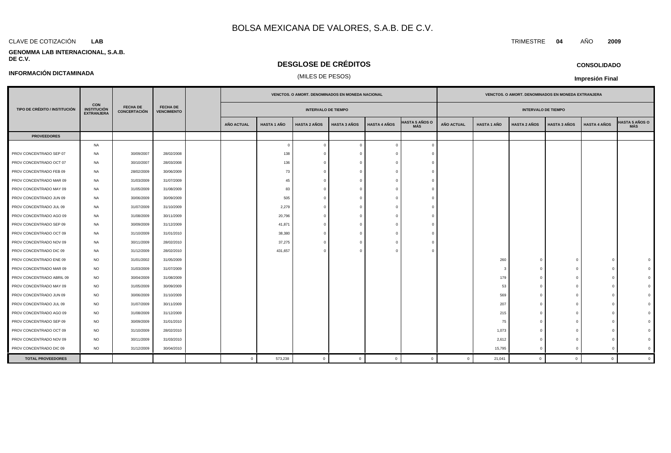#### CLAVE DE COTIZACIÓN TRIMESTRE **04** AÑO **2009 LAB**

**INFORMACIÓN DICTAMINADA**

#### **GENOMMA LAB INTERNACIONAL, S.A.B. DE C.V.**

## **DESGLOSE DE CRÉDITOS**

## (MILES DE PESOS)

**Impresión Final**

|                               |                                                       |                                        |                                       |                   |                    |                            | VENCTOS. O AMORT. DENOMINADOS EN MONEDA NACIONAL |                     |                              | VENCTOS. O AMORT. DENOMINADOS EN MONEDA EXTRANJERA |                    |                            |                     |                     |                              |
|-------------------------------|-------------------------------------------------------|----------------------------------------|---------------------------------------|-------------------|--------------------|----------------------------|--------------------------------------------------|---------------------|------------------------------|----------------------------------------------------|--------------------|----------------------------|---------------------|---------------------|------------------------------|
| TIPO DE CRÉDITO / INSTITUCIÓN | <b>CON</b><br><b>INSTITUCIÓN</b><br><b>EXTRANJERA</b> | <b>FECHA DE</b><br><b>CONCERTACIÓN</b> | <b>FECHA DE</b><br><b>VENCIMIENTO</b> |                   |                    | <b>INTERVALO DE TIEMPO</b> |                                                  |                     |                              |                                                    |                    | <b>INTERVALO DE TIEMPO</b> |                     |                     |                              |
|                               |                                                       |                                        |                                       | <b>AÑO ACTUAL</b> | <b>HASTA 1 AÑO</b> | <b>HASTA 2 AÑOS</b>        | <b>HASTA 3 AÑOS</b>                              | <b>HASTA 4 AÑOS</b> | <b>HASTA 5 AÑOS O</b><br>MÁS | <b>AÑO ACTUAL</b>                                  | <b>HASTA 1 AÑO</b> | <b>HASTA 2 AÑOS</b>        | <b>HASTA 3 AÑOS</b> | <b>HASTA 4 AÑOS</b> | <b>HASTA 5 AÑOS O</b><br>MÁS |
| <b>PROVEEDORES</b>            |                                                       |                                        |                                       |                   |                    |                            |                                                  |                     |                              |                                                    |                    |                            |                     |                     |                              |
|                               | <b>NA</b>                                             |                                        |                                       |                   | $\Omega$           | $\Omega$                   | $\Omega$                                         |                     | $\overline{0}$               |                                                    |                    |                            |                     |                     |                              |
| PROV CONCENTRADO SEP 07       | <b>NA</b>                                             | 30/09/2007                             | 28/02/2008                            |                   | 138                | $\Omega$                   | $\Omega$                                         |                     | $\Omega$                     |                                                    |                    |                            |                     |                     |                              |
| PROV CONCENTRADO OCT 07       | NA                                                    | 30/10/2007                             | 28/03/2008                            |                   | 136                | $\Omega$                   |                                                  |                     | - 0                          |                                                    |                    |                            |                     |                     |                              |
| PROV CONCENTRADO FEB 09       | <b>NA</b>                                             | 28/02/2009                             | 30/06/2009                            |                   | 73                 | $\Omega$                   | $\Omega$                                         |                     | $\Omega$                     |                                                    |                    |                            |                     |                     |                              |
| PROV CONCENTRADO MAR 09       | NA                                                    | 31/03/2009                             | 31/07/2009                            |                   | 45                 |                            |                                                  |                     | c                            |                                                    |                    |                            |                     |                     |                              |
| PROV CONCENTRADO MAY 09       | NA                                                    | 31/05/2009                             | 31/08/2009                            |                   | 83                 | $\Omega$                   | റ                                                |                     | $\Omega$                     |                                                    |                    |                            |                     |                     |                              |
| PROV CONCENTRADO JUN 09       | NA                                                    | 30/06/2009                             | 30/09/2009                            |                   | 505                | $\Omega$                   | $\Omega$                                         |                     | $\Omega$                     |                                                    |                    |                            |                     |                     |                              |
| PROV CONCENTRADO JUL 09       | NA                                                    | 31/07/2009                             | 31/10/2009                            |                   | 2,279              | $\Omega$                   |                                                  |                     | $\Omega$                     |                                                    |                    |                            |                     |                     |                              |
| PROV CONCENTRADO AGO 09       | <b>NA</b>                                             | 31/08/2009                             | 30/11/2009                            |                   | 20,796             | $\Omega$                   | $\Omega$                                         |                     | $\Omega$                     |                                                    |                    |                            |                     |                     |                              |
| PROV CONCENTRADO SEP 09       | <b>NA</b>                                             | 30/09/2009                             | 31/12/2009                            |                   | 41,871             | $\Omega$                   |                                                  |                     | $\Omega$                     |                                                    |                    |                            |                     |                     |                              |
| PROV CONCENTRADO OCT 09       | NA                                                    | 31/10/2009                             | 31/01/2010                            |                   | 38,380             | $\Omega$                   | $\Omega$                                         |                     | $\Omega$                     |                                                    |                    |                            |                     |                     |                              |
| PROV CONCENTRADO NOV 09       | <b>NA</b>                                             | 30/11/2009                             | 28/02/2010                            |                   | 37,275             |                            |                                                  |                     |                              |                                                    |                    |                            |                     |                     |                              |
| PROV CONCENTRADO DIC 09       | NA                                                    | 31/12/2009                             | 28/02/2010                            |                   | 431,657            | $\Omega$                   |                                                  |                     | $\Omega$                     |                                                    |                    |                            |                     |                     |                              |
| PROV CONCENTRADO ENE 09       | <b>NO</b>                                             | 31/01/2002                             | 31/05/2009                            |                   |                    |                            |                                                  |                     |                              |                                                    | 260                | $\overline{0}$             | $\Omega$            | $\Omega$            | $\Omega$                     |
| PROV CONCENTRADO MAR 09       | <b>NO</b>                                             | 31/03/2009                             | 31/07/2009                            |                   |                    |                            |                                                  |                     |                              |                                                    |                    | $\overline{0}$             | C                   | $\Omega$            | $\Omega$                     |
| PROV CONCENTRADO ABRIL 09     | <b>NO</b>                                             | 30/04/2009                             | 31/08/2009                            |                   |                    |                            |                                                  |                     |                              |                                                    | 179                | $\overline{0}$             | -C                  | $^{\circ}$          | $\Omega$                     |
| PROV CONCENTRADO MAY 09       | <b>NO</b>                                             | 31/05/2009                             | 30/09/2009                            |                   |                    |                            |                                                  |                     |                              |                                                    | 53                 | $\overline{0}$             |                     | $\Omega$            | $\Omega$                     |
| PROV CONCENTRADO JUN 09       | <b>NO</b>                                             | 30/06/2009                             | 31/10/2009                            |                   |                    |                            |                                                  |                     |                              |                                                    | 569                | $\overline{0}$             | $\Omega$            | $\Omega$            | $\Omega$                     |
| PROV CONCENTRADO JUL 09       | <b>NO</b>                                             | 31/07/2009                             | 30/11/2009                            |                   |                    |                            |                                                  |                     |                              |                                                    | 207                | $\overline{0}$             |                     | $\Omega$            | $\Omega$                     |
| PROV CONCENTRADO AGO 09       | <b>NO</b>                                             | 31/08/2009                             | 31/12/2009                            |                   |                    |                            |                                                  |                     |                              |                                                    | 215                | $\overline{0}$             | C                   | $\Omega$            | $\Omega$                     |
| PROV CONCENTRADO SEP 09       | <b>NO</b>                                             | 30/09/2009                             | 31/01/2010                            |                   |                    |                            |                                                  |                     |                              |                                                    | 75                 | $\overline{0}$             |                     | $\Omega$            | $\Omega$                     |
| PROV CONCENTRADO OCT 09       | <b>NO</b>                                             | 31/10/2009                             | 28/02/2010                            |                   |                    |                            |                                                  |                     |                              |                                                    | 1,073              | $\overline{0}$             |                     | $\Omega$            | $\overline{0}$               |
| PROV CONCENTRADO NOV 09       | <b>NO</b>                                             | 30/11/2009                             | 31/03/2010                            |                   |                    |                            |                                                  |                     |                              |                                                    | 2,612              | $\overline{0}$             | -C                  | $^{\circ}$          | $\overline{0}$               |
| PROV CONCENTRADO DIC 09       | <b>NO</b>                                             | 31/12/2009                             | 30/04/2010                            |                   |                    |                            |                                                  |                     |                              |                                                    | 15,795             | $\overline{0}$             |                     | $\mathbf 0$         | $\overline{0}$               |
| <b>TOTAL PROVEEDORES</b>      |                                                       |                                        |                                       | $\overline{0}$    | 573,238            | $\Omega$                   | $\mathbf{0}$                                     | $\Omega$            | $\Omega$                     | $\mathbf{0}$                                       | 21,041             | $\overline{0}$             | $\Omega$            | $\circ$             | $\overline{0}$               |

## **CONSOLIDADO**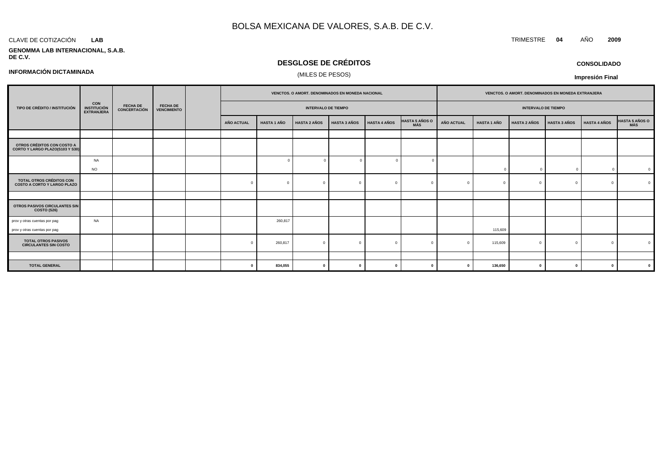#### CLAVE DE COTIZACIÓN TRIMESTRE **04** AÑO **2009 LAB**

**INFORMACIÓN DICTAMINADA**

#### **GENOMMA LAB INTERNACIONAL, S.A.B. DE C.V.**

## **DESGLOSE DE CRÉDITOS**

## (MILES DE PESOS)

**CONSOLIDADO**

**Impresión Final**

|                                                                       |                                                |                                 |                                       | VENCTOS. O AMORT. DENOMINADOS EN MONEDA NACIONAL |                    |                            |                     | VENCTOS. O AMORT. DENOMINADOS EN MONEDA EXTRANJERA |                              |                   |                    |                            |                     |                     |                |
|-----------------------------------------------------------------------|------------------------------------------------|---------------------------------|---------------------------------------|--------------------------------------------------|--------------------|----------------------------|---------------------|----------------------------------------------------|------------------------------|-------------------|--------------------|----------------------------|---------------------|---------------------|----------------|
| TIPO DE CRÉDITO / INSTITUCIÓN                                         | CON<br><b>INSTITUCIÓN</b><br><b>EXTRANJERA</b> | <b>FECHA DE</b><br>CONCERTACIÓN | <b>FECHA DE</b><br><b>VENCIMIENTO</b> |                                                  |                    | <b>INTERVALO DE TIEMPO</b> |                     |                                                    |                              |                   |                    | <b>INTERVALO DE TIEMPO</b> |                     |                     |                |
|                                                                       |                                                |                                 |                                       | AÑO ACTUAL                                       | <b>HASTA 1 AÑO</b> | <b>HASTA 2 AÑOS</b>        | <b>HASTA 3 AÑOS</b> | <b>HASTA 4 AÑOS</b>                                | <b>HASTA 5 AÑOS O</b><br>MÁS | <b>AÑO ACTUAL</b> | <b>HASTA 1 AÑO</b> | <b>HASTA 2 AÑOS</b>        | <b>HASTA 3 AÑOS</b> | <b>HASTA 4 AÑOS</b> | HASTA 5 AÑOS O |
|                                                                       |                                                |                                 |                                       |                                                  |                    |                            |                     |                                                    |                              |                   |                    |                            |                     |                     |                |
| OTROS CRÉDITOS CON COSTO A<br>CORTO Y LARGO PLAZO(S103 Y S30)         |                                                |                                 |                                       |                                                  |                    |                            |                     |                                                    |                              |                   |                    |                            |                     |                     |                |
|                                                                       | <b>NA</b>                                      |                                 |                                       |                                                  |                    |                            |                     |                                                    |                              |                   |                    |                            |                     |                     |                |
|                                                                       | <b>NO</b>                                      |                                 |                                       |                                                  |                    |                            |                     |                                                    |                              |                   | $\Omega$           |                            | $\sqrt{ }$          |                     | $\mathbf 0$    |
| <b>TOTAL OTROS CRÉDITOS CON</b><br><b>COSTO A CORTO Y LARGO PLAZO</b> |                                                |                                 |                                       | $\Omega$                                         |                    |                            |                     |                                                    |                              |                   | $\Omega$           |                            | $\Omega$            | $\Omega$            | $\Omega$       |
|                                                                       |                                                |                                 |                                       |                                                  |                    |                            |                     |                                                    |                              |                   |                    |                            |                     |                     |                |
| OTROS PASIVOS CIRCULANTES SIN<br>COSTO (S26)                          |                                                |                                 |                                       |                                                  |                    |                            |                     |                                                    |                              |                   |                    |                            |                     |                     |                |
| prov y otras cuentas por pag<br>prov y otras cuentas por pag          | <b>NA</b>                                      |                                 |                                       |                                                  | 260,817            |                            |                     |                                                    |                              |                   | 115,609            |                            |                     |                     |                |
| <b>TOTAL OTROS PASIVOS</b><br><b>CIRCULANTES SIN COSTO</b>            |                                                |                                 |                                       | $\Omega$                                         | 260,817            | $\Omega$                   |                     |                                                    | $\sqrt{ }$                   |                   | 115,609            |                            | $\Omega$            | $\Omega$            | $\Omega$       |
|                                                                       |                                                |                                 |                                       |                                                  |                    |                            |                     |                                                    |                              |                   |                    |                            |                     |                     |                |
| <b>TOTAL GENERAL</b>                                                  |                                                |                                 |                                       | $\mathbf 0$                                      | 834,055            | $\mathbf{r}$               |                     |                                                    | 0                            |                   | 136,650            |                            | $\mathbf 0$         | 0                   | $\mathbf 0$    |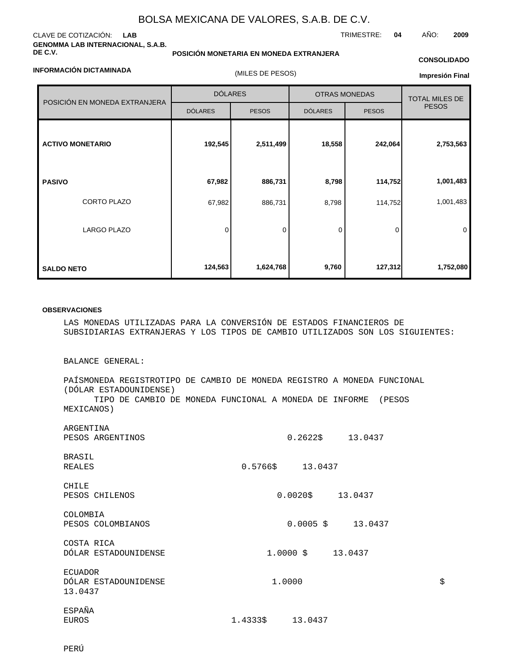### CLAVE DE COTIZACIÓN: **LAB GENOMMA LAB INTERNACIONAL, S.A.B. DE C.V.**

**POSICIÓN MONETARIA EN MONEDA EXTRANJERA**

## TRIMESTRE: **04** AÑO: **2009**

### **INFORMACIÓN DICTAMINADA**

(MILES DE PESOS)

# **CONSOLIDADO**

| Impresión Final |  |
|-----------------|--|
|-----------------|--|

| POSICIÓN EN MONEDA EXTRANJERA | <b>DÓLARES</b> |              | <b>OTRAS MONEDAS</b> | <b>TOTAL MILES DE</b> |              |  |
|-------------------------------|----------------|--------------|----------------------|-----------------------|--------------|--|
|                               | <b>DÓLARES</b> | <b>PESOS</b> | <b>DÓLARES</b>       | <b>PESOS</b>          | <b>PESOS</b> |  |
| <b>ACTIVO MONETARIO</b>       | 192,545        | 2,511,499    | 18,558               | 242,064               | 2,753,563    |  |
| <b>PASIVO</b>                 | 67,982         | 886,731      | 8,798                | 114,752               | 1,001,483    |  |
| CORTO PLAZO                   | 67,982         | 886,731      | 8,798                | 114,752               | 1,001,483    |  |
| <b>LARGO PLAZO</b>            | 0              | 0            | 0                    | 0                     | 0            |  |
| <b>SALDO NETO</b>             | 124,563        | 1,624,768    | 9,760                | 127,312               | 1,752,080    |  |

#### **OBSERVACIONES**

LAS MONEDAS UTILIZADAS PARA LA CONVERSIÓN DE ESTADOS FINANCIEROS DE SUBSIDIARIAS EXTRANJERAS Y LOS TIPOS DE CAMBIO UTILIZADOS SON LOS SIGUIENTES:

BALANCE GENERAL:

PAÍS MONEDA REGISTRO TIPO DE CAMBIO DE MONEDA REGISTRO A MONEDA FUNCIONAL (DÓLAR ESTADOUNIDENSE) TIPO DE CAMBIO DE MONEDA FUNCIONAL A MONEDA DE INFORME (PESOS MEXICANOS)

| ARGENTINA<br>PESOS ARGENTINOS          | $0.2622 \div 13.0437$        |    |
|----------------------------------------|------------------------------|----|
| BRASIL                                 |                              |    |
| REALES                                 | $0.5766 \text{ }$ \$ 13.0437 |    |
| CHILE                                  |                              |    |
| PESOS CHILENOS                         |                              |    |
| COLOMBIA                               |                              |    |
| PESOS COLOMBIANOS                      | $0.0005 \quad $13.0437$      |    |
|                                        |                              |    |
| COSTA RICA<br>DÓLAR ESTADOUNIDENSE     |                              |    |
|                                        |                              |    |
| <b>ECUADOR</b><br>DÓLAR ESTADOUNIDENSE | 1.0000                       | \$ |
| 13.0437                                |                              |    |
| ESPAÑA                                 |                              |    |
| EUROS                                  | $1.4333 \t$ \$ 13.0437       |    |
|                                        |                              |    |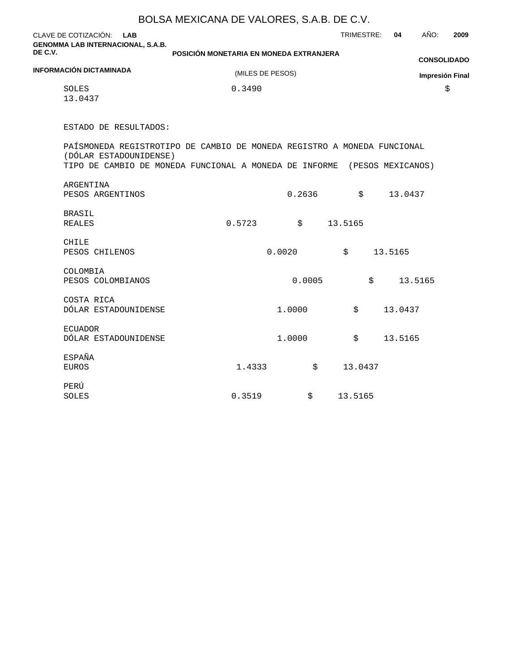|                                                                                                     | BOLSA MEXICANA DE VALORES, S.A.B. DE C.V. |        |            |            |                        |
|-----------------------------------------------------------------------------------------------------|-------------------------------------------|--------|------------|------------|------------------------|
| CLAVE DE COTIZACIÓN: LAB<br><b>GENOMMA LAB INTERNACIONAL, S.A.B.</b>                                |                                           |        | TRIMESTRE: | AÑO:<br>04 | 2009                   |
| DE C.V.                                                                                             | POSICIÓN MONETARIA EN MONEDA EXTRANJERA   |        |            |            | <b>CONSOLIDADO</b>     |
| <b>INFORMACIÓN DICTAMINADA</b>                                                                      | (MILES DE PESOS)                          |        |            |            | <b>Impresión Final</b> |
| SOLES<br>13.0437                                                                                    | 0.3490                                    |        |            |            | \$                     |
| ESTADO DE RESULTADOS:                                                                               |                                           |        |            |            |                        |
| PAÍS MONEDA REGISTRO TIPO DE CAMBIO DE MONEDA REGISTRO A MONEDA FUNCIONAL<br>(DÓLAR ESTADOUNIDENSE) |                                           |        |            |            |                        |
| TIPO DE CAMBIO DE MONEDA FUNCIONAL A MONEDA DE INFORME (PESOS MEXICANOS)                            |                                           |        |            |            |                        |
| ARGENTINA<br>PESOS ARGENTINOS                                                                       |                                           | 0.2636 | \$         | 13.0437    |                        |
| <b>BRASIL</b><br><b>REALES</b>                                                                      | 0.5723                                    | \$     | 13.5165    |            |                        |
| <b>CHILE</b><br>PESOS CHILENOS                                                                      | 0.0020                                    |        | \$         | 13.5165    |                        |
| COLOMBIA<br>PESOS COLOMBIANOS                                                                       |                                           | 0.0005 | \$         | 13.5165    |                        |
| COSTA RICA<br>DÓLAR ESTADOUNIDENSE                                                                  | 1.0000                                    |        | \$         | 13.0437    |                        |
| <b>ECUADOR</b><br>DÓLAR ESTADOUNIDENSE                                                              | 1,0000                                    |        | \$         | 13.5165    |                        |
| <b>ESPAÑA</b><br><b>EUROS</b>                                                                       | 1.4333                                    | \$     | 13.0437    |            |                        |
| PERÚ<br>SOLES                                                                                       | 0.3519                                    | \$     | 13.5165    |            |                        |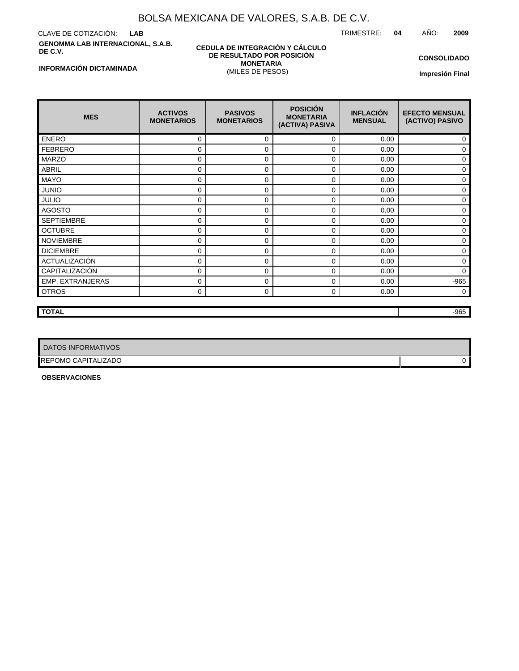CLAVE DE COTIZACIÓN: **LAB GENOMMA LAB INTERNACIONAL, S.A.B. DE C.V.**

#### **CEDULA DE INTEGRACIÓN Y CÁLCULO DE RESULTADO POR POSICIÓN MONETARIA** (MILES DE PESOS)

TRIMESTRE: **04** AÑO: **2009**

**CONSOLIDADO**

**Impresión Final**

| <b>MES</b>              | <b>ACTIVOS</b><br><b>MONETARIOS</b> | <b>PASIVOS</b><br><b>MONETARIOS</b> | <b>POSICIÓN</b><br><b>MONETARIA</b><br>(ACTIVA) PASIVA | <b>INFLACIÓN</b><br><b>MENSUAL</b> | <b>EFECTO MENSUAL</b><br>(ACTIVO) PASIVO |
|-------------------------|-------------------------------------|-------------------------------------|--------------------------------------------------------|------------------------------------|------------------------------------------|
| <b>ENERO</b>            | 0                                   | $\Omega$                            | 0                                                      | 0.00                               | 0                                        |
| <b>FEBRERO</b>          | 0                                   | $\Omega$                            | 0                                                      | 0.00                               | 0                                        |
| <b>MARZO</b>            | 0                                   | $\Omega$                            | 0                                                      | 0.00                               | 0                                        |
| <b>ABRIL</b>            | 0                                   | $\Omega$                            | 0                                                      | 0.00                               | 0                                        |
| <b>MAYO</b>             | 0                                   | 0                                   | 0                                                      | 0.00                               | 0                                        |
| <b>JUNIO</b>            | 0                                   | $\Omega$                            | 0                                                      | 0.00                               | $\Omega$                                 |
| <b>JULIO</b>            | 0                                   | $\Omega$                            | 0                                                      | 0.00                               | 0                                        |
| <b>AGOSTO</b>           | 0                                   | 0                                   | 0                                                      | 0.00                               | 0                                        |
| <b>SEPTIEMBRE</b>       | 0                                   | $\Omega$                            | 0                                                      | 0.00                               | 0                                        |
| <b>OCTUBRE</b>          | 0                                   | $\Omega$                            | 0                                                      | 0.00                               | 0                                        |
| <b>NOVIEMBRE</b>        | 0                                   | 0                                   | 0                                                      | 0.00                               | 0                                        |
| <b>DICIEMBRE</b>        | 0                                   | $\Omega$                            | 0                                                      | 0.00                               | 0                                        |
| ACTUALIZACIÓN           | 0                                   | $\mathbf 0$                         | 0                                                      | 0.00                               | 0                                        |
| CAPITALIZACIÓN          | 0                                   | 0                                   | 0                                                      | 0.00                               | $\Omega$                                 |
| <b>EMP. EXTRANJERAS</b> | 0                                   | 0                                   | 0                                                      | 0.00                               | $-965$                                   |
| <b>OTROS</b>            | 0                                   | 0                                   | 0                                                      | 0.00                               | 0                                        |
|                         |                                     |                                     |                                                        |                                    |                                          |

**TOTAL** -965

| DATOS INFORMATIVOS         |  |
|----------------------------|--|
| <b>REPOMO CAPITALIZADO</b> |  |

**OBSERVACIONES**

### **INFORMACIÓN DICTAMINADA**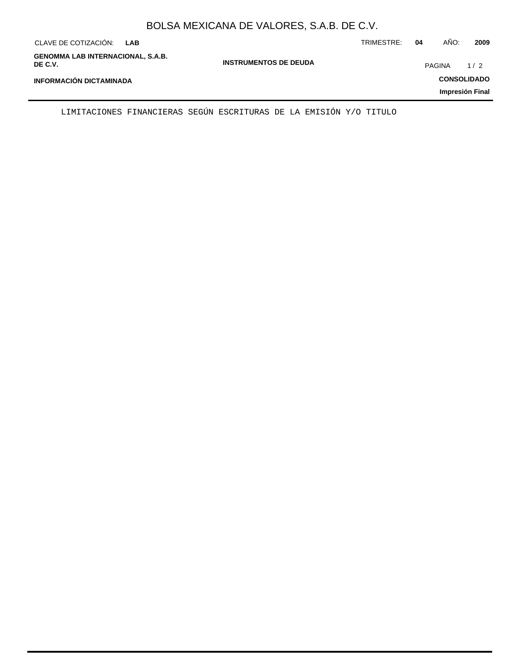| CLAVE DE COTIZACIÓN:<br>LAB                         |                              | TRIMESTRE: | 04            | AÑO: | 2009               |
|-----------------------------------------------------|------------------------------|------------|---------------|------|--------------------|
| <b>GENOMMA LAB INTERNACIONAL, S.A.B.</b><br>DE C.V. | <b>INSTRUMENTOS DE DEUDA</b> |            | <b>PAGINA</b> |      | 1/2                |
| <b>INFORMACIÓN DICTAMINADA</b>                      |                              |            |               |      | <b>CONSOLIDADO</b> |
|                                                     |                              |            |               |      | Impresión Final    |

LIMITACIONES FINANCIERAS SEGÚN ESCRITURAS DE LA EMISIÓN Y/O TITULO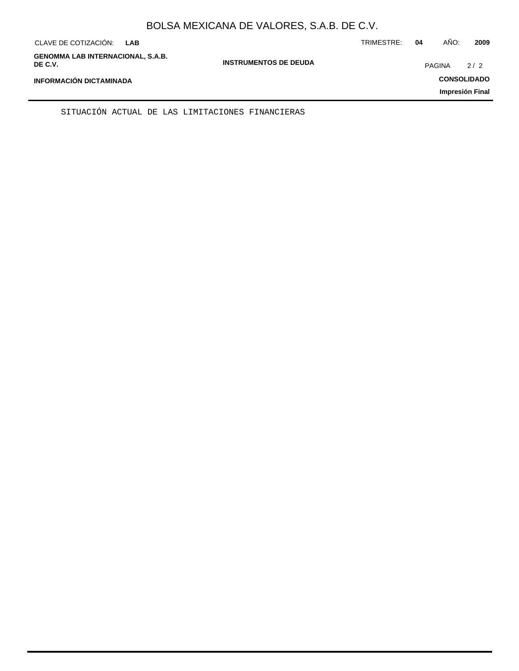| CLAVE DE COTIZACIÓN:<br><b>LAB</b>                  |                              | TRIMESTRE: | 04            | AÑO: | 2009               |
|-----------------------------------------------------|------------------------------|------------|---------------|------|--------------------|
| <b>GENOMMA LAB INTERNACIONAL, S.A.B.</b><br>DE C.V. | <b>INSTRUMENTOS DE DEUDA</b> |            | <b>PAGINA</b> |      | 2/2                |
| <b>INFORMACIÓN DICTAMINADA</b>                      |                              |            |               |      | <b>CONSOLIDADO</b> |
|                                                     |                              |            |               |      | Impresión Final    |

SITUACIÓN ACTUAL DE LAS LIMITACIONES FINANCIERAS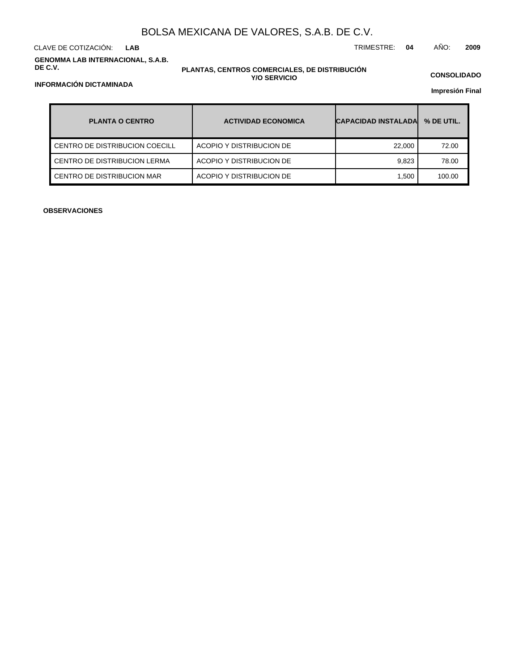CLAVE DE COTIZACIÓN: TRIMESTRE: **04** AÑO: **2009 LAB**

**GENOMMA LAB INTERNACIONAL, S.A.B. DE C.V.**

### **PLANTAS, CENTROS COMERCIALES, DE DISTRIBUCIÓN Y/O SERVICIO**

**CONSOLIDADO**

**Impresión Final**

| <b>PLANTA O CENTRO</b>         | <b>ACTIVIDAD ECONOMICA</b> | <b>CAPACIDAD INSTALADAL</b> | % DE UTIL. |
|--------------------------------|----------------------------|-----------------------------|------------|
| CENTRO DE DISTRIBUCION COECILL | ACOPIO Y DISTRIBUCION DE   | 22,000                      | 72.00      |
| CENTRO DE DISTRIBUCION LERMA   | ACOPIO Y DISTRIBUCION DE   | 9.823                       | 78.00      |
| CENTRO DE DISTRIBUCION MAR     | ACOPIO Y DISTRIBUCION DE   | 1.500                       | 100.00     |

**OBSERVACIONES**

## **INFORMACIÓN DICTAMINADA**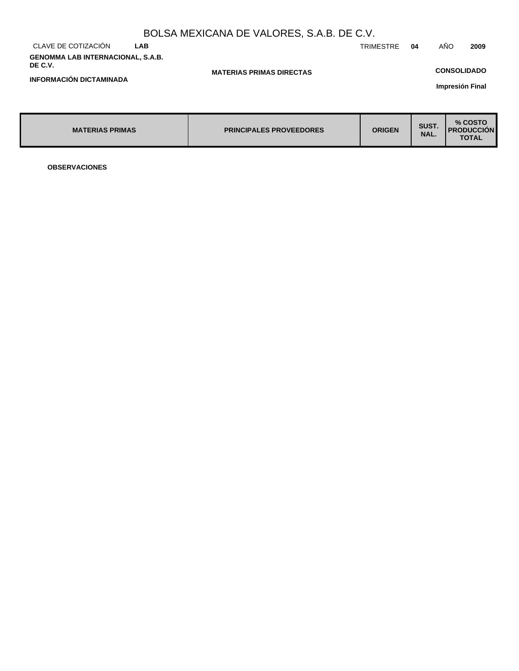| BOLSA MEXICANA DE VALORES, S.A.B. DE C.V.           |            |                                 |                  |               |                                                |  |  |
|-----------------------------------------------------|------------|---------------------------------|------------------|---------------|------------------------------------------------|--|--|
| CLAVE DE COTIZACIÓN                                 | <b>LAB</b> |                                 | <b>TRIMESTRE</b> | 04            | AÑO<br>2009                                    |  |  |
| <b>GENOMMA LAB INTERNACIONAL, S.A.B.</b><br>DE C.V. |            |                                 |                  |               | <b>CONSOLIDADO</b>                             |  |  |
| <b>INFORMACIÓN DICTAMINADA</b>                      |            | <b>MATERIAS PRIMAS DIRECTAS</b> |                  |               | Impresión Final                                |  |  |
|                                                     |            |                                 |                  |               |                                                |  |  |
| <b>MATERIAS PRIMAS</b>                              |            | <b>PRINCIPALES PROVEEDORES</b>  | <b>ORIGEN</b>    | SUST.<br>NAL. | % COSTO<br><b>I PRODUCCION</b><br><b>TOTAL</b> |  |  |

**OBSERVACIONES**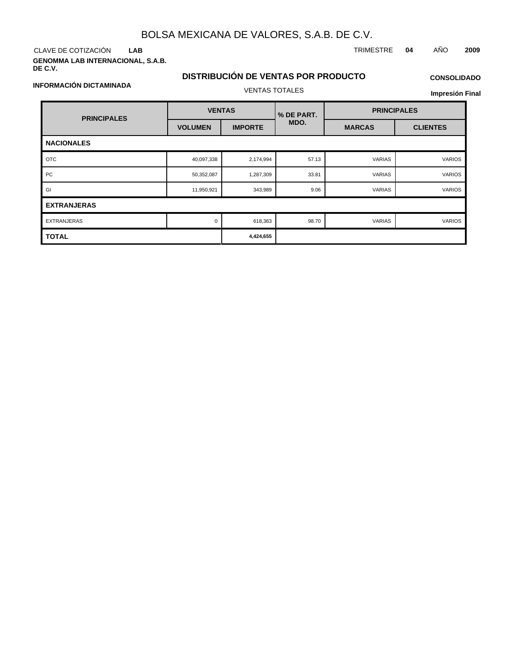CLAVE DE COTIZACIÓN TRIMESTRE **04** AÑO **2009 LAB**

**GENOMMA LAB INTERNACIONAL, S.A.B. DE C.V.**

## **DISTRIBUCIÓN DE VENTAS POR PRODUCTO** VENTAS TOTALES

# **CONSOLIDADO**

**Impresión Final**

| <b>PRINCIPALES</b> | <b>VENTAS</b>  |                | % DE PART. | <b>PRINCIPALES</b> |                 |  |  |  |
|--------------------|----------------|----------------|------------|--------------------|-----------------|--|--|--|
|                    | <b>VOLUMEN</b> | <b>IMPORTE</b> | MDO.       | <b>MARCAS</b>      | <b>CLIENTES</b> |  |  |  |
| <b>NACIONALES</b>  |                |                |            |                    |                 |  |  |  |
| <b>OTC</b>         | 40,097,338     | 2,174,994      | 57.13      | <b>VARIAS</b>      | <b>VARIOS</b>   |  |  |  |
| PC                 | 50,352,087     | 1,287,309      | 33.81      | <b>VARIAS</b>      | <b>VARIOS</b>   |  |  |  |
| GI                 | 11,950,921     | 343,989        | 9.06       | <b>VARIAS</b>      | <b>VARIOS</b>   |  |  |  |
| <b>EXTRANJERAS</b> |                |                |            |                    |                 |  |  |  |
| <b>EXTRANJERAS</b> | $\Omega$       | 618,363        | 98.70      | <b>VARIAS</b>      | <b>VARIOS</b>   |  |  |  |
| <b>TOTAL</b>       |                | 4,424,655      |            |                    |                 |  |  |  |

**INFORMACIÓN DICTAMINADA**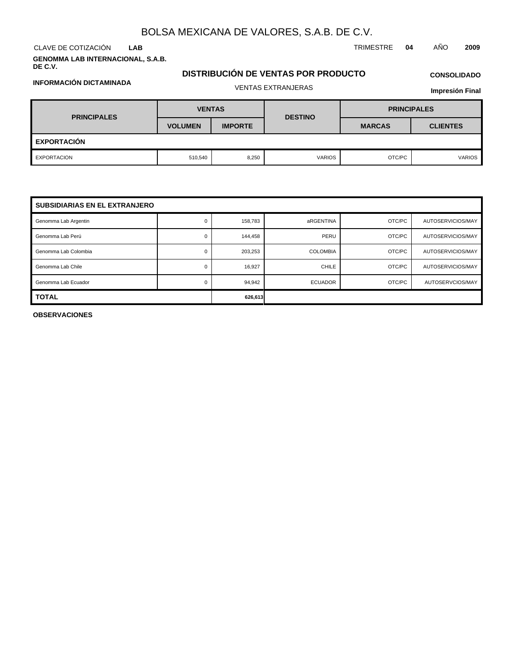**LAB**

**INFORMACIÓN DICTAMINADA**

**GENOMMA LAB INTERNACIONAL, S.A.B. DE C.V.**

## **DISTRIBUCIÓN DE VENTAS POR PRODUCTO** VENTAS EXTRANJERAS

# **CONSOLIDADO**

| <b>Impresión Final</b> |  |
|------------------------|--|
|------------------------|--|

| <b>PRINCIPALES</b> | <b>VENTAS</b>  |                | <b>DESTINO</b> | <b>PRINCIPALES</b> |                 |  |
|--------------------|----------------|----------------|----------------|--------------------|-----------------|--|
|                    | <b>VOLUMEN</b> | <b>IMPORTE</b> |                | <b>MARCAS</b>      | <b>CLIENTES</b> |  |
| <b>EXPORTACIÓN</b> |                |                |                |                    |                 |  |
| EXPORTACION        | 510,540        | 8,250          | <b>VARIOS</b>  | OTC/PC             | <b>VARIOS</b>   |  |

| <b>SUBSIDIARIAS EN EL EXTRANJERO</b> |          |         |                 |        |                   |  |  |  |  |
|--------------------------------------|----------|---------|-----------------|--------|-------------------|--|--|--|--|
| Genomma Lab Argentin                 | 0        | 158,783 | aRGENTINA       | OTC/PC | AUTOSERVICIOS/MAY |  |  |  |  |
| Genomma Lab Perú                     | $\Omega$ | 144,458 | PERU            | OTC/PC | AUTOSERVICIOS/MAY |  |  |  |  |
| Genomma Lab Colombia                 | 0        | 203,253 | <b>COLOMBIA</b> | OTC/PC | AUTOSERVICIOS/MAY |  |  |  |  |
| Genomma Lab Chile                    | 0        | 16,927  | CHILE           | OTC/PC | AUTOSERVICIOS/MAY |  |  |  |  |
| Genomma Lab Ecuador                  | $\Omega$ | 94.942  | <b>ECUADOR</b>  | OTC/PC | AUTOSERVCIOS/MAY  |  |  |  |  |
| <b>TOTAL</b>                         |          | 626,613 |                 |        |                   |  |  |  |  |

**OBSERVACIONES**

CLAVE DE COTIZACIÓN TRIMESTRE **04** AÑO **2009**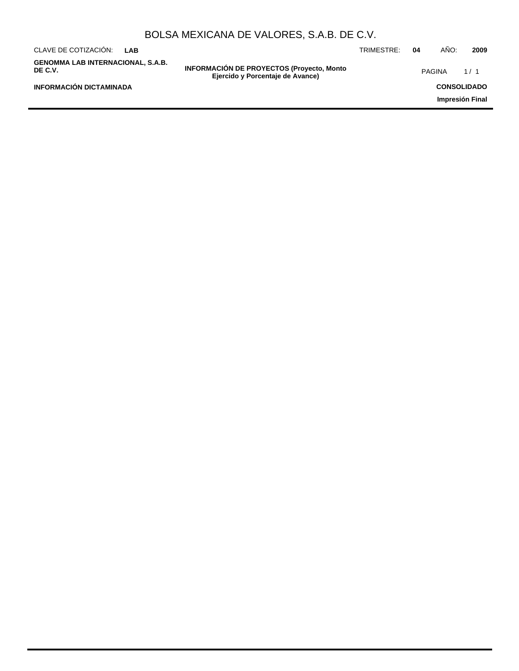|                                                     |     | BOLSA MEXICANA DE VALORES, S.A.B. DE C.V.                                             |            |    |               |                    |
|-----------------------------------------------------|-----|---------------------------------------------------------------------------------------|------------|----|---------------|--------------------|
| CLAVE DE COTIZACIÓN:                                | LAB |                                                                                       | TRIMESTRE: | 04 | AÑO:          | 2009               |
| <b>GENOMMA LAB INTERNACIONAL, S.A.B.</b><br>DE C.V. |     | <b>INFORMACIÓN DE PROYECTOS (Proyecto, Monto)</b><br>Ejercido y Porcentaje de Avance) |            |    | <b>PAGINA</b> | 1/1                |
| <b>INFORMACIÓN DICTAMINADA</b>                      |     |                                                                                       |            |    |               | <b>CONSOLIDADO</b> |
|                                                     |     |                                                                                       |            |    |               | Impresión Final    |
|                                                     |     |                                                                                       |            |    |               |                    |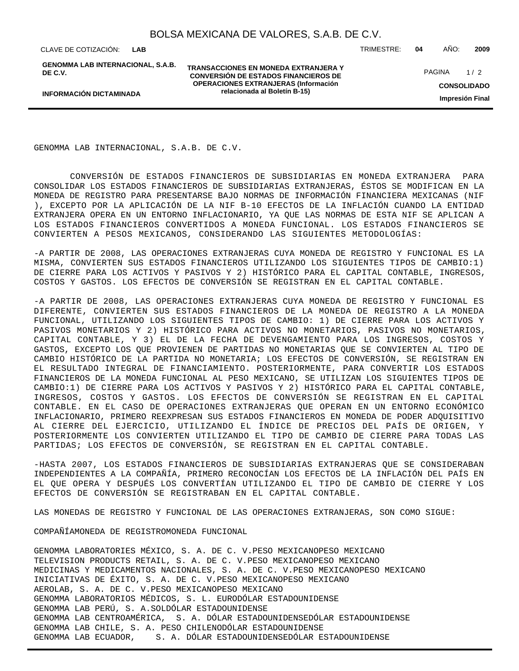**LAB**

**INFORMACIÓN DICTAMINADA**

**GENOMMA LAB INTERNACIONAL, S.A.B. DE C.V.**

**TRANSACCIONES EN MONEDA EXTRANJERA Y CONVERSIÓN DE ESTADOS FINANCIEROS DE OPERACIONES EXTRANJERAS (Información relacionada al Boletín B-15)**

CLAVE DE COTIZACIÓN: TRIMESTRE: **04** AÑO: **2009**

**CONSOLIDADO** PAGINA 1/2

**Impresión Final**

GENOMMA LAB INTERNACIONAL, S.A.B. DE C.V.

 CONVERSIÓN DE ESTADOS FINANCIEROS DE SUBSIDIARIAS EN MONEDA EXTRANJERA PARA CONSOLIDAR LOS ESTADOS FINANCIEROS DE SUBSIDIARIAS EXTRANJERAS, ÉSTOS SE MODIFICAN EN LA MONEDA DE REGISTRO PARA PRESENTARSE BAJO NORMAS DE INFORMACIÓN FINANCIERA MEXICANAS (NIF ), EXCEPTO POR LA APLICACIÓN DE LA NIF B-10 EFECTOS DE LA INFLACIÓN CUANDO LA ENTIDAD EXTRANJERA OPERA EN UN ENTORNO INFLACIONARIO, YA QUE LAS NORMAS DE ESTA NIF SE APLICAN A LOS ESTADOS FINANCIEROS CONVERTIDOS A MONEDA FUNCIONAL. LOS ESTADOS FINANCIEROS SE CONVIERTEN A PESOS MEXICANOS, CONSIDERANDO LAS SIGUIENTES METODOLOGÍAS:

- A PARTIR DE 2008, LAS OPERACIONES EXTRANJERAS CUYA MONEDA DE REGISTRO Y FUNCIONAL ES LA MISMA, CONVIERTEN SUS ESTADOS FINANCIEROS UTILIZANDO LOS SIGUIENTES TIPOS DE CAMBIO:1) DE CIERRE PARA LOS ACTIVOS Y PASIVOS Y 2) HISTÓRICO PARA EL CAPITAL CONTABLE, INGRESOS, COSTOS Y GASTOS. LOS EFECTOS DE CONVERSIÓN SE REGISTRAN EN EL CAPITAL CONTABLE.

- A PARTIR DE 2008, LAS OPERACIONES EXTRANJERAS CUYA MONEDA DE REGISTRO Y FUNCIONAL ES DIFERENTE, CONVIERTEN SUS ESTADOS FINANCIEROS DE LA MONEDA DE REGISTRO A LA MONEDA FUNCIONAL, UTILIZANDO LOS SIGUIENTES TIPOS DE CAMBIO: 1) DE CIERRE PARA LOS ACTIVOS Y PASIVOS MONETARIOS Y 2) HISTÓRICO PARA ACTIVOS NO MONETARIOS, PASIVOS NO MONETARIOS, CAPITAL CONTABLE, Y 3) EL DE LA FECHA DE DEVENGAMIENTO PARA LOS INGRESOS, COSTOS Y GASTOS, EXCEPTO LOS QUE PROVIENEN DE PARTIDAS NO MONETARIAS QUE SE CONVIERTEN AL TIPO DE CAMBIO HISTÓRICO DE LA PARTIDA NO MONETARIA; LOS EFECTOS DE CONVERSIÓN, SE REGISTRAN EN EL RESULTADO INTEGRAL DE FINANCIAMIENTO. POSTERIORMENTE, PARA CONVERTIR LOS ESTADOS FINANCIEROS DE LA MONEDA FUNCIONAL AL PESO MEXICANO, SE UTILIZAN LOS SIGUIENTES TIPOS DE CAMBIO:1) DE CIERRE PARA LOS ACTIVOS Y PASIVOS Y 2) HISTÓRICO PARA EL CAPITAL CONTABLE, INGRESOS, COSTOS Y GASTOS. LOS EFECTOS DE CONVERSIÓN SE REGISTRAN EN EL CAPITAL CONTABLE. EN EL CASO DE OPERACIONES EXTRANJERAS QUE OPERAN EN UN ENTORNO ECONÓMICO INFLACIONARIO, PRIMERO REEXPRESAN SUS ESTADOS FINANCIEROS EN MONEDA DE PODER ADQUISITIVO AL CIERRE DEL EJERCICIO, UTILIZANDO EL ÍNDICE DE PRECIOS DEL PAÍS DE ORIGEN, Y POSTERIORMENTE LOS CONVIERTEN UTILIZANDO EL TIPO DE CAMBIO DE CIERRE PARA TODAS LAS PARTIDAS; LOS EFECTOS DE CONVERSIÓN, SE REGISTRAN EN EL CAPITAL CONTABLE.

- HASTA 2007, LOS ESTADOS FINANCIEROS DE SUBSIDIARIAS EXTRANJERAS QUE SE CONSIDERABAN INDEPENDIENTES A LA COMPAÑÍA, PRIMERO RECONOCÍAN LOS EFECTOS DE LA INFLACIÓN DEL PAÍS EN EL QUE OPERA Y DESPUÉS LOS CONVERTÍAN UTILIZANDO EL TIPO DE CAMBIO DE CIERRE Y LOS EFECTOS DE CONVERSIÓN SE REGISTRABAN EN EL CAPITAL CONTABLE.

LAS MONEDAS DE REGISTRO Y FUNCIONAL DE LAS OPERACIONES EXTRANJERAS, SON COMO SIGUE:

COMPAÑÍA MONEDA DE REGISTRO MONEDA FUNCIONAL

GENOMMA LABORATORIES MÉXICO, S. A. DE C. V. PESO MEXICANO PESO MEXICANO TELEVISION PRODUCTS RETAIL, S. A. DE C. V. PESO MEXICANO PESO MEXICANO MEDICINAS Y MEDICAMENTOS NACIONALES, S. A. DE C. V. PESO MEXICANO PESO MEXICANO INICIATIVAS DE ÉXITO, S. A. DE C. V. PESO MEXICANO PESO MEXICANO AEROLAB, S. A. DE C. V. PESO MEXICANO PESO MEXICANO GENOMMA LABORATORIOS MÉDICOS, S. L. EURO DÓLAR ESTADOUNIDENSE GENOMMA LAB PERÚ, S. A. SOL DÓLAR ESTADOUNIDENSE GENOMMA LAB CENTROAMÉRICA, S. A. DÓLAR ESTADOUNIDENSE DÓLAR ESTADOUNIDENSE GENOMMA LAB CHILE, S. A. PESO CHILENO DÓLAR ESTADOUNIDENSE GENOMMA LAB ECUADOR, S. A. DÓLAR ESTADOUNIDENSE DÓLAR ESTADOUNIDENSE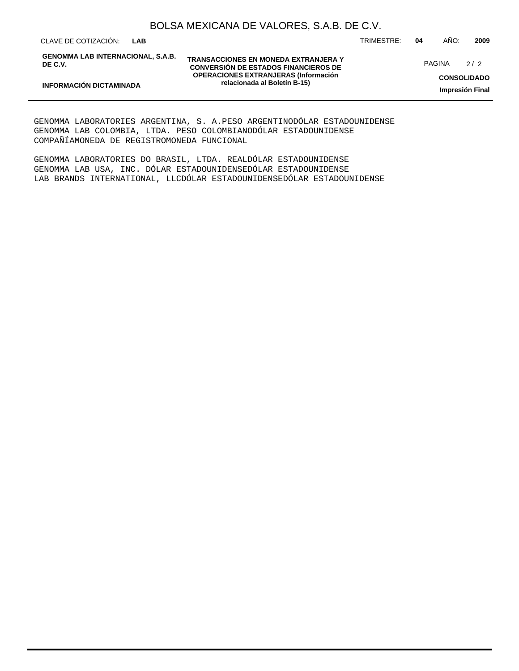CLAVE DE COTIZACIÓN: TRIMESTRE: **04** AÑO: **2009 LAB**

**INFORMACIÓN DICTAMINADA**

**GENOMMA LAB INTERNACIONAL, S.A.B. DE C.V.**

**TRANSACCIONES EN MONEDA EXTRANJERA Y CONVERSIÓN DE ESTADOS FINANCIEROS DE OPERACIONES EXTRANJERAS (Información relacionada al Boletín B-15)**

PAGINA 2/2

**CONSOLIDADO Impresión Final**

GENOMMA LABORATORIES ARGENTINA, S. A. PESO ARGENTINO DÓLAR ESTADOUNIDENSE GENOMMA LAB COLOMBIA, LTDA. PESO COLOMBIANO DÓLAR ESTADOUNIDENSE COMPAÑÍA MONEDA DE REGISTRO MONEDA FUNCIONAL

GENOMMA LABORATORIES DO BRASIL, LTDA. REAL DÓLAR ESTADOUNIDENSE GENOMMA LAB USA, INC. DÓLAR ESTADOUNIDENSE DÓLAR ESTADOUNIDENSE LAB BRANDS INTERNATIONAL, LLC DÓLAR ESTADOUNIDENSE DÓLAR ESTADOUNIDENSE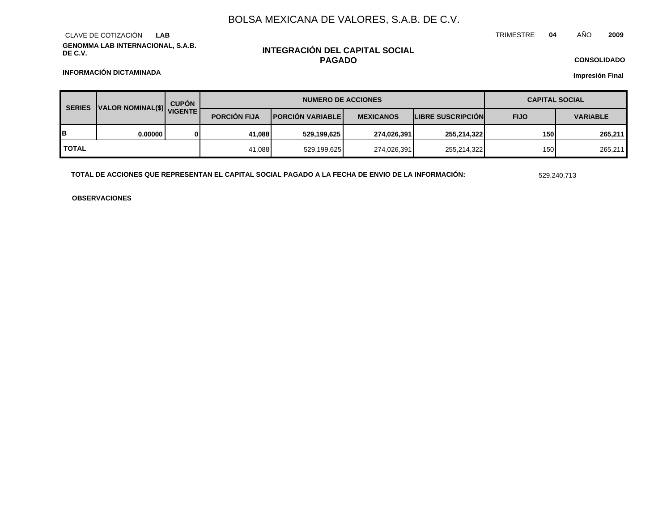**GENOMMA LAB INTERNACIONAL, S.A.B. DE C.V.** CLAVE DE COTIZACIÓN **LAB**

## **INTEGRACIÓN DEL CAPITAL SOCIAL PAGADO**

TRIMESTRE **04** AÑO **2009**

**CONSOLIDADO**

**Impresión Final**

**INFORMACIÓN DICTAMINADA**

| <b>SERIES</b> | JUALOR NOMINAL(\$) VIGENTE | <b>CUPÓN</b> | <b>NUMERO DE ACCIONES</b> |                             |                  |                          | <b>CAPITAL SOCIAL</b> |                 |  |
|---------------|----------------------------|--------------|---------------------------|-----------------------------|------------------|--------------------------|-----------------------|-----------------|--|
|               |                            |              | <b>PORCION FIJA</b>       | <b>I PORCIÓN VARIABLE I</b> | <b>MEXICANOS</b> | <b>LIBRE SUSCRIPCION</b> | <b>FIJO</b>           | <b>VARIABLE</b> |  |
| B             | 0.000001                   |              | 41.088                    | 529,199,625                 | 274,026,391      | 255,214,322              | 150                   | 265,211         |  |
| <b>TOTAL</b>  |                            |              | 41,088                    | 529,199,625                 | 274,026,391      | 255,214,322              | 150                   | 265,211         |  |

**TOTAL DE ACCIONES QUE REPRESENTAN EL CAPITAL SOCIAL PAGADO A LA FECHA DE ENVIO DE LA INFORMACIÓN:** 529,240,713

**OBSERVACIONES**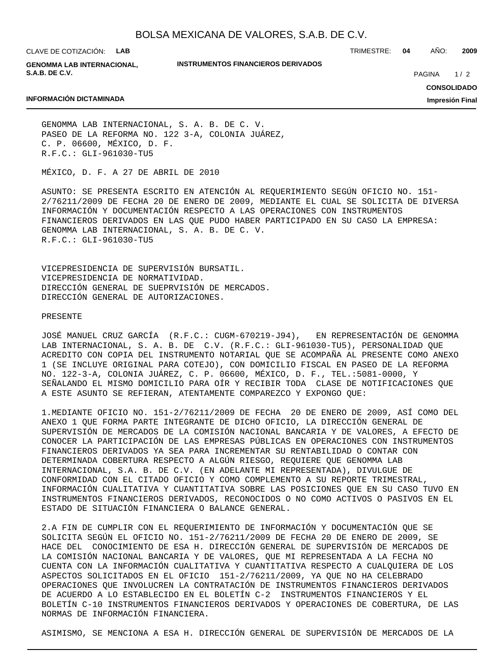CLAVE DE COTIZACIÓN: **LAB**

**GENOMMA LAB INTERNACIONAL, S.A.B. DE C.V.**

**INSTRUMENTOS FINANCIEROS DERIVADOS**

TRIMESTRE: **04** AÑO: **2009**

 $1/2$ PAGINA

#### **INFORMACIÓN DICTAMINADA**

**CONSOLIDADO Impresión Final**

GENOMMA LAB INTERNACIONAL, S. A. B. DE C. V. PASEO DE LA REFORMA NO. 122 3-A, COLONIA JUÁREZ, C. P. 06600, MÉXICO, D. F. R.F.C.: GLI-961030-TU5

MÉXICO, D. F. A 27 DE ABRIL DE 2010

ASUNTO: SE PRESENTA ESCRITO EN ATENCIÓN AL REQUERIMIENTO SEGÚN OFICIO NO. 151- 2/76211/2009 DE FECHA 20 DE ENERO DE 2009, MEDIANTE EL CUAL SE SOLICITA DE DIVERSA INFORMACIÓN Y DOCUMENTACIÓN RESPECTO A LAS OPERACIONES CON INSTRUMENTOS FINANCIEROS DERIVADOS EN LAS QUE PUDO HABER PARTICIPADO EN SU CASO LA EMPRESA: GENOMMA LAB INTERNACIONAL, S. A. B. DE C. V. R.F.C.: GLI-961030-TU5

VICEPRESIDENCIA DE SUPERVISIÓN BURSATIL. VICEPRESIDENCIA DE NORMATIVIDAD. DIRECCIÓN GENERAL DE SUEPRVISIÓN DE MERCADOS. DIRECCIÓN GENERAL DE AUTORIZACIONES.

#### PRESENTE

JOSÉ MANUEL CRUZ GARCÍA (R.F.C.: CUGM-670219-J94), EN REPRESENTACIÓN DE GENOMMA LAB INTERNACIONAL, S. A. B. DE C.V. (R.F.C.: GLI-961030-TU5), PERSONALIDAD QUE ACREDITO CON COPIA DEL INSTRUMENTO NOTARIAL QUE SE ACOMPAÑA AL PRESENTE COMO ANEXO 1 (SE INCLUYE ORIGINAL PARA COTEJO), CON DOMICILIO FISCAL EN PASEO DE LA REFORMA NO. 122-3-A, COLONIA JUÁREZ, C. P. 06600, MÉXICO, D. F., TEL.:5081-0000, Y SEÑALANDO EL MISMO DOMICILIO PARA OÍR Y RECIBIR TODA CLASE DE NOTIFICACIONES QUE A ESTE ASUNTO SE REFIERAN, ATENTAMENTE COMPAREZCO Y EXPONGO QUE:

1. MEDIANTE OFICIO NO. 151-2/76211/2009 DE FECHA 20 DE ENERO DE 2009, ASÍ COMO DEL ANEXO 1 QUE FORMA PARTE INTEGRANTE DE DICHO OFICIO, LA DIRECCIÓN GENERAL DE SUPERVISIÓN DE MERCADOS DE LA COMISIÓN NACIONAL BANCARIA Y DE VALORES, A EFECTO DE CONOCER LA PARTICIPACIÓN DE LAS EMPRESAS PÚBLICAS EN OPERACIONES CON INSTRUMENTOS FINANCIEROS DERIVADOS YA SEA PARA INCREMENTAR SU RENTABILIDAD O CONTAR CON DETERMINADA COBERTURA RESPECTO A ALGÚN RIESGO, REQUIERE QUE GENOMMA LAB INTERNACIONAL, S.A. B. DE C.V. (EN ADELANTE MI REPRESENTADA), DIVULGUE DE CONFORMIDAD CON EL CITADO OFICIO Y COMO COMPLEMENTO A SU REPORTE TRIMESTRAL, INFORMACIÓN CUALITATIVA Y CUANTITATIVA SOBRE LAS POSICIONES QUE EN SU CASO TUVO EN INSTRUMENTOS FINANCIEROS DERIVADOS, RECONOCIDOS O NO COMO ACTIVOS O PASIVOS EN EL ESTADO DE SITUACIÓN FINANCIERA O BALANCE GENERAL.

2. A FIN DE CUMPLIR CON EL REQUERIMIENTO DE INFORMACIÓN Y DOCUMENTACIÓN QUE SE SOLICITA SEGÚN EL OFICIO NO. 151-2/76211/2009 DE FECHA 20 DE ENERO DE 2009, SE HACE DEL CONOCIMIENTO DE ESA H. DIRECCIÓN GENERAL DE SUPERVISIÓN DE MERCADOS DE LA COMISIÓN NACIONAL BANCARIA Y DE VALORES, QUE MI REPRESENTADA A LA FECHA NO CUENTA CON LA INFORMACIÓN CUALITATIVA Y CUANTITATIVA RESPECTO A CUALQUIERA DE LOS ASPECTOS SOLICITADOS EN EL OFICIO 151-2/76211/2009, YA QUE NO HA CELEBRADO OPERACIONES QUE INVOLUCREN LA CONTRATACIÓN DE INSTRUMENTOS FINANCIEROS DERIVADOS DE ACUERDO A LO ESTABLECIDO EN EL BOLETÍN C-2 INSTRUMENTOS FINANCIEROS Y EL BOLETÍN C-10 INSTRUMENTOS FINANCIEROS DERIVADOS Y OPERACIONES DE COBERTURA, DE LAS NORMAS DE INFORMACIÓN FINANCIERA.

ASIMISMO, SE MENCIONA A ESA H. DIRECCIÓN GENERAL DE SUPERVISIÓN DE MERCADOS DE LA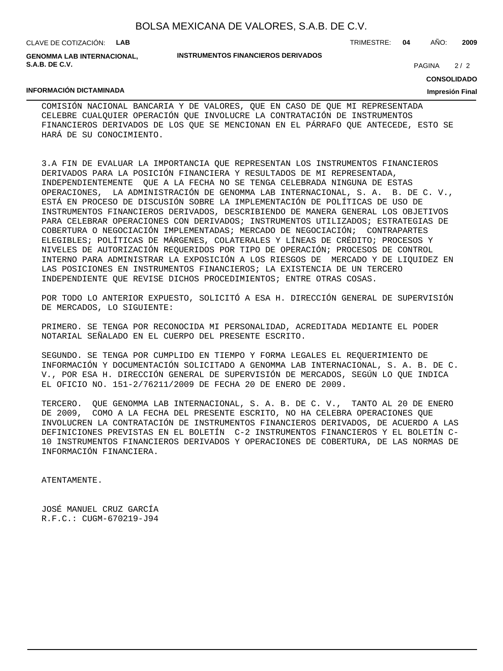| BOLSA MEXICANA DE VALORES, S.A.B. DE C.V. |  |  |  |  |  |
|-------------------------------------------|--|--|--|--|--|
|-------------------------------------------|--|--|--|--|--|

CLAVE DE COTIZACIÓN: **LAB**

**GENOMMA LAB INTERNACIONAL, S.A.B. DE C.V.**

#### **INSTRUMENTOS FINANCIEROS DERIVADOS**

TRIMESTRE: **04** AÑO: **2009**

 $2/2$ **PAGINA** 

#### **INFORMACIÓN DICTAMINADA**

## **CONSOLIDADO**

**Impresión Final**

COMISIÓN NACIONAL BANCARIA Y DE VALORES, QUE EN CASO DE QUE MI REPRESENTADA CELEBRE CUALQUIER OPERACIÓN QUE INVOLUCRE LA CONTRATACIÓN DE INSTRUMENTOS FINANCIEROS DERIVADOS DE LOS QUE SE MENCIONAN EN EL PÁRRAFO QUE ANTECEDE, ESTO SE HARÁ DE SU CONOCIMIENTO.

3. A FIN DE EVALUAR LA IMPORTANCIA QUE REPRESENTAN LOS INSTRUMENTOS FINANCIEROS DERIVADOS PARA LA POSICIÓN FINANCIERA Y RESULTADOS DE MI REPRESENTADA, INDEPENDIENTEMENTE QUE A LA FECHA NO SE TENGA CELEBRADA NINGUNA DE ESTAS OPERACIONES, LA ADMINISTRACIÓN DE GENOMMA LAB INTERNACIONAL, S. A. B. DE C. V., ESTÁ EN PROCESO DE DISCUSIÓN SOBRE LA IMPLEMENTACIÓN DE POLÍTICAS DE USO DE INSTRUMENTOS FINANCIEROS DERIVADOS, DESCRIBIENDO DE MANERA GENERAL LOS OBJETIVOS PARA CELEBRAR OPERACIONES CON DERIVADOS; INSTRUMENTOS UTILIZADOS; ESTRATEGIAS DE COBERTURA O NEGOCIACIÓN IMPLEMENTADAS; MERCADO DE NEGOCIACIÓN; CONTRAPARTES ELEGIBLES; POLÍTICAS DE MÁRGENES, COLATERALES Y LÍNEAS DE CRÉDITO; PROCESOS Y NIVELES DE AUTORIZACIÓN REQUERIDOS POR TIPO DE OPERACIÓN; PROCESOS DE CONTROL INTERNO PARA ADMINISTRAR LA EXPOSICIÓN A LOS RIESGOS DE MERCADO Y DE LIQUIDEZ EN LAS POSICIONES EN INSTRUMENTOS FINANCIEROS; LA EXISTENCIA DE UN TERCERO INDEPENDIENTE QUE REVISE DICHOS PROCEDIMIENTOS; ENTRE OTRAS COSAS.

POR TODO LO ANTERIOR EXPUESTO, SOLICITÓ A ESA H. DIRECCIÓN GENERAL DE SUPERVISIÓN DE MERCADOS, LO SIGUIENTE:

PRIMERO. SE TENGA POR RECONOCIDA MI PERSONALIDAD, ACREDITADA MEDIANTE EL PODER NOTARIAL SEÑALADO EN EL CUERPO DEL PRESENTE ESCRITO.

SEGUNDO. SE TENGA POR CUMPLIDO EN TIEMPO Y FORMA LEGALES EL REQUERIMIENTO DE INFORMACIÓN Y DOCUMENTACIÓN SOLICITADO A GENOMMA LAB INTERNACIONAL, S. A. B. DE C. V., POR ESA H. DIRECCIÓN GENERAL DE SUPERVISIÓN DE MERCADOS, SEGÚN LO QUE INDICA EL OFICIO NO. 151-2/76211/2009 DE FECHA 20 DE ENERO DE 2009.

TERCERO. QUE GENOMMA LAB INTERNACIONAL, S. A. B. DE C. V., TANTO AL 20 DE ENERO DE 2009, COMO A LA FECHA DEL PRESENTE ESCRITO, NO HA CELEBRA OPERACIONES QUE INVOLUCREN LA CONTRATACIÓN DE INSTRUMENTOS FINANCIEROS DERIVADOS, DE ACUERDO A LAS DEFINICIONES PREVISTAS EN EL BOLETÍN C-2 INSTRUMENTOS FINANCIEROS Y EL BOLETÍN C-10 INSTRUMENTOS FINANCIEROS DERIVADOS Y OPERACIONES DE COBERTURA, DE LAS NORMAS DE INFORMACIÓN FINANCIERA.

ATENTAMENTE.

JOSÉ MANUEL CRUZ GARCÍA R.F.C.: CUGM-670219-J94